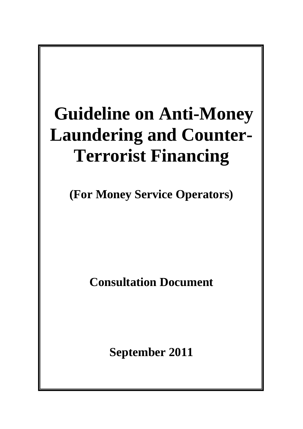# **Guideline on Anti-Money Laundering and Counter-Terrorist Financing**

**(For Money Service Operators)** 

**Consultation Document** 

**September 2011**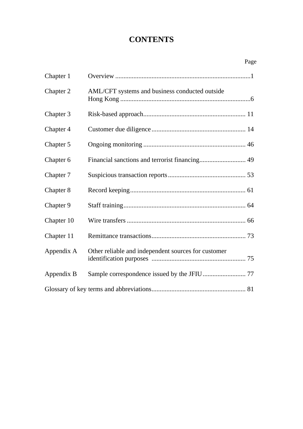## **CONTENTS**

|            | Page                                                |
|------------|-----------------------------------------------------|
| Chapter 1  |                                                     |
| Chapter 2  | AML/CFT systems and business conducted outside      |
| Chapter 3  |                                                     |
| Chapter 4  |                                                     |
| Chapter 5  |                                                     |
| Chapter 6  |                                                     |
| Chapter 7  |                                                     |
| Chapter 8  |                                                     |
| Chapter 9  |                                                     |
| Chapter 10 |                                                     |
| Chapter 11 |                                                     |
| Appendix A | Other reliable and independent sources for customer |
| Appendix B |                                                     |
|            |                                                     |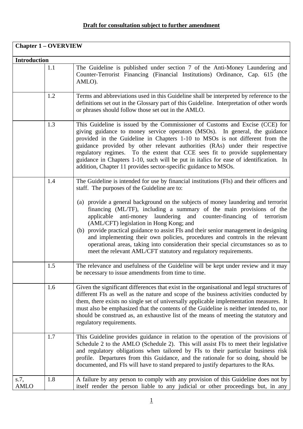| <b>Chapter 1 – OVERVIEW</b> |     |                                                                                                                                                                                                                                                                                                                                                                                                                                                                                                                                                                                                                   |
|-----------------------------|-----|-------------------------------------------------------------------------------------------------------------------------------------------------------------------------------------------------------------------------------------------------------------------------------------------------------------------------------------------------------------------------------------------------------------------------------------------------------------------------------------------------------------------------------------------------------------------------------------------------------------------|
| <b>Introduction</b>         |     |                                                                                                                                                                                                                                                                                                                                                                                                                                                                                                                                                                                                                   |
|                             | 1.1 | The Guideline is published under section 7 of the Anti-Money Laundering and<br>Counter-Terrorist Financing (Financial Institutions) Ordinance, Cap. 615 (the<br>AMLO).                                                                                                                                                                                                                                                                                                                                                                                                                                            |
|                             | 1.2 | Terms and abbreviations used in this Guideline shall be interpreted by reference to the<br>definitions set out in the Glossary part of this Guideline. Interpretation of other words<br>or phrases should follow those set out in the AMLO.                                                                                                                                                                                                                                                                                                                                                                       |
|                             | 1.3 | This Guideline is issued by the Commissioner of Customs and Excise (CCE) for<br>giving guidance to money service operators (MSOs). In general, the guidance<br>provided in the Guideline in Chapters 1-10 to MSOs is not different from the<br>guidance provided by other relevant authorities (RAs) under their respective<br>regulatory regimes. To the extent that CCE sees fit to provide supplementary<br>guidance in Chapters 1-10, such will be put in italics for ease of identification. In<br>addition, Chapter 11 provides sector-specific guidance to MSOs.                                           |
|                             | 1.4 | The Guideline is intended for use by financial institutions (FIs) and their officers and<br>staff. The purposes of the Guideline are to:                                                                                                                                                                                                                                                                                                                                                                                                                                                                          |
|                             |     | (a) provide a general background on the subjects of money laundering and terrorist<br>financing (ML/TF), including a summary of the main provisions of the<br>anti-money laundering and counter-financing of terrorism<br>applicable<br>(AML/CFT) legislation in Hong Kong; and<br>(b) provide practical guidance to assist FIs and their senior management in designing<br>and implementing their own policies, procedures and controls in the relevant<br>operational areas, taking into consideration their special circumstances so as to<br>meet the relevant AML/CFT statutory and regulatory requirements. |
|                             | 1.5 | The relevance and usefulness of the Guideline will be kept under review and it may<br>be necessary to issue amendments from time to time.                                                                                                                                                                                                                                                                                                                                                                                                                                                                         |
|                             | 1.6 | Given the significant differences that exist in the organisational and legal structures of<br>different FIs as well as the nature and scope of the business activities conducted by<br>them, there exists no single set of universally applicable implementation measures. It<br>must also be emphasized that the contents of the Guideline is neither intended to, nor<br>should be construed as, an exhaustive list of the means of meeting the statutory and<br>regulatory requirements.                                                                                                                       |
|                             | 1.7 | This Guideline provides guidance in relation to the operation of the provisions of<br>Schedule 2 to the AMLO (Schedule 2). This will assist FIs to meet their legislative<br>and regulatory obligations when tailored by FIs to their particular business risk<br>profile. Departures from this Guidance, and the rationale for so doing, should be<br>documented, and FIs will have to stand prepared to justify departures to the RAs.                                                                                                                                                                          |
| s.7,<br><b>AMLO</b>         | 1.8 | A failure by any person to comply with any provision of this Guideline does not by<br>itself render the person liable to any judicial or other proceedings but, in any                                                                                                                                                                                                                                                                                                                                                                                                                                            |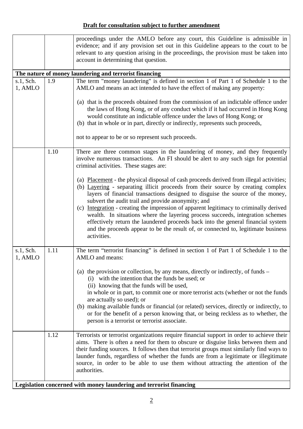|                      |      | proceedings under the AMLO before any court, this Guideline is admissible in                                                                                                                                                                                                                                                                                                                                                                                                                                                                                                                                                                                                            |
|----------------------|------|-----------------------------------------------------------------------------------------------------------------------------------------------------------------------------------------------------------------------------------------------------------------------------------------------------------------------------------------------------------------------------------------------------------------------------------------------------------------------------------------------------------------------------------------------------------------------------------------------------------------------------------------------------------------------------------------|
|                      |      | evidence; and if any provision set out in this Guideline appears to the court to be                                                                                                                                                                                                                                                                                                                                                                                                                                                                                                                                                                                                     |
|                      |      | relevant to any question arising in the proceedings, the provision must be taken into                                                                                                                                                                                                                                                                                                                                                                                                                                                                                                                                                                                                   |
|                      |      | account in determining that question.                                                                                                                                                                                                                                                                                                                                                                                                                                                                                                                                                                                                                                                   |
|                      |      |                                                                                                                                                                                                                                                                                                                                                                                                                                                                                                                                                                                                                                                                                         |
|                      |      | The nature of money laundering and terrorist financing                                                                                                                                                                                                                                                                                                                                                                                                                                                                                                                                                                                                                                  |
| s.1, Sch.<br>1, AMLO | 1.9  | The term "money laundering" is defined in section 1 of Part 1 of Schedule 1 to the<br>AMLO and means an act intended to have the effect of making any property:                                                                                                                                                                                                                                                                                                                                                                                                                                                                                                                         |
|                      |      | (a) that is the proceeds obtained from the commission of an indictable offence under<br>the laws of Hong Kong, or of any conduct which if it had occurred in Hong Kong<br>would constitute an indictable offence under the laws of Hong Kong; or<br>(b) that in whole or in part, directly or indirectly, represents such proceeds,                                                                                                                                                                                                                                                                                                                                                     |
|                      |      | not to appear to be or so represent such proceeds.                                                                                                                                                                                                                                                                                                                                                                                                                                                                                                                                                                                                                                      |
|                      | 1.10 | There are three common stages in the laundering of money, and they frequently<br>involve numerous transactions. An FI should be alert to any such sign for potential<br>criminal activities. These stages are:                                                                                                                                                                                                                                                                                                                                                                                                                                                                          |
|                      |      | (a) Placement - the physical disposal of cash proceeds derived from illegal activities;<br>(b) Layering - separating illicit proceeds from their source by creating complex<br>layers of financial transactions designed to disguise the source of the money,<br>subvert the audit trail and provide anonymity; and<br>(c) Integration - creating the impression of apparent legitimacy to criminally derived<br>wealth. In situations where the layering process succeeds, integration schemes<br>effectively return the laundered proceeds back into the general financial system<br>and the proceeds appear to be the result of, or connected to, legitimate business<br>activities. |
| s.1, Sch.<br>1, AMLO | 1.11 | The term "terrorist financing" is defined in section 1 of Part 1 of Schedule 1 to the<br>AMLO and means:                                                                                                                                                                                                                                                                                                                                                                                                                                                                                                                                                                                |
|                      |      | (a) the provision or collection, by any means, directly or indirectly, of funds –<br>(i) with the intention that the funds be used; or<br>(ii) knowing that the funds will be used,<br>in whole or in part, to commit one or more terrorist acts (whether or not the funds<br>are actually so used); or<br>(b) making available funds or financial (or related) services, directly or indirectly, to<br>or for the benefit of a person knowing that, or being reckless as to whether, the<br>person is a terrorist or terrorist associate.                                                                                                                                              |
|                      | 1.12 | Terrorists or terrorist organizations require financial support in order to achieve their<br>aims. There is often a need for them to obscure or disguise links between them and<br>their funding sources. It follows then that terrorist groups must similarly find ways to<br>launder funds, regardless of whether the funds are from a legitimate or illegitimate<br>source, in order to be able to use them without attracting the attention of the<br>authorities.                                                                                                                                                                                                                  |
|                      |      | Legislation concerned with money laundering and terrorist financing                                                                                                                                                                                                                                                                                                                                                                                                                                                                                                                                                                                                                     |
|                      |      |                                                                                                                                                                                                                                                                                                                                                                                                                                                                                                                                                                                                                                                                                         |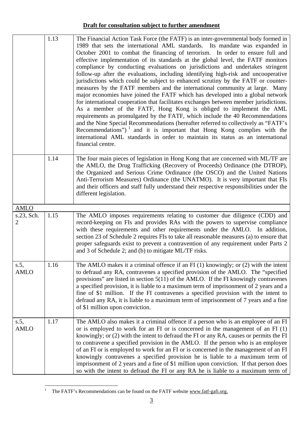|                        | 1.13 | The Financial Action Task Force (the FATF) is an inter-governmental body formed in<br>1989 that sets the international AML standards. Its mandate was expanded in<br>October 2001 to combat the financing of terrorism. In order to ensure full and<br>effective implementation of its standards at the global level, the FATF monitors<br>compliance by conducting evaluations on jurisdictions and undertakes stringent<br>follow-up after the evaluations, including identifying high-risk and uncooperative<br>jurisdictions which could be subject to enhanced scrutiny by the FATF or counter-<br>measures by the FATF members and the international community at large. Many<br>major economies have joined the FATF which has developed into a global network<br>for international cooperation that facilitates exchanges between member jurisdictions.<br>As a member of the FATF, Hong Kong is obliged to implement the AML<br>requirements as promulgated by the FATF, which include the 40 Recommendations<br>and the Nine Special Recommendations (hereafter referred to collectively as "FATF's<br>Recommendations") $1$ and it is important that Hong Kong complies with the<br>international AML standards in order to maintain its status as an international<br>financial centre. |
|------------------------|------|-----------------------------------------------------------------------------------------------------------------------------------------------------------------------------------------------------------------------------------------------------------------------------------------------------------------------------------------------------------------------------------------------------------------------------------------------------------------------------------------------------------------------------------------------------------------------------------------------------------------------------------------------------------------------------------------------------------------------------------------------------------------------------------------------------------------------------------------------------------------------------------------------------------------------------------------------------------------------------------------------------------------------------------------------------------------------------------------------------------------------------------------------------------------------------------------------------------------------------------------------------------------------------------------------------|
|                        | 1.14 | The four main pieces of legislation in Hong Kong that are concerned with ML/TF are<br>the AMLO, the Drug Trafficking (Recovery of Proceeds) Ordinance (the DTROP),<br>the Organized and Serious Crime Ordinance (the OSCO) and the United Nations<br>Anti-Terrorism Measures) Ordinance (the UNATMO). It is very important that FIs<br>and their officers and staff fully understand their respective responsibilities under the<br>different legislation.                                                                                                                                                                                                                                                                                                                                                                                                                                                                                                                                                                                                                                                                                                                                                                                                                                          |
| <b>AMLO</b>            |      |                                                                                                                                                                                                                                                                                                                                                                                                                                                                                                                                                                                                                                                                                                                                                                                                                                                                                                                                                                                                                                                                                                                                                                                                                                                                                                     |
| s.23, Sch.<br>2        | 1.15 | The AMLO imposes requirements relating to customer due diligence (CDD) and<br>record-keeping on FIs and provides RAs with the powers to supervise compliance<br>with these requirements and other requirements under the AMLO. In addition,<br>section 23 of Schedule 2 requires FIs to take all reasonable measures (a) to ensure that<br>proper safeguards exist to prevent a contravention of any requirement under Parts 2<br>and 3 of Schedule 2; and (b) to mitigate ML/TF risks.                                                                                                                                                                                                                                                                                                                                                                                                                                                                                                                                                                                                                                                                                                                                                                                                             |
| s.5,<br><b>AMLO</b>    | 1.16 | The AMLO makes it a criminal offence if an $FI(1)$ knowingly; or $(2)$ with the intent<br>to defraud any RA, contravenes a specified provision of the AMLO. The "specified<br>provisions" are listed in section $5(11)$ of the AMLO. If the FI knowingly contravenes<br>a specified provision, it is liable to a maximum term of imprisonment of 2 years and a<br>fine of \$1 million. If the FI contravenes a specified provision with the intent to<br>defraud any RA, it is liable to a maximum term of imprisonment of 7 years and a fine<br>of \$1 million upon conviction.                                                                                                                                                                                                                                                                                                                                                                                                                                                                                                                                                                                                                                                                                                                    |
| $s.5$ ,<br><b>AMLO</b> | 1.17 | The AMLO also makes it a criminal offence if a person who is an employee of an FI<br>or is employed to work for an FI or is concerned in the management of an FI $(1)$<br>knowingly; or (2) with the intent to defraud the FI or any RA, causes or permits the FI<br>to contravene a specified provision in the AMLO. If the person who is an employee<br>of an FI or is employed to work for an FI or is concerned in the management of an FI<br>knowingly contravenes a specified provision he is liable to a maximum term of<br>imprisonment of 2 years and a fine of \$1 million upon conviction. If that person does<br>so with the intent to defraud the FI or any RA he is liable to a maximum term of                                                                                                                                                                                                                                                                                                                                                                                                                                                                                                                                                                                       |

<span id="page-4-0"></span><sup>&</sup>lt;sup>1</sup> The FATF's Recommendations can be found on the FATF website www.fatf-gafi.org.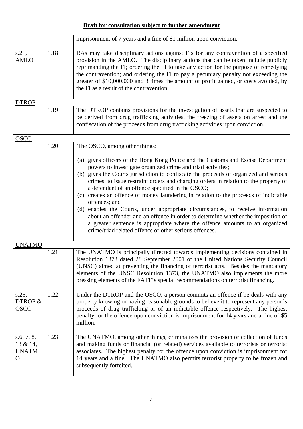|                                                        |      | imprisonment of 7 years and a fine of \$1 million upon conviction.                                                                                                                                                                                                                                                                                                                                                                                                                                                                                                                                                                                                                                                                                                                                            |
|--------------------------------------------------------|------|---------------------------------------------------------------------------------------------------------------------------------------------------------------------------------------------------------------------------------------------------------------------------------------------------------------------------------------------------------------------------------------------------------------------------------------------------------------------------------------------------------------------------------------------------------------------------------------------------------------------------------------------------------------------------------------------------------------------------------------------------------------------------------------------------------------|
| s.21,<br><b>AMLO</b>                                   | 1.18 | RAs may take disciplinary actions against FIs for any contravention of a specified<br>provision in the AMLO. The disciplinary actions that can be taken include publicly<br>reprimanding the FI; ordering the FI to take any action for the purpose of remedying<br>the contravention; and ordering the FI to pay a pecuniary penalty not exceeding the<br>greater of \$10,000,000 and 3 times the amount of profit gained, or costs avoided, by<br>the FI as a result of the contravention.                                                                                                                                                                                                                                                                                                                  |
| <b>DTROP</b>                                           |      |                                                                                                                                                                                                                                                                                                                                                                                                                                                                                                                                                                                                                                                                                                                                                                                                               |
|                                                        | 1.19 | The DTROP contains provisions for the investigation of assets that are suspected to<br>be derived from drug trafficking activities, the freezing of assets on arrest and the<br>confiscation of the proceeds from drug trafficking activities upon conviction.                                                                                                                                                                                                                                                                                                                                                                                                                                                                                                                                                |
| <b>OSCO</b>                                            |      |                                                                                                                                                                                                                                                                                                                                                                                                                                                                                                                                                                                                                                                                                                                                                                                                               |
|                                                        | 1.20 | The OSCO, among other things:                                                                                                                                                                                                                                                                                                                                                                                                                                                                                                                                                                                                                                                                                                                                                                                 |
|                                                        |      | (a) gives officers of the Hong Kong Police and the Customs and Excise Department<br>powers to investigate organized crime and triad activities;<br>(b) gives the Courts jurisdiction to confiscate the proceeds of organized and serious<br>crimes, to issue restraint orders and charging orders in relation to the property of<br>a defendant of an offence specified in the OSCO;<br>(c) creates an offence of money laundering in relation to the proceeds of indictable<br>offences; and<br>(d) enables the Courts, under appropriate circumstances, to receive information<br>about an offender and an offence in order to determine whether the imposition of<br>a greater sentence is appropriate where the offence amounts to an organized<br>crime/triad related offence or other serious offences. |
| <b>UNATMO</b>                                          |      |                                                                                                                                                                                                                                                                                                                                                                                                                                                                                                                                                                                                                                                                                                                                                                                                               |
|                                                        | 1.21 | The UNATMO is principally directed towards implementing decisions contained in<br>Resolution 1373 dated 28 September 2001 of the United Nations Security Council<br>(UNSC) aimed at preventing the financing of terrorist acts. Besides the mandatory<br>elements of the UNSC Resolution 1373, the UNATMO also implements the more<br>pressing elements of the FATF's special recommendations on terrorist financing.                                                                                                                                                                                                                                                                                                                                                                                         |
| $s.25$ ,<br>DTROP &<br><b>OSCO</b>                     | 1.22 | Under the DTROP and the OSCO, a person commits an offence if he deals with any<br>property knowing or having reasonable grounds to believe it to represent any person's<br>proceeds of drug trafficking or of an indictable offence respectively. The highest<br>penalty for the offence upon conviction is imprisonment for 14 years and a fine of \$5<br>million.                                                                                                                                                                                                                                                                                                                                                                                                                                           |
| s.6, 7, 8,<br>13 & 14,<br><b>UNATM</b><br>$\mathbf{O}$ | 1.23 | The UNATMO, among other things, criminalizes the provision or collection of funds<br>and making funds or financial (or related) services available to terrorists or terrorist<br>associates. The highest penalty for the offence upon conviction is imprisonment for<br>14 years and a fine. The UNATMO also permits terrorist property to be frozen and<br>subsequently forfeited.                                                                                                                                                                                                                                                                                                                                                                                                                           |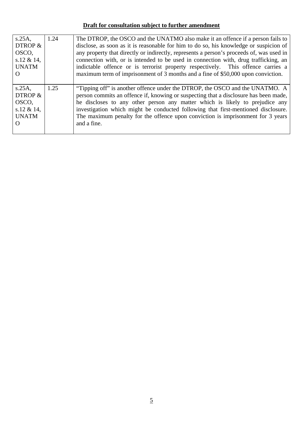| $s.25A$ ,    | 1.24 | The DTROP, the OSCO and the UNATMO also make it an offence if a person fails to          |
|--------------|------|------------------------------------------------------------------------------------------|
| DTROP &      |      | disclose, as soon as it is reasonable for him to do so, his knowledge or suspicion of    |
| OSCO,        |      | any property that directly or indirectly, represents a person's proceeds of, was used in |
| s.12 & 14,   |      | connection with, or is intended to be used in connection with, drug trafficking, an      |
| <b>UNATM</b> |      | indictable offence or is terrorist property respectively. This offence carries a         |
| $\Omega$     |      | maximum term of imprisonment of 3 months and a fine of \$50,000 upon conviction.         |
|              |      |                                                                                          |
| $s.25A$ ,    | 1.25 | "Tipping off" is another offence under the DTROP, the OSCO and the UNATMO. A             |
| DTROP &      |      | person commits an offence if, knowing or suspecting that a disclosure has been made,     |
| OSCO,        |      | he discloses to any other person any matter which is likely to prejudice any             |
| s.12 & 14,   |      | investigation which might be conducted following that first-mentioned disclosure.        |
| <b>UNATM</b> |      | The maximum penalty for the offence upon conviction is imprisonment for 3 years          |
|              |      |                                                                                          |
|              |      | and a fine.                                                                              |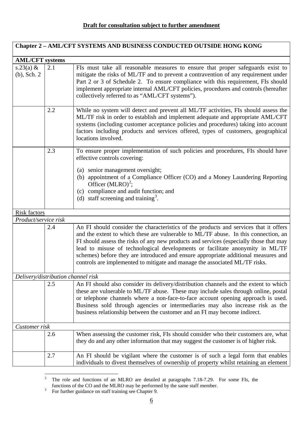| Chapter 2 - AML/CFT SYSTEMS AND BUSINESS CONDUCTED OUTSIDE HONG KONG |     |                                                                                                                                                                                                                                                                                                                                                                                                                                                                                                                              |
|----------------------------------------------------------------------|-----|------------------------------------------------------------------------------------------------------------------------------------------------------------------------------------------------------------------------------------------------------------------------------------------------------------------------------------------------------------------------------------------------------------------------------------------------------------------------------------------------------------------------------|
| <b>AML/CFT</b> systems                                               |     |                                                                                                                                                                                                                                                                                                                                                                                                                                                                                                                              |
| s.23(a) $\&$<br>$(b)$ , Sch. 2                                       | 2.1 | FIs must take all reasonable measures to ensure that proper safeguards exist to<br>mitigate the risks of ML/TF and to prevent a contravention of any requirement under<br>Part 2 or 3 of Schedule 2. To ensure compliance with this requirement, FIs should<br>implement appropriate internal AML/CFT policies, procedures and controls (hereafter<br>collectively referred to as "AML/CFT systems").                                                                                                                        |
|                                                                      | 2.2 | While no system will detect and prevent all ML/TF activities, FIs should assess the<br>ML/TF risk in order to establish and implement adequate and appropriate AML/CFT<br>systems (including customer acceptance policies and procedures) taking into account<br>factors including products and services offered, types of customers, geographical<br>locations involved.                                                                                                                                                    |
|                                                                      | 2.3 | To ensure proper implementation of such policies and procedures, FIs should have<br>effective controls covering:                                                                                                                                                                                                                                                                                                                                                                                                             |
|                                                                      |     | (a) senior management oversight;<br>(b) appointment of a Compliance Officer (CO) and a Money Laundering Reporting<br>Officer $(MLRO)^2$ ;<br>(c) compliance and audit function; and<br>(d) staff screening and training <sup>3</sup> .                                                                                                                                                                                                                                                                                       |
| <b>Risk factors</b>                                                  |     |                                                                                                                                                                                                                                                                                                                                                                                                                                                                                                                              |
| Product/service risk                                                 |     |                                                                                                                                                                                                                                                                                                                                                                                                                                                                                                                              |
|                                                                      | 2.4 | An FI should consider the characteristics of the products and services that it offers<br>and the extent to which these are vulnerable to ML/TF abuse. In this connection, an<br>FI should assess the risks of any new products and services (especially those that may<br>lead to misuse of technological developments or facilitate anonymity in ML/TF<br>schemes) before they are introduced and ensure appropriate additional measures and<br>controls are implemented to mitigate and manage the associated ML/TF risks. |
| Delivery/distribution channel risk                                   |     |                                                                                                                                                                                                                                                                                                                                                                                                                                                                                                                              |
|                                                                      | 2.5 | An FI should also consider its delivery/distribution channels and the extent to which<br>these are vulnerable to ML/TF abuse. These may include sales through online, postal<br>or telephone channels where a non-face-to-face account opening approach is used.<br>Business sold through agencies or intermediaries may also increase risk as the<br>business relationship between the customer and an FI may become indirect.                                                                                              |
| Customer risk                                                        |     |                                                                                                                                                                                                                                                                                                                                                                                                                                                                                                                              |
|                                                                      | 2.6 | When assessing the customer risk, FIs should consider who their customers are, what<br>they do and any other information that may suggest the customer is of higher risk.                                                                                                                                                                                                                                                                                                                                                    |
|                                                                      | 2.7 | An FI should be vigilant where the customer is of such a legal form that enables<br>individuals to divest themselves of ownership of property whilst retaining an element                                                                                                                                                                                                                                                                                                                                                    |

<span id="page-7-0"></span> $\frac{1}{2}$  The role and functions of an MLRO are detailed at paragraphs 7.18-7.29. For some FIs, the functions of the CO and the MLRO may be performed by the same staff member.<br><sup>3</sup> For further guidance on staff training see Chapter 9.

<span id="page-7-1"></span>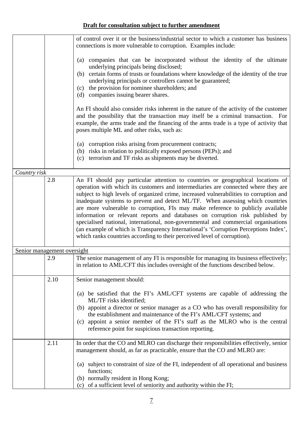|                             |      | of control over it or the business/industrial sector to which a customer has business<br>connections is more vulnerable to corruption. Examples include:                                                                                                                                                                                                                          |
|-----------------------------|------|-----------------------------------------------------------------------------------------------------------------------------------------------------------------------------------------------------------------------------------------------------------------------------------------------------------------------------------------------------------------------------------|
|                             |      | companies that can be incorporated without the identity of the ultimate<br>(a)<br>underlying principals being disclosed;<br>certain forms of trusts or foundations where knowledge of the identity of the true<br>(b)<br>underlying principals or controllers cannot be guaranteed;<br>the provision for nominee shareholders; and<br>(c)<br>(d) companies issuing bearer shares. |
|                             |      | An FI should also consider risks inherent in the nature of the activity of the customer<br>and the possibility that the transaction may itself be a criminal transaction. For<br>example, the arms trade and the financing of the arms trade is a type of activity that<br>poses multiple ML and other risks, such as:                                                            |
|                             |      | corruption risks arising from procurement contracts;<br>(a)<br>(b) risks in relation to politically exposed persons (PEPs); and<br>(c) terrorism and TF risks as shipments may be diverted.                                                                                                                                                                                       |
| Country risk                |      |                                                                                                                                                                                                                                                                                                                                                                                   |
|                             | 2.8  | An FI should pay particular attention to countries or geographical locations of<br>operation with which its customers and intermediaries are connected where they are                                                                                                                                                                                                             |
|                             |      | subject to high levels of organized crime, increased vulnerabilities to corruption and                                                                                                                                                                                                                                                                                            |
|                             |      | inadequate systems to prevent and detect ML/TF. When assessing which countries                                                                                                                                                                                                                                                                                                    |
|                             |      | are more vulnerable to corruption, FIs may make reference to publicly available                                                                                                                                                                                                                                                                                                   |
|                             |      | information or relevant reports and databases on corruption risk published by                                                                                                                                                                                                                                                                                                     |
|                             |      | specialised national, international, non-governmental and commercial organisations<br>(an example of which is Transparency International's 'Corruption Perceptions Index',                                                                                                                                                                                                        |
|                             |      | which ranks countries according to their perceived level of corruption).                                                                                                                                                                                                                                                                                                          |
| Senior management oversight |      |                                                                                                                                                                                                                                                                                                                                                                                   |
|                             | 2.9  | The senior management of any FI is responsible for managing its business effectively;<br>in relation to AML/CFT this includes oversight of the functions described below.                                                                                                                                                                                                         |
|                             | 2.10 | Senior management should:                                                                                                                                                                                                                                                                                                                                                         |
|                             |      | (a) be satisfied that the FI's AML/CFT systems are capable of addressing the<br>ML/TF risks identified;                                                                                                                                                                                                                                                                           |
|                             |      | (b) appoint a director or senior manager as a CO who has overall responsibility for                                                                                                                                                                                                                                                                                               |
|                             |      | the establishment and maintenance of the FI's AML/CFT systems; and                                                                                                                                                                                                                                                                                                                |
|                             |      | appoint a senior member of the FI's staff as the MLRO who is the central<br>(c)                                                                                                                                                                                                                                                                                                   |
|                             |      | reference point for suspicious transaction reporting.                                                                                                                                                                                                                                                                                                                             |
|                             | 2.11 | In order that the CO and MLRO can discharge their responsibilities effectively, senior                                                                                                                                                                                                                                                                                            |
|                             |      | management should, as far as practicable, ensure that the CO and MLRO are:                                                                                                                                                                                                                                                                                                        |
|                             |      | subject to constraint of size of the FI, independent of all operational and business<br>(a)<br>functions;                                                                                                                                                                                                                                                                         |
|                             |      | (b) normally resident in Hong Kong;                                                                                                                                                                                                                                                                                                                                               |
|                             |      | (c) of a sufficient level of seniority and authority within the FI;                                                                                                                                                                                                                                                                                                               |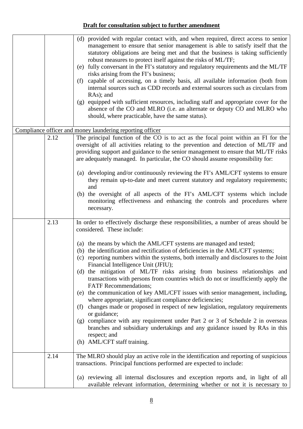|      | (d) provided with regular contact with, and when required, direct access to senior<br>management to ensure that senior management is able to satisfy itself that the<br>statutory obligations are being met and that the business is taking sufficiently<br>robust measures to protect itself against the risks of ML/TF;<br>(e) fully conversant in the FI's statutory and regulatory requirements and the ML/TF<br>risks arising from the FI's business;<br>capable of accessing, on a timely basis, all available information (both from<br>(f)<br>internal sources such as CDD records and external sources such as circulars from<br>RAs); and<br>(g) equipped with sufficient resources, including staff and appropriate cover for the<br>absence of the CO and MLRO (i.e. an alternate or deputy CO and MLRO who<br>should, where practicable, have the same status).                                                                                                                                                                                                             |
|------|------------------------------------------------------------------------------------------------------------------------------------------------------------------------------------------------------------------------------------------------------------------------------------------------------------------------------------------------------------------------------------------------------------------------------------------------------------------------------------------------------------------------------------------------------------------------------------------------------------------------------------------------------------------------------------------------------------------------------------------------------------------------------------------------------------------------------------------------------------------------------------------------------------------------------------------------------------------------------------------------------------------------------------------------------------------------------------------|
|      | Compliance officer and money laundering reporting officer                                                                                                                                                                                                                                                                                                                                                                                                                                                                                                                                                                                                                                                                                                                                                                                                                                                                                                                                                                                                                                |
| 2.12 | The principal function of the CO is to act as the focal point within an FI for the<br>oversight of all activities relating to the prevention and detection of ML/TF and<br>providing support and guidance to the senior management to ensure that ML/TF risks<br>are adequately managed. In particular, the CO should assume responsibility for:<br>(a) developing and/or continuously reviewing the FI's AML/CFT systems to ensure<br>they remain up-to-date and meet current statutory and regulatory requirements;                                                                                                                                                                                                                                                                                                                                                                                                                                                                                                                                                                    |
|      | and<br>(b) the oversight of all aspects of the FI's AML/CFT systems which include<br>monitoring effectiveness and enhancing the controls and procedures where<br>necessary.                                                                                                                                                                                                                                                                                                                                                                                                                                                                                                                                                                                                                                                                                                                                                                                                                                                                                                              |
| 2.13 | In order to effectively discharge these responsibilities, a number of areas should be<br>considered. These include:<br>(a) the means by which the AML/CFT systems are managed and tested;<br>(b) the identification and rectification of deficiencies in the AML/CFT systems;<br>(c) reporting numbers within the systems, both internally and disclosures to the Joint<br>Financial Intelligence Unit (JFIU);<br>(d) the mitigation of ML/TF risks arising from business relationships and<br>transactions with persons from countries which do not or insufficiently apply the<br><b>FATF</b> Recommendations;<br>(e) the communication of key AML/CFT issues with senior management, including,<br>where appropriate, significant compliance deficiencies;<br>changes made or proposed in respect of new legislation, regulatory requirements<br>(f)<br>or guidance;<br>(g) compliance with any requirement under Part 2 or 3 of Schedule 2 in overseas<br>branches and subsidiary undertakings and any guidance issued by RAs in this<br>respect; and<br>(h) AML/CFT staff training. |
| 2.14 | The MLRO should play an active role in the identification and reporting of suspicious<br>transactions. Principal functions performed are expected to include:<br>(a) reviewing all internal disclosures and exception reports and, in light of all<br>available relevant information, determining whether or not it is necessary to                                                                                                                                                                                                                                                                                                                                                                                                                                                                                                                                                                                                                                                                                                                                                      |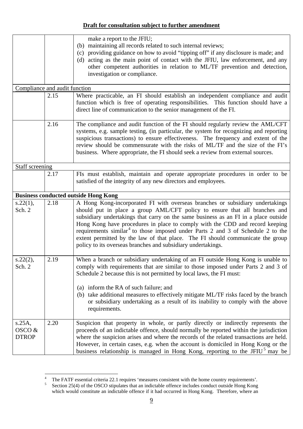| Compliance and audit function                             |      | make a report to the JFIU;<br>(b) maintaining all records related to such internal reviews;<br>(c) providing guidance on how to avoid "tipping off" if any disclosure is made; and<br>(d) acting as the main point of contact with the JFIU, law enforcement, and any<br>other competent authorities in relation to ML/TF prevention and detection,<br>investigation or compliance.                                                                                                                                                                                                 |
|-----------------------------------------------------------|------|-------------------------------------------------------------------------------------------------------------------------------------------------------------------------------------------------------------------------------------------------------------------------------------------------------------------------------------------------------------------------------------------------------------------------------------------------------------------------------------------------------------------------------------------------------------------------------------|
|                                                           | 2.15 | Where practicable, an FI should establish an independent compliance and audit<br>function which is free of operating responsibilities. This function should have a<br>direct line of communication to the senior management of the FI.                                                                                                                                                                                                                                                                                                                                              |
|                                                           | 2.16 | The compliance and audit function of the FI should regularly review the AML/CFT<br>systems, e.g. sample testing, (in particular, the system for recognizing and reporting<br>suspicious transactions) to ensure effectiveness. The frequency and extent of the<br>review should be commensurate with the risks of ML/TF and the size of the FI's<br>business. Where appropriate, the FI should seek a review from external sources.                                                                                                                                                 |
| <b>Staff screening</b>                                    |      |                                                                                                                                                                                                                                                                                                                                                                                                                                                                                                                                                                                     |
|                                                           | 2.17 | FIs must establish, maintain and operate appropriate procedures in order to be<br>satisfied of the integrity of any new directors and employees.                                                                                                                                                                                                                                                                                                                                                                                                                                    |
|                                                           |      | <b>Business conducted outside Hong Kong</b>                                                                                                                                                                                                                                                                                                                                                                                                                                                                                                                                         |
| s.22(1),<br>Sch. 2                                        | 2.18 | A Hong Kong-incorporated FI with overseas branches or subsidiary undertakings<br>should put in place a group AML/CFT policy to ensure that all branches and<br>subsidiary undertakings that carry on the same business as an FI in a place outside<br>Hong Kong have procedures in place to comply with the CDD and record keeping<br>requirements similar <sup>4</sup> to those imposed under Parts 2 and 3 of Schedule 2 to the<br>extent permitted by the law of that place. The FI should communicate the group<br>policy to its overseas branches and subsidiary undertakings. |
| $s.22(2)$ ,<br>Sch. 2                                     | 2.19 | When a branch or subsidiary undertaking of an FI outside Hong Kong is unable to<br>comply with requirements that are similar to those imposed under Parts 2 and 3 of<br>Schedule 2 because this is not permitted by local laws, the FI must:<br>(a) inform the RA of such failure; and<br>(b) take additional measures to effectively mitigate ML/TF risks faced by the branch<br>or subsidiary undertaking as a result of its inability to comply with the above<br>requirements.                                                                                                  |
| $s.25A$ ,<br>$\overline{\mathrm{OSCO}}$ &<br><b>DTROP</b> | 2.20 | Suspicion that property in whole, or partly directly or indirectly represents the<br>proceeds of an indictable offence, should normally be reported within the jurisdiction<br>where the suspicion arises and where the records of the related transactions are held.<br>However, in certain cases, e.g. when the account is domiciled in Hong Kong or the<br>business relationship is managed in Hong Kong, reporting to the JFIU <sup>5</sup> may be                                                                                                                              |

<span id="page-10-0"></span> $\frac{1}{4}$ <sup>4</sup> The FATF essential criteria 22.1 requires 'measures consistent with the home country requirements'.<br>5 Section 25(4) of the OSCO stipulates that an indictable offence includes conduct outside Hong Kong

<span id="page-10-1"></span>Section 25(4) of the OSCO stipulates that an indictable offence includes conduct outside Hong Kong which would constitute an indictable offence if it had occurred in Hong Kong. Therefore, where an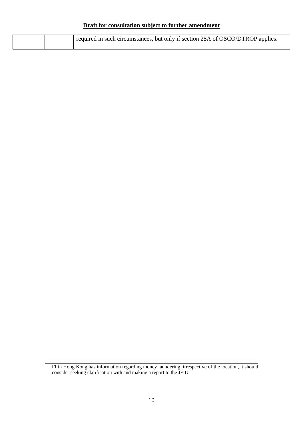|  | required in such circumstances, but only if section 25A of OSCO/DTROP applies. |
|--|--------------------------------------------------------------------------------|
|  |                                                                                |

FI in Hong Kong has information regarding money laundering, irrespective of the location, it should consider seeking clarification with and making a report to the JFIU.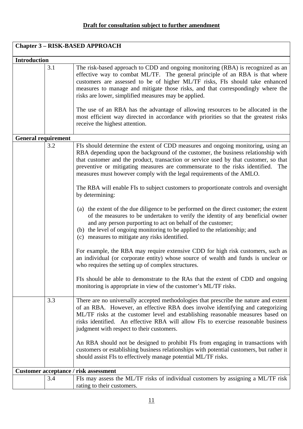| <b>Chapter 3 - RISK-BASED APPROACH</b> |     |                                                                                                                                                                                                                                                                                                                                                                                                                                                                                                                                                                                                                                                                                                                                                                                                                                                                                                                                                                                                                                                                                                                                                                                                                                                                                                           |
|----------------------------------------|-----|-----------------------------------------------------------------------------------------------------------------------------------------------------------------------------------------------------------------------------------------------------------------------------------------------------------------------------------------------------------------------------------------------------------------------------------------------------------------------------------------------------------------------------------------------------------------------------------------------------------------------------------------------------------------------------------------------------------------------------------------------------------------------------------------------------------------------------------------------------------------------------------------------------------------------------------------------------------------------------------------------------------------------------------------------------------------------------------------------------------------------------------------------------------------------------------------------------------------------------------------------------------------------------------------------------------|
| <b>Introduction</b>                    |     |                                                                                                                                                                                                                                                                                                                                                                                                                                                                                                                                                                                                                                                                                                                                                                                                                                                                                                                                                                                                                                                                                                                                                                                                                                                                                                           |
|                                        | 3.1 | The risk-based approach to CDD and ongoing monitoring (RBA) is recognized as an<br>effective way to combat ML/TF. The general principle of an RBA is that where<br>customers are assessed to be of higher ML/TF risks, FIs should take enhanced<br>measures to manage and mitigate those risks, and that correspondingly where the<br>risks are lower, simplified measures may be applied.<br>The use of an RBA has the advantage of allowing resources to be allocated in the<br>most efficient way directed in accordance with priorities so that the greatest risks<br>receive the highest attention.                                                                                                                                                                                                                                                                                                                                                                                                                                                                                                                                                                                                                                                                                                  |
| <b>General requirement</b>             |     |                                                                                                                                                                                                                                                                                                                                                                                                                                                                                                                                                                                                                                                                                                                                                                                                                                                                                                                                                                                                                                                                                                                                                                                                                                                                                                           |
|                                        | 3.2 | FIs should determine the extent of CDD measures and ongoing monitoring, using an<br>RBA depending upon the background of the customer, the business relationship with<br>that customer and the product, transaction or service used by that customer, so that<br>preventive or mitigating measures are commensurate to the risks identified.<br>The<br>measures must however comply with the legal requirements of the AMLO.<br>The RBA will enable FIs to subject customers to proportionate controls and oversight<br>by determining:<br>(a) the extent of the due diligence to be performed on the direct customer; the extent<br>of the measures to be undertaken to verify the identity of any beneficial owner<br>and any person purporting to act on behalf of the customer;<br>(b) the level of ongoing monitoring to be applied to the relationship; and<br>(c) measures to mitigate any risks identified.<br>For example, the RBA may require extensive CDD for high risk customers, such as<br>an individual (or corporate entity) whose source of wealth and funds is unclear or<br>who requires the setting up of complex structures.<br>FIs should be able to demonstrate to the RAs that the extent of CDD and ongoing<br>monitoring is appropriate in view of the customer's ML/TF risks. |
|                                        | 3.3 | There are no universally accepted methodologies that prescribe the nature and extent<br>of an RBA. However, an effective RBA does involve identifying and categorizing<br>ML/TF risks at the customer level and establishing reasonable measures based on<br>risks identified. An effective RBA will allow FIs to exercise reasonable business<br>judgment with respect to their customers.<br>An RBA should not be designed to prohibit FIs from engaging in transactions with<br>customers or establishing business relationships with potential customers, but rather it                                                                                                                                                                                                                                                                                                                                                                                                                                                                                                                                                                                                                                                                                                                               |
|                                        |     | should assist FIs to effectively manage potential ML/TF risks.                                                                                                                                                                                                                                                                                                                                                                                                                                                                                                                                                                                                                                                                                                                                                                                                                                                                                                                                                                                                                                                                                                                                                                                                                                            |
|                                        |     | <b>Customer acceptance / risk assessment</b>                                                                                                                                                                                                                                                                                                                                                                                                                                                                                                                                                                                                                                                                                                                                                                                                                                                                                                                                                                                                                                                                                                                                                                                                                                                              |
|                                        | 3.4 | FIs may assess the ML/TF risks of individual customers by assigning a ML/TF risk                                                                                                                                                                                                                                                                                                                                                                                                                                                                                                                                                                                                                                                                                                                                                                                                                                                                                                                                                                                                                                                                                                                                                                                                                          |
|                                        |     | rating to their customers.                                                                                                                                                                                                                                                                                                                                                                                                                                                                                                                                                                                                                                                                                                                                                                                                                                                                                                                                                                                                                                                                                                                                                                                                                                                                                |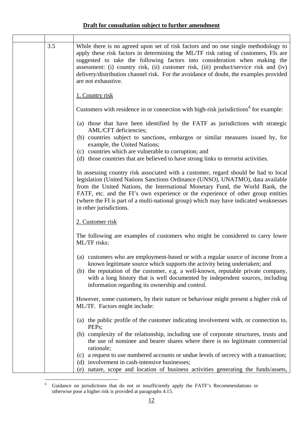| 3.5 | While there is no agreed upon set of risk factors and no one single methodology to<br>apply these risk factors in determining the ML/TF risk rating of customers, FIs are<br>suggested to take the following factors into consideration when making the<br>assessment: (i) country risk, (ii) customer risk, (iii) product/service risk and (iv)<br>delivery/distribution channel risk. For the avoidance of doubt, the examples provided<br>are not exhaustive. |
|-----|------------------------------------------------------------------------------------------------------------------------------------------------------------------------------------------------------------------------------------------------------------------------------------------------------------------------------------------------------------------------------------------------------------------------------------------------------------------|
|     | 1. Country risk                                                                                                                                                                                                                                                                                                                                                                                                                                                  |
|     | Customers with residence in or connection with high-risk jurisdictions <sup>6</sup> for example:                                                                                                                                                                                                                                                                                                                                                                 |
|     | (a) those that have been identified by the FATF as jurisdictions with strategic<br>AML/CFT deficiencies;                                                                                                                                                                                                                                                                                                                                                         |
|     | (b) countries subject to sanctions, embargos or similar measures issued by, for<br>example, the United Nations;<br>(c) countries which are vulnerable to corruption; and<br>(d) those countries that are believed to have strong links to terrorist activities.                                                                                                                                                                                                  |
|     | In assessing country risk associated with a customer, regard should be had to local<br>legislation (United Nations Sanctions Ordinance (UNSO), UNATMO), data available<br>from the United Nations, the International Monetary Fund, the World Bank, the<br>FATF, etc. and the FI's own experience or the experience of other group entities<br>(where the FI is part of a multi-national group) which may have indicated weaknesses<br>in other jurisdictions.   |
|     | 2. Customer risk                                                                                                                                                                                                                                                                                                                                                                                                                                                 |
|     | The following are examples of customers who might be considered to carry lower<br>ML/TF risks:                                                                                                                                                                                                                                                                                                                                                                   |
|     | (a) customers who are employment-based or with a regular source of income from a<br>known legitimate source which supports the activity being undertaken; and<br>(b) the reputation of the customer, e.g. a well-known, reputable private company,<br>with a long history that is well documented by independent sources, including<br>information regarding its ownership and control.                                                                          |
|     | However, some customers, by their nature or behaviour might present a higher risk of<br>ML/TF. Factors might include:                                                                                                                                                                                                                                                                                                                                            |
|     | (a) the public profile of the customer indicating involvement with, or connection to,<br>PEPs;                                                                                                                                                                                                                                                                                                                                                                   |
|     | (b) complexity of the relationship, including use of corporate structures, trusts and<br>the use of nominee and bearer shares where there is no legitimate commercial<br>rationale;                                                                                                                                                                                                                                                                              |
|     | a request to use numbered accounts or undue levels of secrecy with a transaction;<br>(c)<br>(d) involvement in cash-intensive businesses;<br>nature, scope and location of business activities generating the funds/assets,<br>(e)                                                                                                                                                                                                                               |

<span id="page-13-0"></span> $\frac{1}{6}$  Guidance on jurisdictions that do not or insufficiently apply the FATF's Recommendations or otherwise pose a higher risk is provided at paragraphs 4.15.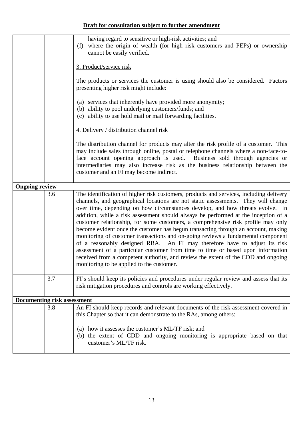|                                    |     | having regard to sensitive or high-risk activities; and<br>where the origin of wealth (for high risk customers and PEPs) or ownership<br>(f)<br>cannot be easily verified.                                                                                                                                                                                                                                                                                                                                                                                                                                                                                                                                                                                                                                                                                                                                        |
|------------------------------------|-----|-------------------------------------------------------------------------------------------------------------------------------------------------------------------------------------------------------------------------------------------------------------------------------------------------------------------------------------------------------------------------------------------------------------------------------------------------------------------------------------------------------------------------------------------------------------------------------------------------------------------------------------------------------------------------------------------------------------------------------------------------------------------------------------------------------------------------------------------------------------------------------------------------------------------|
|                                    |     | 3. Product/service risk                                                                                                                                                                                                                                                                                                                                                                                                                                                                                                                                                                                                                                                                                                                                                                                                                                                                                           |
|                                    |     | The products or services the customer is using should also be considered. Factors<br>presenting higher risk might include:                                                                                                                                                                                                                                                                                                                                                                                                                                                                                                                                                                                                                                                                                                                                                                                        |
|                                    |     | (a) services that inherently have provided more anonymity;<br>(b) ability to pool underlying customers/funds; and<br>(c) ability to use hold mail or mail forwarding facilities.                                                                                                                                                                                                                                                                                                                                                                                                                                                                                                                                                                                                                                                                                                                                  |
|                                    |     | 4. Delivery / distribution channel risk                                                                                                                                                                                                                                                                                                                                                                                                                                                                                                                                                                                                                                                                                                                                                                                                                                                                           |
|                                    |     | The distribution channel for products may alter the risk profile of a customer. This<br>may include sales through online, postal or telephone channels where a non-face-to-<br>face account opening approach is used. Business sold through agencies or<br>intermediaries may also increase risk as the business relationship between the<br>customer and an FI may become indirect.                                                                                                                                                                                                                                                                                                                                                                                                                                                                                                                              |
| <b>Ongoing review</b>              |     |                                                                                                                                                                                                                                                                                                                                                                                                                                                                                                                                                                                                                                                                                                                                                                                                                                                                                                                   |
|                                    | 3.6 | The identification of higher risk customers, products and services, including delivery<br>channels, and geographical locations are not static assessments. They will change<br>over time, depending on how circumstances develop, and how threats evolve. In<br>addition, while a risk assessment should always be performed at the inception of a<br>customer relationship, for some customers, a comprehensive risk profile may only<br>become evident once the customer has begun transacting through an account, making<br>monitoring of customer transactions and on-going reviews a fundamental component<br>of a reasonably designed RBA. An FI may therefore have to adjust its risk<br>assessment of a particular customer from time to time or based upon information<br>received from a competent authority, and review the extent of the CDD and ongoing<br>monitoring to be applied to the customer. |
|                                    | 3.7 | FI's should keep its policies and procedures under regular review and assess that its<br>risk mitigation procedures and controls are working effectively.                                                                                                                                                                                                                                                                                                                                                                                                                                                                                                                                                                                                                                                                                                                                                         |
| <b>Documenting risk assessment</b> |     |                                                                                                                                                                                                                                                                                                                                                                                                                                                                                                                                                                                                                                                                                                                                                                                                                                                                                                                   |
|                                    | 3.8 | An FI should keep records and relevant documents of the risk assessment covered in<br>this Chapter so that it can demonstrate to the RAs, among others:                                                                                                                                                                                                                                                                                                                                                                                                                                                                                                                                                                                                                                                                                                                                                           |
|                                    |     | (a) how it assesses the customer's ML/TF risk; and<br>(b) the extent of CDD and ongoing monitoring is appropriate based on that<br>customer's ML/TF risk.                                                                                                                                                                                                                                                                                                                                                                                                                                                                                                                                                                                                                                                                                                                                                         |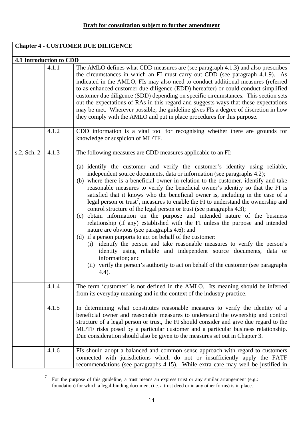| <b>Chapter 4 - CUSTOMER DUE DILIGENCE</b> |       |                                                                                                                                                                                                                                                                                                                                                                                                                                                                                                                                                                                                                                                                                                                                                                                                                                                                                                                                                                                                                                                                                                                                                                                                                     |
|-------------------------------------------|-------|---------------------------------------------------------------------------------------------------------------------------------------------------------------------------------------------------------------------------------------------------------------------------------------------------------------------------------------------------------------------------------------------------------------------------------------------------------------------------------------------------------------------------------------------------------------------------------------------------------------------------------------------------------------------------------------------------------------------------------------------------------------------------------------------------------------------------------------------------------------------------------------------------------------------------------------------------------------------------------------------------------------------------------------------------------------------------------------------------------------------------------------------------------------------------------------------------------------------|
| 4.1 Introduction to CDD                   |       |                                                                                                                                                                                                                                                                                                                                                                                                                                                                                                                                                                                                                                                                                                                                                                                                                                                                                                                                                                                                                                                                                                                                                                                                                     |
|                                           | 4.1.1 | The AMLO defines what CDD measures are (see paragraph 4.1.3) and also prescribes<br>the circumstances in which an FI must carry out CDD (see paragraph 4.1.9). As<br>indicated in the AMLO, FIs may also need to conduct additional measures (referred<br>to as enhanced customer due diligence (EDD) hereafter) or could conduct simplified<br>customer due diligence (SDD) depending on specific circumstances. This section sets<br>out the expectations of RAs in this regard and suggests ways that these expectations<br>may be met. Wherever possible, the guideline gives FIs a degree of discretion in how<br>they comply with the AMLO and put in place procedures for this purpose.                                                                                                                                                                                                                                                                                                                                                                                                                                                                                                                      |
|                                           | 4.1.2 | CDD information is a vital tool for recognising whether there are grounds for<br>knowledge or suspicion of ML/TF.                                                                                                                                                                                                                                                                                                                                                                                                                                                                                                                                                                                                                                                                                                                                                                                                                                                                                                                                                                                                                                                                                                   |
| s.2, Sch. 2                               | 4.1.3 | The following measures are CDD measures applicable to an FI:<br>(a) identify the customer and verify the customer's identity using reliable,<br>independent source documents, data or information (see paragraphs 4.2);<br>(b) where there is a beneficial owner in relation to the customer, identify and take<br>reasonable measures to verify the beneficial owner's identity so that the FI is<br>satisfied that it knows who the beneficial owner is, including in the case of a<br>legal person or trust <sup>7</sup> , measures to enable the FI to understand the ownership and<br>control structure of the legal person or trust (see paragraphs 4.3);<br>(c) obtain information on the purpose and intended nature of the business<br>relationship (if any) established with the FI unless the purpose and intended<br>nature are obvious (see paragraphs 4.6); and<br>(d) if a person purports to act on behalf of the customer:<br>(i) identify the person and take reasonable measures to verify the person's<br>identity using reliable and independent source documents, data or<br>information; and<br>(ii) verify the person's authority to act on behalf of the customer (see paragraphs<br>4.4). |
|                                           | 4.1.4 | The term 'customer' is not defined in the AMLO. Its meaning should be inferred<br>from its everyday meaning and in the context of the industry practice.                                                                                                                                                                                                                                                                                                                                                                                                                                                                                                                                                                                                                                                                                                                                                                                                                                                                                                                                                                                                                                                            |
|                                           | 4.1.5 | In determining what constitutes reasonable measures to verify the identity of a<br>beneficial owner and reasonable measures to understand the ownership and control<br>structure of a legal person or trust, the FI should consider and give due regard to the<br>ML/TF risks posed by a particular customer and a particular business relationship.<br>Due consideration should also be given to the measures set out in Chapter 3.                                                                                                                                                                                                                                                                                                                                                                                                                                                                                                                                                                                                                                                                                                                                                                                |
|                                           | 4.1.6 | FIs should adopt a balanced and common sense approach with regard to customers<br>connected with jurisdictions which do not or insufficiently apply the FATF<br>recommendations (see paragraphs 4.15). While extra care may well be justified in                                                                                                                                                                                                                                                                                                                                                                                                                                                                                                                                                                                                                                                                                                                                                                                                                                                                                                                                                                    |

<span id="page-15-0"></span> 7 For the purpose of this guideline, a trust means an express trust or any similar arrangement (e.g.: foundation) for which a legal-binding document (i.e. a trust deed or in any other forms) is in place.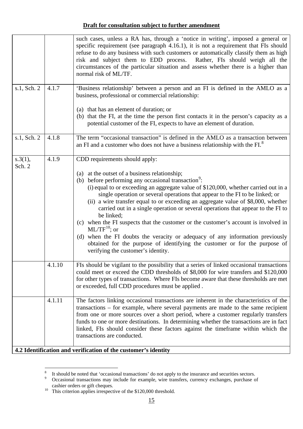|                            | such cases, unless a RA has, through a 'notice in writing', imposed a general or<br>specific requirement (see paragraph 4.16.1), it is not a requirement that FIs should<br>refuse to do any business with such customers or automatically classify them as high<br>risk and subject them to EDD process. Rather, FIs should weigh all the<br>circumstances of the particular situation and assess whether there is a higher than<br>normal risk of ML/TF.                     |
|----------------------------|--------------------------------------------------------------------------------------------------------------------------------------------------------------------------------------------------------------------------------------------------------------------------------------------------------------------------------------------------------------------------------------------------------------------------------------------------------------------------------|
| s.1, Sch. 2<br>4.1.7       | 'Business relationship' between a person and an FI is defined in the AMLO as a<br>business, professional or commercial relationship:                                                                                                                                                                                                                                                                                                                                           |
|                            | (a) that has an element of duration; or<br>(b) that the FI, at the time the person first contacts it in the person's capacity as a<br>potential customer of the FI, expects to have an element of duration.                                                                                                                                                                                                                                                                    |
| s.1, Sch. 2<br>4.1.8       | The term "occasional transaction" is defined in the AMLO as a transaction between<br>an FI and a customer who does not have a business relationship with the FI. <sup>8</sup>                                                                                                                                                                                                                                                                                                  |
| 4.1.9<br>s.3(1),<br>Sch. 2 | CDD requirements should apply:                                                                                                                                                                                                                                                                                                                                                                                                                                                 |
|                            | (a) at the outset of a business relationship;                                                                                                                                                                                                                                                                                                                                                                                                                                  |
|                            | (b) before performing any occasional transaction <sup>9</sup> :                                                                                                                                                                                                                                                                                                                                                                                                                |
|                            | (i) equal to or exceeding an aggregate value of \$120,000, whether carried out in a<br>single operation or several operations that appear to the FI to be linked; or                                                                                                                                                                                                                                                                                                           |
|                            | (ii) a wire transfer equal to or exceeding an aggregate value of \$8,000, whether<br>carried out in a single operation or several operations that appear to the FI to<br>be linked;                                                                                                                                                                                                                                                                                            |
|                            | (c) when the FI suspects that the customer or the customer's account is involved in<br>$ML/TF^{10}$ ; or                                                                                                                                                                                                                                                                                                                                                                       |
|                            | (d) when the FI doubts the veracity or adequacy of any information previously<br>obtained for the purpose of identifying the customer or for the purpose of<br>verifying the customer's identity.                                                                                                                                                                                                                                                                              |
| 4.1.10                     | FIs should be vigilant to the possibility that a series of linked occasional transactions<br>could meet or exceed the CDD thresholds of \$8,000 for wire transfers and \$120,000<br>for other types of transactions. Where FIs become aware that these thresholds are met<br>or exceeded, full CDD procedures must be applied.                                                                                                                                                 |
| 4.1.11                     | The factors linking occasional transactions are inherent in the characteristics of the<br>transactions – for example, where several payments are made to the same recipient<br>from one or more sources over a short period, where a customer regularly transfers<br>funds to one or more destinations. In determining whether the transactions are in fact<br>linked, FIs should consider these factors against the timeframe within which the<br>transactions are conducted. |
|                            | 4.2 Identification and verification of the customer's identity                                                                                                                                                                                                                                                                                                                                                                                                                 |

<span id="page-16-1"></span><span id="page-16-0"></span> $\frac{1}{8}$ 

<sup>&</sup>lt;sup>8</sup> It should be noted that 'occasional transactions' do not apply to the insurance and securities sectors.<br><sup>9</sup> Occasional transactions may include for example, wire transfers, currency exchanges, purchase o Occasional transactions may include for example, wire transfers, currency exchanges, purchase of cashier orders or gift cheques.<br><sup>10</sup> This criterion applies irrespective of the \$120,000 threshold.

<span id="page-16-2"></span>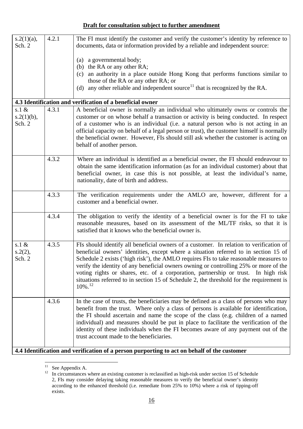| $s.2(1)(a)$ ,<br>Sch. 2             | 4.2.1 | The FI must identify the customer and verify the customer's identity by reference to<br>documents, data or information provided by a reliable and independent source:                                                                                                                                                                                                                                                                                                                                                                                                       |
|-------------------------------------|-------|-----------------------------------------------------------------------------------------------------------------------------------------------------------------------------------------------------------------------------------------------------------------------------------------------------------------------------------------------------------------------------------------------------------------------------------------------------------------------------------------------------------------------------------------------------------------------------|
|                                     |       | a governmental body;<br>(a)<br>the RA or any other RA;<br>(b)<br>an authority in a place outside Hong Kong that performs functions similar to<br>(c)<br>those of the RA or any other RA; or<br>(d) any other reliable and independent source <sup>11</sup> that is recognized by the RA.                                                                                                                                                                                                                                                                                    |
|                                     |       | 4.3 Identification and verification of a beneficial owner                                                                                                                                                                                                                                                                                                                                                                                                                                                                                                                   |
| s.1 $\&$<br>$s.2(1)(b)$ ,<br>Sch. 2 | 4.3.1 | A beneficial owner is normally an individual who ultimately owns or controls the<br>customer or on whose behalf a transaction or activity is being conducted. In respect<br>of a customer who is an individual (i.e. a natural person who is not acting in an<br>official capacity on behalf of a legal person or trust), the customer himself is normally<br>the beneficial owner. However, FIs should still ask whether the customer is acting on<br>behalf of another person.                                                                                            |
|                                     | 4.3.2 | Where an individual is identified as a beneficial owner, the FI should endeavour to<br>obtain the same identification information (as for an individual customer) about that<br>beneficial owner, in case this is not possible, at least the individual's name,<br>nationality, date of birth and address.                                                                                                                                                                                                                                                                  |
|                                     | 4.3.3 | The verification requirements under the AMLO are, however, different for a<br>customer and a beneficial owner.                                                                                                                                                                                                                                                                                                                                                                                                                                                              |
|                                     | 4.3.4 | The obligation to verify the identity of a beneficial owner is for the FI to take<br>reasonable measures, based on its assessment of the ML/TF risks, so that it is<br>satisfied that it knows who the beneficial owner is.                                                                                                                                                                                                                                                                                                                                                 |
| s.1 $\&$<br>s.2(2),<br>Sch. 2       | 4.3.5 | FIs should identify all beneficial owners of a customer. In relation to verification of<br>beneficial owners' identities, except where a situation referred to in section 15 of<br>Schedule 2 exists ('high risk'), the AMLO requires FIs to take reasonable measures to<br>verify the identity of any beneficial owners owning or controlling 25% or more of the<br>voting rights or shares, etc. of a corporation, partnership or trust. In high risk<br>situations referred to in section 15 of Schedule 2, the threshold for the requirement is<br>$10\%$ <sup>12</sup> |
|                                     | 4.3.6 | In the case of trusts, the beneficiaries may be defined as a class of persons who may<br>benefit from the trust. Where only a class of persons is available for identification,<br>the FI should ascertain and name the scope of the class (e.g. children of a named<br>individual) and measures should be put in place to facilitate the verification of the<br>identity of these individuals when the FI becomes aware of any payment out of the<br>trust account made to the beneficiaries.                                                                              |
|                                     |       | 4.4 Identification and verification of a person purporting to act on behalf of the customer                                                                                                                                                                                                                                                                                                                                                                                                                                                                                 |

<span id="page-17-1"></span><span id="page-17-0"></span> $11^{\circ}$  $11 \n\text{See Appendix A.}$ 

<sup>12</sup> In circumstances where an existing customer is reclassified as high-risk under section 15 of Schedule 2, FIs may consider delaying taking reasonable measures to verify the beneficial owner's identity according to the enhanced threshold (i.e. remediate from 25% to 10%) where a risk of tipping-off exists.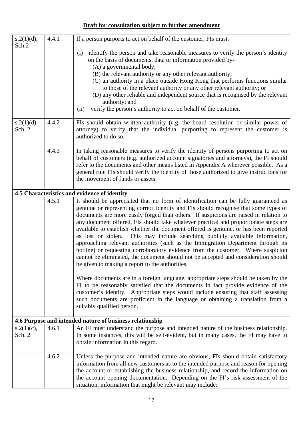| s.2(1)(d),<br>Sch.2     | 4.4.1 | If a person purports to act on behalf of the customer, FIs must:                                                                                                                                                                                                                                                                                                                                                                                                                                                                                                                                                                                                                                                                                                   |
|-------------------------|-------|--------------------------------------------------------------------------------------------------------------------------------------------------------------------------------------------------------------------------------------------------------------------------------------------------------------------------------------------------------------------------------------------------------------------------------------------------------------------------------------------------------------------------------------------------------------------------------------------------------------------------------------------------------------------------------------------------------------------------------------------------------------------|
|                         |       | identify the person and take reasonable measures to verify the person's identity<br>(i)<br>on the basis of documents, data or information provided by-                                                                                                                                                                                                                                                                                                                                                                                                                                                                                                                                                                                                             |
|                         |       | (A) a governmental body;                                                                                                                                                                                                                                                                                                                                                                                                                                                                                                                                                                                                                                                                                                                                           |
|                         |       | (B) the relevant authority or any other relevant authority;<br>(C) an authority in a place outside Hong Kong that performs functions similar                                                                                                                                                                                                                                                                                                                                                                                                                                                                                                                                                                                                                       |
|                         |       | to those of the relevant authority or any other relevant authority; or<br>(D) any other reliable and independent source that is recognised by the relevant                                                                                                                                                                                                                                                                                                                                                                                                                                                                                                                                                                                                         |
|                         |       | authority; and                                                                                                                                                                                                                                                                                                                                                                                                                                                                                                                                                                                                                                                                                                                                                     |
|                         |       | verify the person's authority to act on behalf of the customer.<br>(ii)                                                                                                                                                                                                                                                                                                                                                                                                                                                                                                                                                                                                                                                                                            |
| s.2(1)(d),<br>Sch. 2    | 4.4.2 | FIs should obtain written authority (e.g. the board resolution or similar power of<br>attorney) to verify that the individual purporting to represent the customer is<br>authorized to do so.                                                                                                                                                                                                                                                                                                                                                                                                                                                                                                                                                                      |
|                         | 4.4.3 | In taking reasonable measures to verify the identity of persons purporting to act on<br>behalf of customers (e.g. authorized account signatories and attorneys), the FI should<br>refer to the documents and other means listed in Appendix A wherever possible. As a<br>general rule FIs should verify the identity of those authorized to give instructions for<br>the movement of funds or assets.                                                                                                                                                                                                                                                                                                                                                              |
|                         |       | 4.5 Characteristics and evidence of identity                                                                                                                                                                                                                                                                                                                                                                                                                                                                                                                                                                                                                                                                                                                       |
|                         | 4.5.1 | It should be appreciated that no form of identification can be fully guaranteed as                                                                                                                                                                                                                                                                                                                                                                                                                                                                                                                                                                                                                                                                                 |
|                         |       | genuine or representing correct identity and FIs should recognise that some types of<br>documents are more easily forged than others. If suspicions are raised in relation to<br>any document offered, FIs should take whatever practical and proportionate steps are<br>available to establish whether the document offered is genuine, or has been reported<br>This may include searching publicly available information,<br>as lost or stolen.<br>approaching relevant authorities (such as the Immigration Department through its<br>hotline) or requesting corroboratory evidence from the customer. Where suspicion<br>cannot be eliminated, the document should not be accepted and consideration should<br>be given to making a report to the authorities. |
|                         |       | Where documents are in a foreign language, appropriate steps should be taken by the<br>FI to be reasonably satisfied that the documents in fact provide evidence of the<br>customer's identity. Appropriate steps would include ensuring that staff assessing<br>such documents are proficient in the language or obtaining a translation from a<br>suitably qualified person.                                                                                                                                                                                                                                                                                                                                                                                     |
|                         |       | 4.6 Purpose and intended nature of business relationship                                                                                                                                                                                                                                                                                                                                                                                                                                                                                                                                                                                                                                                                                                           |
| $s.2(1)(c)$ ,<br>Sch. 2 | 4.6.1 | An FI must understand the purpose and intended nature of the business relationship.<br>In some instances, this will be self-evident, but in many cases, the FI may have to<br>obtain information in this regard.                                                                                                                                                                                                                                                                                                                                                                                                                                                                                                                                                   |
|                         | 4.6.2 | Unless the purpose and intended nature are obvious, FIs should obtain satisfactory                                                                                                                                                                                                                                                                                                                                                                                                                                                                                                                                                                                                                                                                                 |
|                         |       | information from all new customers as to the intended purpose and reason for opening                                                                                                                                                                                                                                                                                                                                                                                                                                                                                                                                                                                                                                                                               |
|                         |       | the account or establishing the business relationship, and record the information on<br>the account opening documentation. Depending on the FI's risk assessment of the                                                                                                                                                                                                                                                                                                                                                                                                                                                                                                                                                                                            |
|                         |       | situation, information that might be relevant may include:                                                                                                                                                                                                                                                                                                                                                                                                                                                                                                                                                                                                                                                                                                         |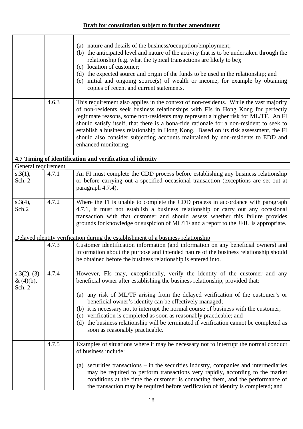|                                       |       | (a) nature and details of the business/occupation/employment;<br>(b) the anticipated level and nature of the activity that is to be undertaken through the<br>relationship (e.g. what the typical transactions are likely to be);<br>(c) location of customer;<br>(d) the expected source and origin of the funds to be used in the relationship; and<br>(e) initial and ongoing source(s) of wealth or income, for example by obtaining<br>copies of recent and current statements.                                                                             |
|---------------------------------------|-------|------------------------------------------------------------------------------------------------------------------------------------------------------------------------------------------------------------------------------------------------------------------------------------------------------------------------------------------------------------------------------------------------------------------------------------------------------------------------------------------------------------------------------------------------------------------|
|                                       | 4.6.3 | This requirement also applies in the context of non-residents. While the vast majority<br>of non-residents seek business relationships with FIs in Hong Kong for perfectly<br>legitimate reasons, some non-residents may represent a higher risk for ML/TF. An FI<br>should satisfy itself, that there is a bona-fide rationale for a non-resident to seek to<br>establish a business relationship in Hong Kong. Based on its risk assessment, the FI<br>should also consider subjecting accounts maintained by non-residents to EDD and<br>enhanced monitoring. |
|                                       |       | 4.7 Timing of identification and verification of identity                                                                                                                                                                                                                                                                                                                                                                                                                                                                                                        |
| General requirement                   |       |                                                                                                                                                                                                                                                                                                                                                                                                                                                                                                                                                                  |
| s.3(1),<br>Sch. 2                     | 4.7.1 | An FI must complete the CDD process before establishing any business relationship<br>or before carrying out a specified occasional transaction (exceptions are set out at<br>paragraph 4.7.4).                                                                                                                                                                                                                                                                                                                                                                   |
| s.3(4),<br>Sch.2                      | 4.7.2 | Where the FI is unable to complete the CDD process in accordance with paragraph<br>4.7.1, it must not establish a business relationship or carry out any occasional<br>transaction with that customer and should assess whether this failure provides<br>grounds for knowledge or suspicion of ML/TF and a report to the JFIU is appropriate.                                                                                                                                                                                                                    |
|                                       |       | Delayed identity verification during the establishment of a business relationship                                                                                                                                                                                                                                                                                                                                                                                                                                                                                |
|                                       | 4.7.3 | Customer identification information (and information on any beneficial owners) and<br>information about the purpose and intended nature of the business relationship should<br>be obtained before the business relationship is entered into.                                                                                                                                                                                                                                                                                                                     |
| s.3(2), (3)<br>$\&$ (4)(b),<br>Sch. 2 | 4.7.4 | However, FIs may, exceptionally, verify the identity of the customer and any<br>beneficial owner after establishing the business relationship, provided that:                                                                                                                                                                                                                                                                                                                                                                                                    |
|                                       |       | (a) any risk of ML/TF arising from the delayed verification of the customer's or<br>beneficial owner's identity can be effectively managed;<br>(b) it is necessary not to interrupt the normal course of business with the customer;<br>(c) verification is completed as soon as reasonably practicable; and<br>(d) the business relationship will be terminated if verification cannot be completed as<br>soon as reasonably practicable.                                                                                                                       |
|                                       | 4.7.5 | Examples of situations where it may be necessary not to interrupt the normal conduct<br>of business include:                                                                                                                                                                                                                                                                                                                                                                                                                                                     |
|                                       |       | securities transactions $-$ in the securities industry, companies and intermediaries<br>(a)<br>may be required to perform transactions very rapidly, according to the market<br>conditions at the time the customer is contacting them, and the performance of<br>the transaction may be required before verification of identity is completed; and                                                                                                                                                                                                              |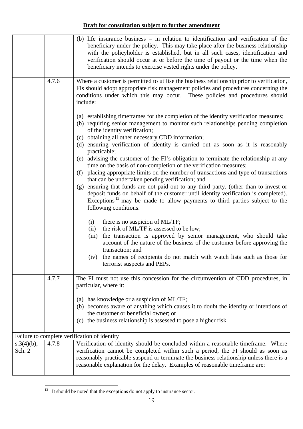|                         |       | (b) life insurance business $-$ in relation to identification and verification of the<br>beneficiary under the policy. This may take place after the business relationship<br>with the policyholder is established, but in all such cases, identification and<br>verification should occur at or before the time of payout or the time when the<br>beneficiary intends to exercise vested rights under the policy.                                                                                                                                                               |
|-------------------------|-------|----------------------------------------------------------------------------------------------------------------------------------------------------------------------------------------------------------------------------------------------------------------------------------------------------------------------------------------------------------------------------------------------------------------------------------------------------------------------------------------------------------------------------------------------------------------------------------|
|                         | 4.7.6 | Where a customer is permitted to utilise the business relationship prior to verification,<br>FIs should adopt appropriate risk management policies and procedures concerning the<br>conditions under which this may occur. These policies and procedures should<br>include:                                                                                                                                                                                                                                                                                                      |
|                         |       | (a) establishing time frames for the completion of the identity verification measures;<br>(b) requiring senior management to monitor such relationships pending completion<br>of the identity verification;<br>(c) obtaining all other necessary CDD information;<br>(d) ensuring verification of identity is carried out as soon as it is reasonably<br>practicable;                                                                                                                                                                                                            |
|                         |       | (e) advising the customer of the FI's obligation to terminate the relationship at any<br>time on the basis of non-completion of the verification measures;<br>(f) placing appropriate limits on the number of transactions and type of transactions<br>that can be undertaken pending verification; and<br>(g) ensuring that funds are not paid out to any third party, (other than to invest or<br>deposit funds on behalf of the customer until identity verification is completed).<br>Exceptions <sup>13</sup> may be made to allow payments to third parties subject to the |
|                         |       | following conditions:<br>there is no suspicion of ML/TF;<br>(i)<br>the risk of ML/TF is assessed to be low;<br>(ii)<br>the transaction is approved by senior management, who should take<br>(iii)<br>account of the nature of the business of the customer before approving the<br>transaction; and<br>(iv) the names of recipients do not match with watch lists such as those for<br>terrorist suspects and PEPs.                                                                                                                                                              |
|                         | 4.7.7 | The FI must not use this concession for the circumvention of CDD procedures, in<br>particular, where it:<br>has knowledge or a suspicion of ML/TF;<br>(a)<br>(b) becomes aware of anything which causes it to doubt the identity or intentions of<br>the customer or beneficial owner; or                                                                                                                                                                                                                                                                                        |
|                         |       | (c) the business relationship is assessed to pose a higher risk.<br>Failure to complete verification of identity                                                                                                                                                                                                                                                                                                                                                                                                                                                                 |
| $s.3(4)(b)$ ,<br>Sch. 2 | 4.7.8 | Verification of identity should be concluded within a reasonable timeframe. Where<br>verification cannot be completed within such a period, the FI should as soon as<br>reasonably practicable suspend or terminate the business relationship unless there is a<br>reasonable explanation for the delay. Examples of reasonable timeframe are:                                                                                                                                                                                                                                   |

<span id="page-20-0"></span> $13$  It should be noted that the exceptions do not apply to insurance sector.

 $\overline{a}$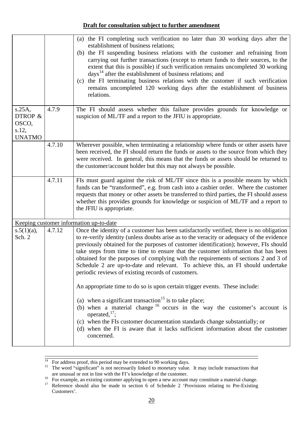|                                                         |        | (a) the FI completing such verification no later than 30 working days after the<br>establishment of business relations;<br>(b) the FI suspending business relations with the customer and refraining from<br>carrying out further transactions (except to return funds to their sources, to the<br>extent that this is possible) if such verification remains uncompleted 30 working<br>days <sup>14</sup> after the establishment of business relations; and<br>the FI terminating business relations with the customer if such verification<br>(c)<br>remains uncompleted 120 working days after the establishment of business<br>relations. |
|---------------------------------------------------------|--------|------------------------------------------------------------------------------------------------------------------------------------------------------------------------------------------------------------------------------------------------------------------------------------------------------------------------------------------------------------------------------------------------------------------------------------------------------------------------------------------------------------------------------------------------------------------------------------------------------------------------------------------------|
| $s.25A$ ,<br>DTROP &<br>OSCO,<br>s.12,<br><b>UNATMO</b> | 4.7.9  | The FI should assess whether this failure provides grounds for knowledge or<br>suspicion of ML/TF and a report to the JFIU is appropriate.                                                                                                                                                                                                                                                                                                                                                                                                                                                                                                     |
|                                                         | 4.7.10 | Wherever possible, when terminating a relationship where funds or other assets have<br>been received, the FI should return the funds or assets to the source from which they<br>were received. In general, this means that the funds or assets should be returned to<br>the customer/account holder but this may not always be possible.                                                                                                                                                                                                                                                                                                       |
|                                                         | 4.7.11 | FIs must guard against the risk of ML/TF since this is a possible means by which<br>funds can be "transformed", e.g. from cash into a cashier order. Where the customer<br>requests that money or other assets be transferred to third parties, the FI should assess<br>whether this provides grounds for knowledge or suspicion of ML/TF and a report to<br>the JFIU is appropriate.                                                                                                                                                                                                                                                          |
|                                                         |        | Keeping customer information up-to-date                                                                                                                                                                                                                                                                                                                                                                                                                                                                                                                                                                                                        |
| $s.5(1)(a)$ ,<br>Sch. 2                                 | 4.7.12 | Once the identity of a customer has been satisfactorily verified, there is no obligation<br>to re-verify identity (unless doubts arise as to the veracity or adequacy of the evidence<br>previously obtained for the purposes of customer identification); however, FIs should<br>take steps from time to time to ensure that the customer information that has been<br>obtained for the purposes of complying with the requirements of sections 2 and 3 of<br>Schedule 2 are up-to-date and relevant. To achieve this, an FI should undertake<br>periodic reviews of existing records of customers.                                           |
|                                                         |        | An appropriate time to do so is upon certain trigger events. These include:                                                                                                                                                                                                                                                                                                                                                                                                                                                                                                                                                                    |
|                                                         |        | (a) when a significant transaction <sup>15</sup> is to take place;<br>(b) when a material change $16$ occurs in the way the customer's account is<br>operated, $^{17}$ ;<br>(c) when the FIs customer documentation standards change substantially; or<br>(d) when the FI is aware that it lacks sufficient information about the customer<br>concerned.                                                                                                                                                                                                                                                                                       |

<span id="page-21-0"></span> $\frac{1}{14}$  For address proof, this period may be extended to 90 working days.

<span id="page-21-1"></span><sup>&</sup>lt;sup>15</sup> The word "significant" is not necessarily linked to monetary value. It may include transactions that are unusual or not in line with the FI's knowledge of the customer.

<span id="page-21-3"></span><span id="page-21-2"></span>are unusual or not in line with the FI's knowledge of the customer.<br>
<sup>16</sup> For example, an existing customer applying to open a new account may constitute a material change.<br>
<sup>17</sup> Reference should also be made to section 6

Reference should also be made to section 6 of Schedule 2 'Provisions relating to Pre-Existing Customers'.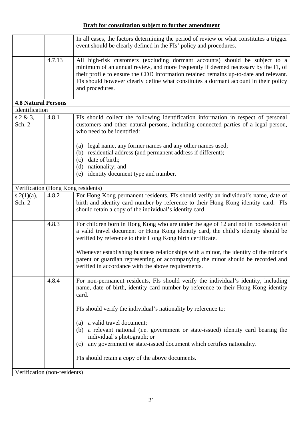|                              |        | In all cases, the factors determining the period of review or what constitutes a trigger<br>event should be clearly defined in the FIs' policy and procedures.                                                                                                                                                                                                                                                         |
|------------------------------|--------|------------------------------------------------------------------------------------------------------------------------------------------------------------------------------------------------------------------------------------------------------------------------------------------------------------------------------------------------------------------------------------------------------------------------|
|                              | 4.7.13 | All high-risk customers (excluding dormant accounts) should be subject to a<br>minimum of an annual review, and more frequently if deemed necessary by the FI, of<br>their profile to ensure the CDD information retained remains up-to-date and relevant.<br>FIs should however clearly define what constitutes a dormant account in their policy<br>and procedures.                                                  |
| <b>4.8 Natural Persons</b>   |        |                                                                                                                                                                                                                                                                                                                                                                                                                        |
| Identification               |        |                                                                                                                                                                                                                                                                                                                                                                                                                        |
| s.2 & 3,<br>Sch. 2           | 4.8.1  | FIs should collect the following identification information in respect of personal<br>customers and other natural persons, including connected parties of a legal person,<br>who need to be identified:                                                                                                                                                                                                                |
|                              |        | legal name, any former names and any other names used;<br>(a)<br>residential address (and permanent address if different);<br>(b)<br>date of birth;<br>(c)<br>nationality; and<br>(d)<br>identity document type and number.<br>(e)                                                                                                                                                                                     |
|                              |        |                                                                                                                                                                                                                                                                                                                                                                                                                        |
|                              |        | Verification (Hong Kong residents)                                                                                                                                                                                                                                                                                                                                                                                     |
| $s.2(1)(a)$ ,<br>Sch. 2      | 4.8.2  | For Hong Kong permanent residents, FIs should verify an individual's name, date of<br>birth and identity card number by reference to their Hong Kong identity card. FIs<br>should retain a copy of the individual's identity card.                                                                                                                                                                                     |
|                              | 4.8.3  | For children born in Hong Kong who are under the age of 12 and not in possession of<br>a valid travel document or Hong Kong identity card, the child's identity should be<br>verified by reference to their Hong Kong birth certificate.<br>Whenever establishing business relationships with a minor, the identity of the minor's<br>parent or guardian representing or accompanying the minor should be recorded and |
|                              |        | verified in accordance with the above requirements.                                                                                                                                                                                                                                                                                                                                                                    |
|                              | 4.8.4  | For non-permanent residents, FIs should verify the individual's identity, including<br>name, date of birth, identity card number by reference to their Hong Kong identity<br>card.                                                                                                                                                                                                                                     |
|                              |        | FIs should verify the individual's nationality by reference to:                                                                                                                                                                                                                                                                                                                                                        |
|                              |        | a valid travel document;<br>(a)<br>(b) a relevant national (i.e. government or state-issued) identity card bearing the<br>individual's photograph; or<br>(c) any government or state-issued document which certifies nationality.                                                                                                                                                                                      |
|                              |        | FIs should retain a copy of the above documents.                                                                                                                                                                                                                                                                                                                                                                       |
| Verification (non-residents) |        |                                                                                                                                                                                                                                                                                                                                                                                                                        |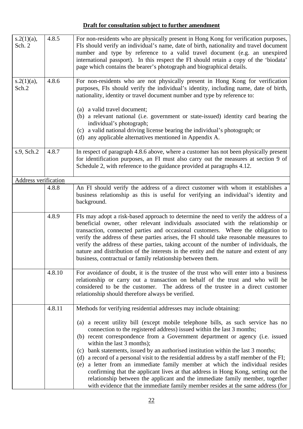| $s.2(1)(a)$ ,<br>Sch. 2 | 4.8.5  | For non-residents who are physically present in Hong Kong for verification purposes,<br>FIs should verify an individual's name, date of birth, nationality and travel document<br>number and type by reference to a valid travel document (e.g. an unexpired<br>international passport). In this respect the FI should retain a copy of the 'biodata'<br>page which contains the bearer's photograph and biographical details.                                                                                                                                                                                                                                                                                                                                                                      |
|-------------------------|--------|-----------------------------------------------------------------------------------------------------------------------------------------------------------------------------------------------------------------------------------------------------------------------------------------------------------------------------------------------------------------------------------------------------------------------------------------------------------------------------------------------------------------------------------------------------------------------------------------------------------------------------------------------------------------------------------------------------------------------------------------------------------------------------------------------------|
| $s.2(1)(a)$ ,<br>Sch.2  | 4.8.6  | For non-residents who are not physically present in Hong Kong for verification<br>purposes, FIs should verify the individual's identity, including name, date of birth,<br>nationality, identity or travel document number and type by reference to:                                                                                                                                                                                                                                                                                                                                                                                                                                                                                                                                                |
|                         |        | (a) a valid travel document;<br>(b) a relevant national (i.e. government or state-issued) identity card bearing the<br>individual's photograph;<br>(c) a valid national driving license bearing the individual's photograph; or<br>any applicable alternatives mentioned in Appendix A.<br>(d)                                                                                                                                                                                                                                                                                                                                                                                                                                                                                                      |
| s.9, Sch.2              | 4.8.7  | In respect of paragraph 4.8.6 above, where a customer has not been physically present<br>for identification purposes, an FI must also carry out the measures at section 9 of<br>Schedule 2, with reference to the guidance provided at paragraphs 4.12.                                                                                                                                                                                                                                                                                                                                                                                                                                                                                                                                             |
| Address verification    |        |                                                                                                                                                                                                                                                                                                                                                                                                                                                                                                                                                                                                                                                                                                                                                                                                     |
|                         | 4.8.8  | An FI should verify the address of a direct customer with whom it establishes a<br>business relationship as this is useful for verifying an individual's identity and<br>background.                                                                                                                                                                                                                                                                                                                                                                                                                                                                                                                                                                                                                |
|                         | 4.8.9  | FIs may adopt a risk-based approach to determine the need to verify the address of a<br>beneficial owner, other relevant individuals associated with the relationship or<br>transaction, connected parties and occasional customers. Where the obligation to<br>verify the address of these parties arises, the FI should take reasonable measures to<br>verify the address of these parties, taking account of the number of individuals, the<br>nature and distribution of the interests in the entity and the nature and extent of any<br>business, contractual or family relationship between them.                                                                                                                                                                                             |
|                         | 4.8.10 | For avoidance of doubt, it is the trustee of the trust who will enter into a business<br>relationship or carry out a transaction on behalf of the trust and who will be<br>considered to be the customer. The address of the trustee in a direct customer<br>relationship should therefore always be verified.                                                                                                                                                                                                                                                                                                                                                                                                                                                                                      |
|                         | 4.8.11 | Methods for verifying residential addresses may include obtaining:                                                                                                                                                                                                                                                                                                                                                                                                                                                                                                                                                                                                                                                                                                                                  |
|                         |        | (a) a recent utility bill (except mobile telephone bills, as such service has no<br>connection to the registered address) issued within the last 3 months;<br>(b) recent correspondence from a Government department or agency (i.e. issued<br>within the last 3 months);<br>(c) bank statements, issued by an authorised institution within the last 3 months;<br>(d) a record of a personal visit to the residential address by a staff member of the FI;<br>(e) a letter from an immediate family member at which the individual resides<br>confirming that the applicant lives at that address in Hong Kong, setting out the<br>relationship between the applicant and the immediate family member, together<br>with evidence that the immediate family member resides at the same address (for |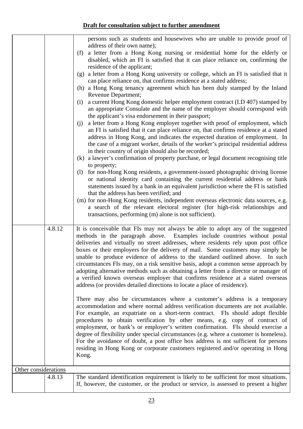|                      | persons such as students and housewives who are unable to provide proof of<br>address of their own name);<br>a letter from a Hong Kong nursing or residential home for the elderly or<br>(f)<br>disabled, which an FI is satisfied that it can place reliance on, confirming the<br>residence of the applicant;<br>a letter from a Hong Kong university or college, which an FI is satisfied that it<br>(g)<br>can place reliance on, that confirms residence at a stated address;<br>(h) a Hong Kong tenancy agreement which has been duly stamped by the Inland<br>Revenue Department;<br>a current Hong Kong domestic helper employment contract (I.D 407) stamped by<br>(i)<br>an appropriate Consulate and the name of the employer should correspond with<br>the applicant's visa endorsement in their passport;<br>a letter from a Hong Kong employer together with proof of employment, which<br>(j)                                                                                                                                                                                                                                                                                                                                                                         |
|----------------------|--------------------------------------------------------------------------------------------------------------------------------------------------------------------------------------------------------------------------------------------------------------------------------------------------------------------------------------------------------------------------------------------------------------------------------------------------------------------------------------------------------------------------------------------------------------------------------------------------------------------------------------------------------------------------------------------------------------------------------------------------------------------------------------------------------------------------------------------------------------------------------------------------------------------------------------------------------------------------------------------------------------------------------------------------------------------------------------------------------------------------------------------------------------------------------------------------------------------------------------------------------------------------------------|
|                      | an FI is satisfied that it can place reliance on, that confirms residence at a stated<br>address in Hong Kong, and indicates the expected duration of employment. In<br>the case of a migrant worker, details of the worker's principal residential address<br>in their country of origin should also be recorded;<br>(k) a lawyer's confirmation of property purchase, or legal document recognising title<br>to property;<br>for non-Hong Kong residents, a government-issued photographic driving license<br>(1)<br>or national identity card containing the current residential address or bank<br>statements issued by a bank in an equivalent jurisdiction where the FI is satisfied<br>that the address has been verified; and<br>(m) for non-Hong Kong residents, independent overseas electronic data sources, e.g.<br>a search of the relevant electoral register (for high-risk relationships and<br>transactions, performing (m) alone is not sufficient).                                                                                                                                                                                                                                                                                                               |
| 4.8.12               | It is conceivable that FIs may not always be able to adopt any of the suggested<br>methods in the paragraph above. Examples include countries without postal<br>deliveries and virtually no street addresses, where residents rely upon post office<br>boxes or their employers for the delivery of mail. Some customers may simply be<br>unable to produce evidence of address to the standard outlined above. In such<br>circumstances FIs may, on a risk sensitive basis, adopt a common sense approach by<br>adopting alternative methods such as obtaining a letter from a director or manager of<br>a verified known overseas employer that confirms residence at a stated overseas<br>address (or provides detailed directions to locate a place of residence).<br>There may also be circumstances where a customer's address is a temporary<br>accommodation and where normal address verification documents are not available.<br>For example, an expatriate on a short-term contract. FIs should adopt flexible<br>procedures to obtain verification by other means, e.g. copy of contract of<br>employment, or bank's or employer's written confirmation. FIs should exercise a<br>degree of flexibility under special circumstances (e.g. where a customer is homeless). |
|                      | For the avoidance of doubt, a post office box address is not sufficient for persons<br>residing in Hong Kong or corporate customers registered and/or operating in Hong<br>Kong.                                                                                                                                                                                                                                                                                                                                                                                                                                                                                                                                                                                                                                                                                                                                                                                                                                                                                                                                                                                                                                                                                                     |
| Other considerations |                                                                                                                                                                                                                                                                                                                                                                                                                                                                                                                                                                                                                                                                                                                                                                                                                                                                                                                                                                                                                                                                                                                                                                                                                                                                                      |
| 4.8.13               | The standard identification requirement is likely to be sufficient for most situations.<br>If, however, the customer, or the product or service, is assessed to present a higher                                                                                                                                                                                                                                                                                                                                                                                                                                                                                                                                                                                                                                                                                                                                                                                                                                                                                                                                                                                                                                                                                                     |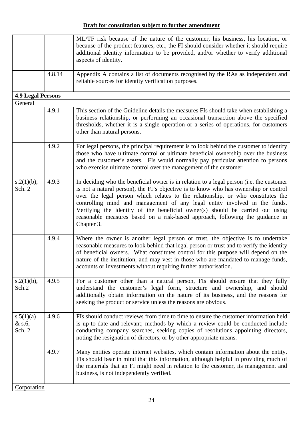|                                 |        | ML/TF risk because of the nature of the customer, his business, his location, or<br>because of the product features, etc., the FI should consider whether it should require<br>additional identity information to be provided, and/or whether to verify additional<br>aspects of identity.                                                                                                                                                                                                                                        |
|---------------------------------|--------|-----------------------------------------------------------------------------------------------------------------------------------------------------------------------------------------------------------------------------------------------------------------------------------------------------------------------------------------------------------------------------------------------------------------------------------------------------------------------------------------------------------------------------------|
|                                 | 4.8.14 | Appendix A contains a list of documents recognised by the RAs as independent and<br>reliable sources for identity verification purposes.                                                                                                                                                                                                                                                                                                                                                                                          |
| <b>4.9 Legal Persons</b>        |        |                                                                                                                                                                                                                                                                                                                                                                                                                                                                                                                                   |
| General                         | 4.9.1  | This section of the Guideline details the measures FIs should take when establishing a<br>business relationship, or performing an occasional transaction above the specified                                                                                                                                                                                                                                                                                                                                                      |
|                                 |        | thresholds, whether it is a single operation or a series of operations, for customers<br>other than natural persons.                                                                                                                                                                                                                                                                                                                                                                                                              |
|                                 | 4.9.2  | For legal persons, the principal requirement is to look behind the customer to identify<br>those who have ultimate control or ultimate beneficial ownership over the business<br>and the customer's assets. FIs would normally pay particular attention to persons<br>who exercise ultimate control over the management of the customer.                                                                                                                                                                                          |
| $s.2(1)(b)$ ,<br>Sch. 2         | 4.9.3  | In deciding who the beneficial owner is in relation to a legal person (i.e. the customer<br>is not a natural person), the FI's objective is to know who has ownership or control<br>over the legal person which relates to the relationship, or who constitutes the<br>controlling mind and management of any legal entity involved in the funds.<br>Verifying the identity of the beneficial owner(s) should be carried out using<br>reasonable measures based on a risk-based approach, following the guidance in<br>Chapter 3. |
|                                 | 4.9.4  | Where the owner is another legal person or trust, the objective is to undertake<br>reasonable measures to look behind that legal person or trust and to verify the identity<br>of beneficial owners. What constitutes control for this purpose will depend on the<br>nature of the institution, and may vest in those who are mandated to manage funds,<br>accounts or investments without requiring further authorisation.                                                                                                       |
| $s.2(1)(b)$ ,<br>Sch.2          | 4.9.5  | For a customer other than a natural person, FIs should ensure that they fully<br>understand the customer's legal form, structure and ownership, and should<br>additionally obtain information on the nature of its business, and the reasons for<br>seeking the product or service unless the reasons are obvious.                                                                                                                                                                                                                |
| s.5(1)(a)<br>$&$ s.6,<br>Sch. 2 | 4.9.6  | FIs should conduct reviews from time to time to ensure the customer information held<br>is up-to-date and relevant; methods by which a review could be conducted include<br>conducting company searches, seeking copies of resolutions appointing directors,<br>noting the resignation of directors, or by other appropriate means.                                                                                                                                                                                               |
|                                 | 4.9.7  | Many entities operate internet websites, which contain information about the entity.<br>FIs should bear in mind that this information, although helpful in providing much of<br>the materials that an FI might need in relation to the customer, its management and<br>business, is not independently verified.                                                                                                                                                                                                                   |
| Corporation                     |        |                                                                                                                                                                                                                                                                                                                                                                                                                                                                                                                                   |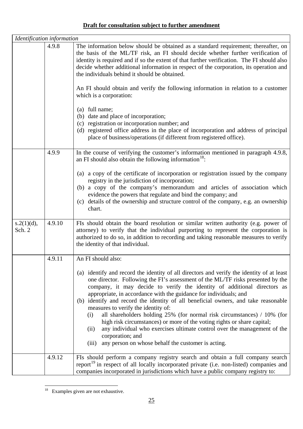| Identification information |        |                                                                                                                                                                                                                                                                                                                                                                                                                                                                                                                                                                                                                                                                                                                                                                                                |
|----------------------------|--------|------------------------------------------------------------------------------------------------------------------------------------------------------------------------------------------------------------------------------------------------------------------------------------------------------------------------------------------------------------------------------------------------------------------------------------------------------------------------------------------------------------------------------------------------------------------------------------------------------------------------------------------------------------------------------------------------------------------------------------------------------------------------------------------------|
|                            | 4.9.8  | The information below should be obtained as a standard requirement; thereafter, on<br>the basis of the ML/TF risk, an FI should decide whether further verification of<br>identity is required and if so the extent of that further verification. The FI should also<br>decide whether additional information in respect of the corporation, its operation and<br>the individuals behind it should be obtained.                                                                                                                                                                                                                                                                                                                                                                                |
|                            |        | An FI should obtain and verify the following information in relation to a customer<br>which is a corporation:                                                                                                                                                                                                                                                                                                                                                                                                                                                                                                                                                                                                                                                                                  |
|                            |        | (a) full name;<br>(b) date and place of incorporation;<br>(c) registration or incorporation number; and<br>(d) registered office address in the place of incorporation and address of principal<br>place of business/operations (if different from registered office).                                                                                                                                                                                                                                                                                                                                                                                                                                                                                                                         |
|                            | 4.9.9  | In the course of verifying the customer's information mentioned in paragraph 4.9.8,<br>an FI should also obtain the following information <sup>18</sup> :                                                                                                                                                                                                                                                                                                                                                                                                                                                                                                                                                                                                                                      |
|                            |        | (a) a copy of the certificate of incorporation or registration issued by the company<br>registry in the jurisdiction of incorporation;<br>(b) a copy of the company's memorandum and articles of association which<br>evidence the powers that regulate and bind the company; and<br>(c) details of the ownership and structure control of the company, e.g. an ownership<br>chart.                                                                                                                                                                                                                                                                                                                                                                                                            |
| s.2(1)(d),<br>Sch. 2       | 4.9.10 | FIs should obtain the board resolution or similar written authority (e.g. power of<br>attorney) to verify that the individual purporting to represent the corporation is<br>authorized to do so, in addition to recording and taking reasonable measures to verify<br>the identity of that individual.                                                                                                                                                                                                                                                                                                                                                                                                                                                                                         |
|                            | 4.9.11 | An FI should also:                                                                                                                                                                                                                                                                                                                                                                                                                                                                                                                                                                                                                                                                                                                                                                             |
|                            |        | (a) identify and record the identity of all directors and verify the identity of at least<br>one director. Following the FI's assessment of the ML/TF risks presented by the<br>company, it may decide to verify the identity of additional directors as<br>appropriate, in accordance with the guidance for individuals; and<br>(b) identify and record the identity of all beneficial owners, and take reasonable<br>measures to verify the identity of:<br>all shareholders holding $25\%$ (for normal risk circumstances) / 10% (for<br>(i)<br>high risk circumstances) or more of the voting rights or share capital;<br>any individual who exercises ultimate control over the management of the<br>(ii)<br>corporation; and<br>(iii) any person on whose behalf the customer is acting. |
|                            | 4.9.12 | FIs should perform a company registry search and obtain a full company search<br>report <sup>19</sup> in respect of all locally incorporated private (i.e. non-listed) companies and<br>companies incorporated in jurisdictions which have a public company registry to:                                                                                                                                                                                                                                                                                                                                                                                                                                                                                                                       |

<span id="page-26-1"></span><span id="page-26-0"></span> $\overline{a}$  $18$  Examples given are not exhaustive.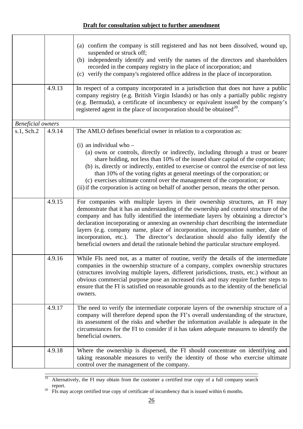|                          | 4.9.13 | (a) confirm the company is still registered and has not been dissolved, wound up,<br>suspended or struck off;<br>(b) independently identify and verify the names of the directors and shareholders<br>recorded in the company registry in the place of incorporation; and<br>(c) verify the company's registered office address in the place of incorporation.<br>In respect of a company incorporated in a jurisdiction that does not have a public<br>company registry (e.g. British Virgin Islands) or has only a partially public registry                                                                     |
|--------------------------|--------|--------------------------------------------------------------------------------------------------------------------------------------------------------------------------------------------------------------------------------------------------------------------------------------------------------------------------------------------------------------------------------------------------------------------------------------------------------------------------------------------------------------------------------------------------------------------------------------------------------------------|
|                          |        | (e.g. Bermuda), a certificate of incumbency or equivalent issued by the company's<br>registered agent in the place of incorporation should be obtained <sup>20</sup> .                                                                                                                                                                                                                                                                                                                                                                                                                                             |
| <b>Beneficial</b> owners |        |                                                                                                                                                                                                                                                                                                                                                                                                                                                                                                                                                                                                                    |
| s.1, Sch.2               | 4.9.14 | The AMLO defines beneficial owner in relation to a corporation as:                                                                                                                                                                                                                                                                                                                                                                                                                                                                                                                                                 |
|                          |        | $(i)$ an individual who –<br>(a) owns or controls, directly or indirectly, including through a trust or bearer<br>share holding, not less than 10% of the issued share capital of the corporation;<br>(b) is, directly or indirectly, entitled to exercise or control the exercise of not less<br>than 10% of the voting rights at general meetings of the corporation; or<br>(c) exercises ultimate control over the management of the corporation; or                                                                                                                                                            |
|                          |        | (ii) if the corporation is acting on behalf of another person, means the other person.                                                                                                                                                                                                                                                                                                                                                                                                                                                                                                                             |
|                          | 4.9.15 | For companies with multiple layers in their ownership structures, an FI may<br>demonstrate that it has an understanding of the ownership and control structure of the<br>company and has fully identified the intermediate layers by obtaining a director's<br>declaration incorporating or annexing an ownership chart describing the intermediate<br>layers (e.g. company name, place of incorporation, incorporation number, date of<br>incorporation, etc.). The director's declaration should also fully identify the<br>beneficial owners and detail the rationale behind the particular structure employed. |
|                          | 4.9.16 | While FIs need not, as a matter of routine, verify the details of the intermediate<br>companies in the ownership structure of a company, complex ownership structures<br>(structures involving multiple layers, different jurisdictions, trusts, etc.) without an<br>obvious commercial purpose pose an increased risk and may require further steps to<br>ensure that the FI is satisfied on reasonable grounds as to the identity of the beneficial<br>owners.                                                                                                                                                   |
|                          | 4.9.17 | The need to verify the intermediate corporate layers of the ownership structure of a<br>company will therefore depend upon the FI's overall understanding of the structure,<br>its assessment of the risks and whether the information available is adequate in the<br>circumstances for the FI to consider if it has taken adequate measures to identify the<br>beneficial owners.                                                                                                                                                                                                                                |
|                          | 4.9.18 | Where the ownership is dispersed, the FI should concentrate on identifying and<br>taking reasonable measures to verify the identity of those who exercise ultimate<br>control over the management of the company.                                                                                                                                                                                                                                                                                                                                                                                                  |

<sup>19</sup> Alternatively, the FI may obtain from the customer a certified true copy of a full company search report.<br><sup>20</sup> FIs may accept certified true copy of certificate of incumbency that is issued within 6 months.

<span id="page-27-0"></span>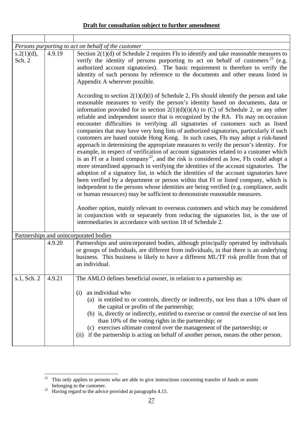|                      |        | Persons purporting to act on behalf of the customer                                                                                                                                                                                                                                                                                                                                                                                                                                                                                                                                                                                                                                                                                                                                                                                                                                                                                                                                                                                                                                                                                                                                                                                                                                                                                                                                                                                                                                                                                                                                                            |
|----------------------|--------|----------------------------------------------------------------------------------------------------------------------------------------------------------------------------------------------------------------------------------------------------------------------------------------------------------------------------------------------------------------------------------------------------------------------------------------------------------------------------------------------------------------------------------------------------------------------------------------------------------------------------------------------------------------------------------------------------------------------------------------------------------------------------------------------------------------------------------------------------------------------------------------------------------------------------------------------------------------------------------------------------------------------------------------------------------------------------------------------------------------------------------------------------------------------------------------------------------------------------------------------------------------------------------------------------------------------------------------------------------------------------------------------------------------------------------------------------------------------------------------------------------------------------------------------------------------------------------------------------------------|
| s.2(1)(d),<br>Sch. 2 | 4.9.19 | Section $2(1)(d)$ of Schedule 2 requires FIs to identify and take reasonable measures to<br>verify the identity of persons purporting to act on behalf of customers <sup>21</sup> (e.g.<br>authorized account signatories). The basic requirement is therefore to verify the<br>identity of such persons by reference to the documents and other means listed in<br>Appendix A wherever possible.                                                                                                                                                                                                                                                                                                                                                                                                                                                                                                                                                                                                                                                                                                                                                                                                                                                                                                                                                                                                                                                                                                                                                                                                              |
|                      |        | According to section $2(1)(d)(i)$ of Schedule 2, FIs should identify the person and take<br>reasonable measures to verify the person's identity based on documents, data or<br>information provided for in section $2(1)(d)(i)(A)$ to (C) of Schedule 2, or any other<br>reliable and independent source that is recognized by the RA. FIs may on occasion<br>encounter difficulties in verifying all signatories of customers such as listed<br>companies that may have very long lists of authorized signatories, particularly if such<br>customers are based outside Hong Kong. In such cases, FIs may adopt a risk-based<br>approach in determining the appropriate measures to verify the person's identity. For<br>example, in respect of verification of account signatories related to a customer which<br>is an FI or a listed company <sup>22</sup> , and the risk is considered as low, FIs could adopt a<br>more streamlined approach in verifying the identities of the account signatories. The<br>adoption of a signatory list, in which the identities of the account signatories have<br>been verified by a department or person within that FI or listed company, which is<br>independent to the persons whose identities are being verified (e.g. compliance, audit<br>or human resources) may be sufficient to demonstrate reasonable measures.<br>Another option, mainly relevant to overseas customers and which may be considered<br>in conjunction with or separately from reducing the signatories list, is the use of<br>intermediaries in accordance with section 18 of Schedule 2. |
|                      |        | Partnerships and unincorporated bodies                                                                                                                                                                                                                                                                                                                                                                                                                                                                                                                                                                                                                                                                                                                                                                                                                                                                                                                                                                                                                                                                                                                                                                                                                                                                                                                                                                                                                                                                                                                                                                         |
|                      | 4.9.20 | Partnerships and unincorporated bodies, although principally operated by individuals<br>or groups of individuals, are different from individuals, in that there is an underlying<br>business. This business is likely to have a different ML/TF risk profile from that of<br>an individual                                                                                                                                                                                                                                                                                                                                                                                                                                                                                                                                                                                                                                                                                                                                                                                                                                                                                                                                                                                                                                                                                                                                                                                                                                                                                                                     |
| s.1, Sch. 2          | 4.9.21 | The AMLO defines beneficial owner, in relation to a partnership as:<br>an individual who<br>(i)<br>(a) is entitled to or controls, directly or indirectly, not less than a 10% share of<br>the capital or profits of the partnership;<br>(b) is, directly or indirectly, entitled to exercise or control the exercise of not less<br>than 10% of the voting rights in the partnership; or<br>(c) exercises ultimate control over the management of the partnership; or<br>if the partnership is acting on behalf of another person, means the other person.<br>(ii)                                                                                                                                                                                                                                                                                                                                                                                                                                                                                                                                                                                                                                                                                                                                                                                                                                                                                                                                                                                                                                            |

<span id="page-28-0"></span> $\overline{a}$  $21$  This only applies to persons who are able to give instructions concerning transfer of funds or assets belonging to the customer.<br><sup>22</sup> Having regard to the advice provided at paragraphs 4.15.

<span id="page-28-1"></span>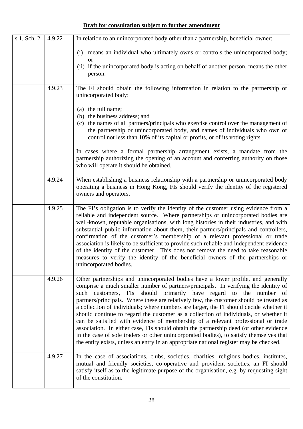| s.1, Sch. 2 | 4.9.22 | In relation to an unincorporated body other than a partnership, beneficial owner:                                                                                                                                                                                                                                                                                                                                                                                                                                                                                                                                                                                                                                                                                                                                                                                                           |
|-------------|--------|---------------------------------------------------------------------------------------------------------------------------------------------------------------------------------------------------------------------------------------------------------------------------------------------------------------------------------------------------------------------------------------------------------------------------------------------------------------------------------------------------------------------------------------------------------------------------------------------------------------------------------------------------------------------------------------------------------------------------------------------------------------------------------------------------------------------------------------------------------------------------------------------|
|             |        | means an individual who ultimately owns or controls the unincorporated body;<br>(i)<br><sub>or</sub>                                                                                                                                                                                                                                                                                                                                                                                                                                                                                                                                                                                                                                                                                                                                                                                        |
|             |        | (ii) if the unincorporated body is acting on behalf of another person, means the other<br>person.                                                                                                                                                                                                                                                                                                                                                                                                                                                                                                                                                                                                                                                                                                                                                                                           |
|             | 4.9.23 | The FI should obtain the following information in relation to the partnership or<br>unincorporated body:                                                                                                                                                                                                                                                                                                                                                                                                                                                                                                                                                                                                                                                                                                                                                                                    |
|             |        | (a) the full name;<br>(b) the business address; and<br>(c) the names of all partners/principals who exercise control over the management of<br>the partnership or unincorporated body, and names of individuals who own or<br>control not less than 10% of its capital or profits, or of its voting rights.                                                                                                                                                                                                                                                                                                                                                                                                                                                                                                                                                                                 |
|             |        | In cases where a formal partnership arrangement exists, a mandate from the<br>partnership authorizing the opening of an account and conferring authority on those<br>who will operate it should be obtained.                                                                                                                                                                                                                                                                                                                                                                                                                                                                                                                                                                                                                                                                                |
|             | 4.9.24 | When establishing a business relationship with a partnership or unincorporated body<br>operating a business in Hong Kong, FIs should verify the identity of the registered<br>owners and operators.                                                                                                                                                                                                                                                                                                                                                                                                                                                                                                                                                                                                                                                                                         |
|             | 4.9.25 | The FI's obligation is to verify the identity of the customer using evidence from a<br>reliable and independent source. Where partnerships or unincorporated bodies are<br>well-known, reputable organisations, with long histories in their industries, and with<br>substantial public information about them, their partners/principals and controllers,<br>confirmation of the customer's membership of a relevant professional or trade<br>association is likely to be sufficient to provide such reliable and independent evidence<br>of the identity of the customer. This does not remove the need to take reasonable<br>measures to verify the identity of the beneficial owners of the partnerships or<br>unincorporated bodies.                                                                                                                                                   |
|             | 4.9.26 | Other partnerships and unincorporated bodies have a lower profile, and generally<br>comprise a much smaller number of partners/principals. In verifying the identity of<br>such customers, FIs should primarily have regard to the number of<br>partners/principals. Where these are relatively few, the customer should be treated as<br>a collection of individuals; where numbers are larger, the FI should decide whether it<br>should continue to regard the customer as a collection of individuals, or whether it<br>can be satisfied with evidence of membership of a relevant professional or trade<br>association. In either case, FIs should obtain the partnership deed (or other evidence<br>in the case of sole traders or other unincorporated bodies), to satisfy themselves that<br>the entity exists, unless an entry in an appropriate national register may be checked. |
|             | 4.9.27 | In the case of associations, clubs, societies, charities, religious bodies, institutes,<br>mutual and friendly societies, co-operative and provident societies, an FI should<br>satisfy itself as to the legitimate purpose of the organisation, e.g. by requesting sight<br>of the constitution.                                                                                                                                                                                                                                                                                                                                                                                                                                                                                                                                                                                           |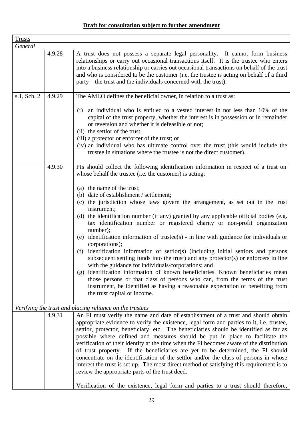| <b>Trusts</b> |        |                                                                                                                                                                                                                                                                                                                                                                                                                                                                                                                                                                                                                                                                                                                                                                                  |
|---------------|--------|----------------------------------------------------------------------------------------------------------------------------------------------------------------------------------------------------------------------------------------------------------------------------------------------------------------------------------------------------------------------------------------------------------------------------------------------------------------------------------------------------------------------------------------------------------------------------------------------------------------------------------------------------------------------------------------------------------------------------------------------------------------------------------|
| General       |        |                                                                                                                                                                                                                                                                                                                                                                                                                                                                                                                                                                                                                                                                                                                                                                                  |
|               | 4.9.28 | A trust does not possess a separate legal personality. It cannot form business<br>relationships or carry out occasional transactions itself. It is the trustee who enters<br>into a business relationship or carries out occasional transactions on behalf of the trust<br>and who is considered to be the customer (i.e. the trustee is acting on behalf of a third<br>party – the trust and the individuals concerned with the trust).                                                                                                                                                                                                                                                                                                                                         |
| s.1, Sch. 2   | 4.9.29 | The AMLO defines the beneficial owner, in relation to a trust as:                                                                                                                                                                                                                                                                                                                                                                                                                                                                                                                                                                                                                                                                                                                |
|               |        | an individual who is entitled to a vested interest in not less than 10% of the<br>(i)<br>capital of the trust property, whether the interest is in possession or in remainder<br>or reversion and whether it is defeasible or not;<br>(ii) the settlor of the trust;<br>(iii) a protector or enforcer of the trust; or<br>(iv) an individual who has ultimate control over the trust (this would include the<br>trustee in situations where the trustee is not the direct customer).                                                                                                                                                                                                                                                                                             |
|               | 4.9.30 | FIs should collect the following identification information in respect of a trust on<br>whose behalf the trustee (i.e. the customer) is acting:                                                                                                                                                                                                                                                                                                                                                                                                                                                                                                                                                                                                                                  |
|               |        | (a) the name of the trust;<br>(b) date of establishment / settlement;                                                                                                                                                                                                                                                                                                                                                                                                                                                                                                                                                                                                                                                                                                            |
|               |        | (c) the jurisdiction whose laws govern the arrangement, as set out in the trust<br>instrument;                                                                                                                                                                                                                                                                                                                                                                                                                                                                                                                                                                                                                                                                                   |
|               |        | (d) the identification number (if any) granted by any applicable official bodies (e.g.<br>tax identification number or registered charity or non-profit organization<br>number);                                                                                                                                                                                                                                                                                                                                                                                                                                                                                                                                                                                                 |
|               |        | (e) identification information of trustee(s) - in line with guidance for individuals or<br>corporations);                                                                                                                                                                                                                                                                                                                                                                                                                                                                                                                                                                                                                                                                        |
|               |        | identification information of settlor(s) (including initial settlors and persons<br>(f)<br>subsequent settling funds into the trust) and any protector(s) or enforcers in line<br>with the guidance for individuals/corporations; and                                                                                                                                                                                                                                                                                                                                                                                                                                                                                                                                            |
|               |        | (g) identification information of known beneficiaries. Known beneficiaries mean<br>those persons or that class of persons who can, from the terms of the trust<br>instrument, be identified as having a reasonable expectation of benefiting from<br>the trust capital or income.                                                                                                                                                                                                                                                                                                                                                                                                                                                                                                |
|               |        | Verifying the trust and placing reliance on the trustees                                                                                                                                                                                                                                                                                                                                                                                                                                                                                                                                                                                                                                                                                                                         |
|               | 4.9.31 | An FI must verify the name and date of establishment of a trust and should obtain<br>appropriate evidence to verify the existence, legal form and parties to it, i.e. trustee,<br>settlor, protector, beneficiary, etc. The beneficiaries should be identified as far as<br>possible where defined and measures should be put in place to facilitate the<br>verification of their identity at the time when the FI becomes aware of the distribution<br>of trust property. If the beneficiaries are yet to be determined, the FI should<br>concentrate on the identification of the settlor and/or the class of persons in whose<br>interest the trust is set up. The most direct method of satisfying this requirement is to<br>review the appropriate parts of the trust deed. |
|               |        | Verification of the existence, legal form and parties to a trust should therefore,                                                                                                                                                                                                                                                                                                                                                                                                                                                                                                                                                                                                                                                                                               |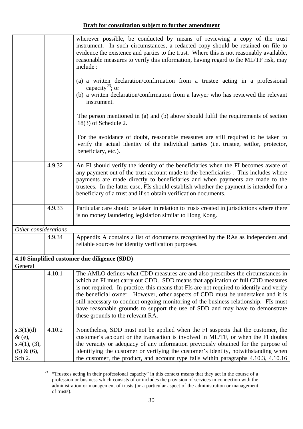|                                                                   |        | wherever possible, be conducted by means of reviewing a copy of the trust<br>instrument. In such circumstances, a redacted copy should be retained on file to<br>evidence the existence and parties to the trust. Where this is not reasonably available,<br>reasonable measures to verify this information, having regard to the ML/TF risk, may<br>include:<br>(a) a written declaration/confirmation from a trustee acting in a professional<br>capacity <sup>23</sup> ; or<br>(b) a written declaration/confirmation from a lawyer who has reviewed the relevant |
|-------------------------------------------------------------------|--------|----------------------------------------------------------------------------------------------------------------------------------------------------------------------------------------------------------------------------------------------------------------------------------------------------------------------------------------------------------------------------------------------------------------------------------------------------------------------------------------------------------------------------------------------------------------------|
|                                                                   |        | instrument.<br>The person mentioned in (a) and (b) above should fulfil the requirements of section<br>$18(3)$ of Schedule 2.                                                                                                                                                                                                                                                                                                                                                                                                                                         |
|                                                                   |        | For the avoidance of doubt, reasonable measures are still required to be taken to<br>verify the actual identity of the individual parties (i.e. trustee, settlor, protector,<br>beneficiary, etc.).                                                                                                                                                                                                                                                                                                                                                                  |
|                                                                   | 4.9.32 | An FI should verify the identity of the beneficiaries when the FI becomes aware of<br>any payment out of the trust account made to the beneficiaries. This includes where<br>payments are made directly to beneficiaries and when payments are made to the<br>trustees. In the latter case, FIs should establish whether the payment is intended for a<br>beneficiary of a trust and if so obtain verification documents.                                                                                                                                            |
|                                                                   | 4.9.33 | Particular care should be taken in relation to trusts created in jurisdictions where there<br>is no money laundering legislation similar to Hong Kong.                                                                                                                                                                                                                                                                                                                                                                                                               |
| Other considerations                                              |        |                                                                                                                                                                                                                                                                                                                                                                                                                                                                                                                                                                      |
|                                                                   | 4.9.34 | Appendix A contains a list of documents recognised by the RAs as independent and<br>reliable sources for identity verification purposes.                                                                                                                                                                                                                                                                                                                                                                                                                             |
|                                                                   |        | 4.10 Simplified customer due diligence (SDD)                                                                                                                                                                                                                                                                                                                                                                                                                                                                                                                         |
| General                                                           |        |                                                                                                                                                                                                                                                                                                                                                                                                                                                                                                                                                                      |
|                                                                   | 4.10.1 | The AMLO defines what CDD measures are and also prescribes the circumstances in<br>which an FI must carry out CDD. SDD means that application of full CDD measures<br>is not required. In practice, this means that FIs are not required to identify and verify<br>the beneficial owner. However, other aspects of CDD must be undertaken and it is<br>still necessary to conduct ongoing monitoring of the business relationship. FIs must<br>have reasonable grounds to support the use of SDD and may have to demonstrate<br>these grounds to the relevant RA.    |
| s.3(1)(d)<br>$\&$ (e),<br>s.4(1), (3),<br>$(5) & (6)$ ,<br>Sch 2. | 4.10.2 | Nonetheless, SDD must not be applied when the FI suspects that the customer, the<br>customer's account or the transaction is involved in ML/TF, or when the FI doubts<br>the veracity or adequacy of any information previously obtained for the purpose of<br>identifying the customer or verifying the customer's identity, notwithstanding when<br>the customer, the product, and account type falls within paragraphs 4.10.3, 4.10.16                                                                                                                            |

<span id="page-31-0"></span> $23$  "Trustees acting in their professional capacity" in this context means that they act in the course of a profession or business which consists of or includes the provision of services in connection with the administration or management of trusts (or a particular aspect of the administration or management of trusts).

 $\overline{a}$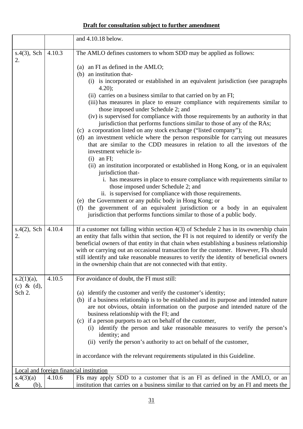|                                            |        | and 4.10.18 below.                                                                                                                                                                                                                                                                                                                                                                                                                                                                                                                                                                                                                                                                                                                                                                                                                                                                                                                                                                                                                                                                                                                                                                                                                                                                                                                                                                                     |
|--------------------------------------------|--------|--------------------------------------------------------------------------------------------------------------------------------------------------------------------------------------------------------------------------------------------------------------------------------------------------------------------------------------------------------------------------------------------------------------------------------------------------------------------------------------------------------------------------------------------------------------------------------------------------------------------------------------------------------------------------------------------------------------------------------------------------------------------------------------------------------------------------------------------------------------------------------------------------------------------------------------------------------------------------------------------------------------------------------------------------------------------------------------------------------------------------------------------------------------------------------------------------------------------------------------------------------------------------------------------------------------------------------------------------------------------------------------------------------|
| $s.4(3)$ , Sch<br>2.                       | 4.10.3 | The AMLO defines customers to whom SDD may be applied as follows:<br>(a) an FI as defined in the AMLO;<br>(b) an institution that-<br>(i) is incorporated or established in an equivalent jurisdiction (see paragraphs<br>$4.20$ ;<br>(ii) carries on a business similar to that carried on by an FI;<br>(iii) has measures in place to ensure compliance with requirements similar to<br>those imposed under Schedule 2; and<br>(iv) is supervised for compliance with those requirements by an authority in that<br>jurisdiction that performs functions similar to those of any of the RAs;<br>(c) a corporation listed on any stock exchange ("listed company");<br>(d) an investment vehicle where the person responsible for carrying out measures<br>that are similar to the CDD measures in relation to all the investors of the<br>investment vehicle is-<br>$(i)$ an FI;<br>(ii) an institution incorporated or established in Hong Kong, or in an equivalent<br>jurisdiction that-<br>i. has measures in place to ensure compliance with requirements similar to<br>those imposed under Schedule 2; and<br>ii. is supervised for compliance with those requirements.<br>(e) the Government or any public body in Hong Kong; or<br>the government of an equivalent jurisdiction or a body in an equivalent<br>(f)<br>jurisdiction that performs functions similar to those of a public body. |
| $s.4(2)$ , Sch<br>2.                       | 4.10.4 | If a customer not falling within section $4(3)$ of Schedule 2 has in its ownership chain<br>an entity that falls within that section, the FI is not required to identify or verify the<br>beneficial owners of that entity in that chain when establishing a business relationship<br>with or carrying out an occasional transaction for the customer. However, FIs should<br>still identify and take reasonable measures to verify the identity of beneficial owners<br>in the ownership chain that are not connected with that entity.                                                                                                                                                                                                                                                                                                                                                                                                                                                                                                                                                                                                                                                                                                                                                                                                                                                               |
| $s.2(1)(a)$ ,<br>$(c)$ & $(d)$ ,<br>Sch 2. | 4.10.5 | For avoidance of doubt, the FI must still:<br>(a) identify the customer and verify the customer's identity;<br>(b) if a business relationship is to be established and its purpose and intended nature<br>are not obvious, obtain information on the purpose and intended nature of the<br>business relationship with the FI; and<br>(c) if a person purports to act on behalf of the customer,<br>(i) identify the person and take reasonable measures to verify the person's<br>identity; and<br>(ii) verify the person's authority to act on behalf of the customer,<br>in accordance with the relevant requirements stipulated in this Guideline.                                                                                                                                                                                                                                                                                                                                                                                                                                                                                                                                                                                                                                                                                                                                                  |
|                                            |        | Local and foreign financial institution                                                                                                                                                                                                                                                                                                                                                                                                                                                                                                                                                                                                                                                                                                                                                                                                                                                                                                                                                                                                                                                                                                                                                                                                                                                                                                                                                                |
| s.4(3)(a)<br>&<br>(b),                     | 4.10.6 | FIs may apply SDD to a customer that is an FI as defined in the AMLO, or an<br>institution that carries on a business similar to that carried on by an FI and meets the                                                                                                                                                                                                                                                                                                                                                                                                                                                                                                                                                                                                                                                                                                                                                                                                                                                                                                                                                                                                                                                                                                                                                                                                                                |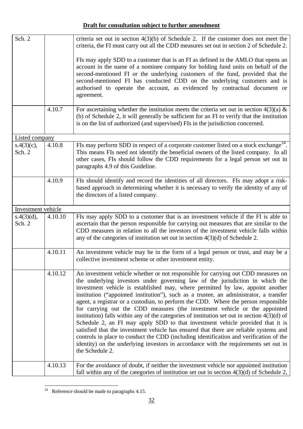| Sch. 2               |         | criteria set out in section $4(3)(b)$ of Schedule 2. If the customer does not meet the<br>criteria, the FI must carry out all the CDD measures set out in section 2 of Schedule 2.                                                                                                                                                                                                                                                                                                                                                                                                                                                                                                                                                                                                                                                                                                                                                                                                                    |
|----------------------|---------|-------------------------------------------------------------------------------------------------------------------------------------------------------------------------------------------------------------------------------------------------------------------------------------------------------------------------------------------------------------------------------------------------------------------------------------------------------------------------------------------------------------------------------------------------------------------------------------------------------------------------------------------------------------------------------------------------------------------------------------------------------------------------------------------------------------------------------------------------------------------------------------------------------------------------------------------------------------------------------------------------------|
|                      |         | FIs may apply SDD to a customer that is an FI as defined in the AMLO that opens an<br>account in the name of a nominee company for holding fund units on behalf of the<br>second-mentioned FI or the underlying customers of the fund, provided that the<br>second-mentioned FI has conducted CDD on the underlying customers and is<br>authorised to operate the account, as evidenced by contractual document or<br>agreement.                                                                                                                                                                                                                                                                                                                                                                                                                                                                                                                                                                      |
|                      | 4.10.7  | For ascertaining whether the institution meets the criteria set out in section $4(3)(a)$ &<br>(b) of Schedule 2, it will generally be sufficient for an FI to verify that the institution<br>is on the list of authorized (and supervised) FIs in the jurisdiction concerned.                                                                                                                                                                                                                                                                                                                                                                                                                                                                                                                                                                                                                                                                                                                         |
| Listed company       |         |                                                                                                                                                                                                                                                                                                                                                                                                                                                                                                                                                                                                                                                                                                                                                                                                                                                                                                                                                                                                       |
| s.4(3)(c),<br>Sch. 2 | 4.10.8  | FIs may perform SDD in respect of a corporate customer listed on a stock exchange <sup>24</sup> .<br>This means FIs need not identify the beneficial owners of the listed company. In all<br>other cases, FIs should follow the CDD requirements for a legal person set out in<br>paragraphs 4.9 of this Guideline.                                                                                                                                                                                                                                                                                                                                                                                                                                                                                                                                                                                                                                                                                   |
|                      | 4.10.9  | FIs should identify and record the identities of all directors. FIs may adopt a risk-<br>based approach in determining whether it is necessary to verify the identity of any of<br>the directors of a listed company.                                                                                                                                                                                                                                                                                                                                                                                                                                                                                                                                                                                                                                                                                                                                                                                 |
| Investment vehicle   |         |                                                                                                                                                                                                                                                                                                                                                                                                                                                                                                                                                                                                                                                                                                                                                                                                                                                                                                                                                                                                       |
| s.4(3)(d),           | 4.10.10 | FIs may apply SDD to a customer that is an investment vehicle if the FI is able to                                                                                                                                                                                                                                                                                                                                                                                                                                                                                                                                                                                                                                                                                                                                                                                                                                                                                                                    |
| Sch. 2               |         | ascertain that the person responsible for carrying out measures that are similar to the<br>CDD measures in relation to all the investors of the investment vehicle falls within<br>any of the categories of institution set out in section $4(3)(d)$ of Schedule 2.                                                                                                                                                                                                                                                                                                                                                                                                                                                                                                                                                                                                                                                                                                                                   |
|                      | 4.10.11 | An investment vehicle may be in the form of a legal person or trust, and may be a<br>collective investment scheme or other investment entity.                                                                                                                                                                                                                                                                                                                                                                                                                                                                                                                                                                                                                                                                                                                                                                                                                                                         |
|                      | 4.10.12 | An investment vehicle whether or not responsible for carrying out CDD measures on<br>the underlying investors under governing law of the jurisdiction in which the<br>investment vehicle is established may, where permitted by law, appoint another<br>institution ("appointed institution"), such as a trustee, an administrator, a transfer<br>agent, a registrar or a custodian, to perform the CDD. Where the person responsible<br>for carrying out the CDD measures (the investment vehicle or the appointed<br>institution) falls within any of the categories of institution set out in section $4(3)(d)$ of<br>Schedule 2, an FI may apply SDD to that investment vehicle provided that it is<br>satisfied that the investment vehicle has ensured that there are reliable systems and<br>controls in place to conduct the CDD (including identification and verification of the<br>identity) on the underlying investors in accordance with the requirements set out in<br>the Schedule 2. |
|                      | 4.10.13 | For the avoidance of doubt, if neither the investment vehicle nor appointed institution<br>fall within any of the categories of institution set out in section $4(3)(d)$ of Schedule 2,                                                                                                                                                                                                                                                                                                                                                                                                                                                                                                                                                                                                                                                                                                                                                                                                               |

<span id="page-33-0"></span><sup>&</sup>lt;sup>24</sup> Reference should be made to paragraphs 4.15.

 $\overline{a}$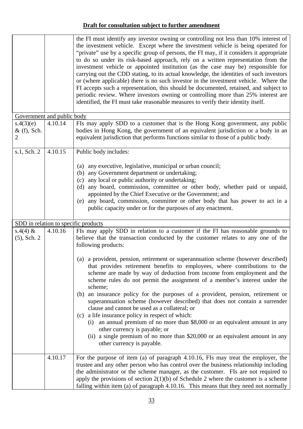|                                 |         | the FI must identify any investor owning or controlling not less than 10% interest of<br>the investment vehicle. Except where the investment vehicle is being operated for<br>"private" use by a specific group of persons, the FI may, if it considers it appropriate<br>to do so under its risk-based approach, rely on a written representation from the<br>investment vehicle or appointed institution (as the case may be) responsible for<br>carrying out the CDD stating, to its actual knowledge, the identities of such investors<br>or (where applicable) there is no such investor in the investment vehicle. Where the<br>FI accepts such a representation, this should be documented, retained, and subject to<br>periodic review. Where investors owning or controlling more than 25% interest are<br>identified, the FI must take reasonable measures to verify their identity itself.                                                                                                                                       |
|---------------------------------|---------|---------------------------------------------------------------------------------------------------------------------------------------------------------------------------------------------------------------------------------------------------------------------------------------------------------------------------------------------------------------------------------------------------------------------------------------------------------------------------------------------------------------------------------------------------------------------------------------------------------------------------------------------------------------------------------------------------------------------------------------------------------------------------------------------------------------------------------------------------------------------------------------------------------------------------------------------------------------------------------------------------------------------------------------------|
| Government and public body      |         |                                                                                                                                                                                                                                                                                                                                                                                                                                                                                                                                                                                                                                                                                                                                                                                                                                                                                                                                                                                                                                             |
| s.4(3)(e)<br>$&$ (f), Sch.<br>2 | 4.10.14 | FIs may apply SDD to a customer that is the Hong Kong government, any public<br>bodies in Hong Kong, the government of an equivalent jurisdiction or a body in an<br>equivalent jurisdiction that performs functions similar to those of a public body.                                                                                                                                                                                                                                                                                                                                                                                                                                                                                                                                                                                                                                                                                                                                                                                     |
| s.1, Sch. 2                     | 4.10.15 | Public body includes:                                                                                                                                                                                                                                                                                                                                                                                                                                                                                                                                                                                                                                                                                                                                                                                                                                                                                                                                                                                                                       |
|                                 |         | any executive, legislative, municipal or urban council;<br>(a)<br>any Government department or undertaking;<br>(b)<br>(c) any local or public authority or undertaking;<br>(d) any board, commission, committee or other body, whether paid or unpaid,<br>appointed by the Chief Executive or the Government; and<br>any board, commission, committee or other body that has power to act in a<br>(e)<br>public capacity under or for the purposes of any enactment.                                                                                                                                                                                                                                                                                                                                                                                                                                                                                                                                                                        |
|                                 |         | SDD in relation to specific products                                                                                                                                                                                                                                                                                                                                                                                                                                                                                                                                                                                                                                                                                                                                                                                                                                                                                                                                                                                                        |
| s.4(4) $&$<br>$(5)$ , Sch. 2    | 4.10.16 | FIs may apply SDD in relation to a customer if the FI has reasonable grounds to<br>believe that the transaction conducted by the customer relates to any one of the<br>following products:<br>(a) a provident, pension, retirement or superannuation scheme (however described)<br>that provides retirement benefits to employees, where contributions to the<br>scheme are made by way of deduction from income from employment and the<br>scheme rules do not permit the assignment of a member's interest under the<br>scheme;<br>(b) an insurance policy for the purposes of a provident, pension, retirement or<br>superannuation scheme (however described) that does not contain a surrender<br>clause and cannot be used as a collateral; or<br>(c) a life insurance policy in respect of which:<br>an annual premium of no more than \$8,000 or an equivalent amount in any<br>(i)<br>other currency is payable; or<br>(ii) a single premium of no more than \$20,000 or an equivalent amount in any<br>other currency is payable. |
|                                 | 4.10.17 | For the purpose of item (a) of paragraph 4.10.16, FIs may treat the employer, the<br>trustee and any other person who has control over the business relationship including<br>the administrator or the scheme manager, as the customer. FIs are not required to<br>apply the provisions of section $2(1)(b)$ of Schedule 2 where the customer is a scheme<br>falling within item (a) of paragraph 4.10.16. This means that they need not normally                                                                                                                                                                                                                                                                                                                                                                                                                                                                                                                                                                                           |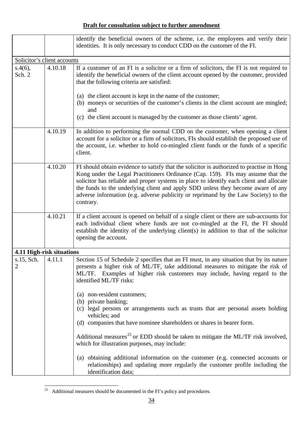|                              |         | identify the beneficial owners of the scheme, i.e. the employees and verify their<br>identities. It is only necessary to conduct CDD on the customer of the FI.                                                                                                                                                                                                                                                                                                              |
|------------------------------|---------|------------------------------------------------------------------------------------------------------------------------------------------------------------------------------------------------------------------------------------------------------------------------------------------------------------------------------------------------------------------------------------------------------------------------------------------------------------------------------|
| Solicitor's client accounts  |         |                                                                                                                                                                                                                                                                                                                                                                                                                                                                              |
| $s.4(6)$ ,<br>Sch. 2         | 4.10.18 | If a customer of an FI is a solicitor or a firm of solicitors, the FI is not required to<br>identify the beneficial owners of the client account opened by the customer, provided<br>that the following criteria are satisfied:<br>(a) the client account is kept in the name of the customer;<br>(b) moneys or securities of the customer's clients in the client account are mingled;<br>and<br>(c) the client account is managed by the customer as those clients' agent. |
|                              | 4.10.19 | In addition to performing the normal CDD on the customer, when opening a client<br>account for a solicitor or a firm of solicitors, FIs should establish the proposed use of<br>the account, i.e. whether to hold co-mingled client funds or the funds of a specific<br>client.                                                                                                                                                                                              |
|                              | 4.10.20 | FI should obtain evidence to satisfy that the solicitor is authorized to practise in Hong<br>Kong under the Legal Practitioners Ordinance (Cap. 159). FIs may assume that the<br>solicitor has reliable and proper systems in place to identify each client and allocate<br>the funds to the underlying client and apply SDD unless they become aware of any<br>adverse information (e.g. adverse publicity or reprimand by the Law Society) to the<br>contrary.             |
|                              | 4.10.21 | If a client account is opened on behalf of a single client or there are sub-accounts for<br>each individual client where funds are not co-mingled at the FI, the FI should<br>establish the identity of the underlying client(s) in addition to that of the solicitor<br>opening the account.                                                                                                                                                                                |
| 4.11 High-risk situations    |         |                                                                                                                                                                                                                                                                                                                                                                                                                                                                              |
| s.15, Sch.<br>$\overline{2}$ | 4.11.1  | Section 15 of Schedule 2 specifies that an FI must, in any situation that by its nature<br>presents a higher risk of ML/TF, take additional measures to mitigate the risk of<br>ML/TF. Examples of higher risk customers may include, having regard to the<br>identified ML/TF risks:                                                                                                                                                                                        |
|                              |         | (a) non-resident customers;<br>(b) private banking;<br>legal persons or arrangements such as trusts that are personal assets holding<br>(c)<br>vehicles; and<br>(d) companies that have nominee shareholders or shares in bearer form.<br>Additional measures <sup>25</sup> or EDD should be taken to mitigate the ML/TF risk involved,<br>which for illustration purposes, may include:<br>(a) obtaining additional information on the customer (e.g. connected accounts or |
|                              |         | relationships) and updating more regularly the customer profile including the<br>identification data;                                                                                                                                                                                                                                                                                                                                                                        |

<span id="page-35-0"></span> $\overline{a}$  $^{25}$  Additional measures should be documented in the FI's policy and procedures.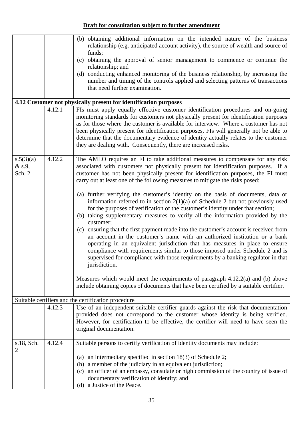|                               |        | (b) obtaining additional information on the intended nature of the business<br>relationship (e.g. anticipated account activity), the source of wealth and source of<br>funds;<br>(c) obtaining the approval of senior management to commence or continue the<br>relationship; and<br>(d) conducting enhanced monitoring of the business relationship, by increasing the<br>number and timing of the controls applied and selecting patterns of transactions<br>that need further examination.                          |
|-------------------------------|--------|------------------------------------------------------------------------------------------------------------------------------------------------------------------------------------------------------------------------------------------------------------------------------------------------------------------------------------------------------------------------------------------------------------------------------------------------------------------------------------------------------------------------|
|                               |        | 4.12 Customer not physically present for identification purposes                                                                                                                                                                                                                                                                                                                                                                                                                                                       |
|                               | 4.12.1 | FIs must apply equally effective customer identification procedures and on-going<br>monitoring standards for customers not physically present for identification purposes<br>as for those where the customer is available for interview. Where a customer has not<br>been physically present for identification purposes, FIs will generally not be able to<br>determine that the documentary evidence of identity actually relates to the customer<br>they are dealing with. Consequently, there are increased risks. |
| s.5(3)(a)<br>& s.9,<br>Sch. 2 | 4.12.2 | The AMLO requires an FI to take additional measures to compensate for any risk<br>associated with customers not physically present for identification purposes. If a<br>customer has not been physically present for identification purposes, the FI must<br>carry out at least one of the following measures to mitigate the risks posed:                                                                                                                                                                             |
|                               |        | (a) further verifying the customer's identity on the basis of documents, data or<br>information referred to in section $2(1)(a)$ of Schedule 2 but not previously used<br>for the purposes of verification of the customer's identity under that section;<br>(b) taking supplementary measures to verify all the information provided by the<br>customer;                                                                                                                                                              |
|                               |        | (c) ensuring that the first payment made into the customer's account is received from<br>an account in the customer's name with an authorized institution or a bank<br>operating in an equivalent jurisdiction that has measures in place to ensure<br>compliance with requirements similar to those imposed under Schedule 2 and is<br>supervised for compliance with those requirements by a banking regulator in that<br>jurisdiction.                                                                              |
|                               |        | Measures which would meet the requirements of paragraph $4.12.2(a)$ and (b) above<br>include obtaining copies of documents that have been certified by a suitable certifier.                                                                                                                                                                                                                                                                                                                                           |
|                               |        | Suitable certifiers and the certification procedure                                                                                                                                                                                                                                                                                                                                                                                                                                                                    |
|                               | 4.12.3 | Use of an independent suitable certifier guards against the risk that documentation<br>provided does not correspond to the customer whose identity is being verified.<br>However, for certification to be effective, the certifier will need to have seen the<br>original documentation.                                                                                                                                                                                                                               |
| s.18, Sch.                    | 4.12.4 | Suitable persons to certify verification of identity documents may include:                                                                                                                                                                                                                                                                                                                                                                                                                                            |
|                               |        | an intermediary specified in section $18(3)$ of Schedule 2;<br>(a)<br>a member of the judiciary in an equivalent jurisdiction;<br>(b)                                                                                                                                                                                                                                                                                                                                                                                  |
|                               |        | (c) an officer of an embassy, consulate or high commission of the country of issue of<br>documentary verification of identity; and                                                                                                                                                                                                                                                                                                                                                                                     |
|                               |        | (d) a Justice of the Peace.                                                                                                                                                                                                                                                                                                                                                                                                                                                                                            |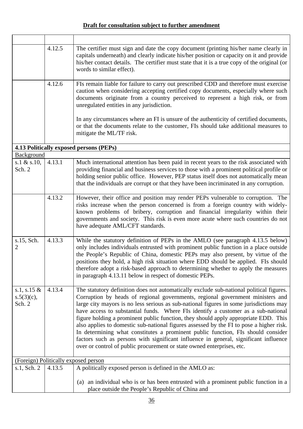|                                          | 4.12.5 | The certifier must sign and date the copy document (printing his/her name clearly in<br>capitals underneath) and clearly indicate his/her position or capacity on it and provide<br>his/her contact details. The certifier must state that it is a true copy of the original (or<br>words to similar effect).                                                                                                                                                                                                                                                                                                                                                                                                                                                                                    |
|------------------------------------------|--------|--------------------------------------------------------------------------------------------------------------------------------------------------------------------------------------------------------------------------------------------------------------------------------------------------------------------------------------------------------------------------------------------------------------------------------------------------------------------------------------------------------------------------------------------------------------------------------------------------------------------------------------------------------------------------------------------------------------------------------------------------------------------------------------------------|
|                                          | 4.12.6 | FIs remain liable for failure to carry out prescribed CDD and therefore must exercise<br>caution when considering accepting certified copy documents, especially where such<br>documents originate from a country perceived to represent a high risk, or from<br>unregulated entities in any jurisdiction.                                                                                                                                                                                                                                                                                                                                                                                                                                                                                       |
|                                          |        | In any circumstances where an FI is unsure of the authenticity of certified documents,<br>or that the documents relate to the customer, FIs should take additional measures to<br>mitigate the ML/TF risk.                                                                                                                                                                                                                                                                                                                                                                                                                                                                                                                                                                                       |
|                                          |        | 4.13 Politically exposed persons (PEPs)                                                                                                                                                                                                                                                                                                                                                                                                                                                                                                                                                                                                                                                                                                                                                          |
| Background                               |        |                                                                                                                                                                                                                                                                                                                                                                                                                                                                                                                                                                                                                                                                                                                                                                                                  |
| s.1 $\&$ s.10,<br>Sch. 2                 | 4.13.1 | Much international attention has been paid in recent years to the risk associated with<br>providing financial and business services to those with a prominent political profile or<br>holding senior public office. However, PEP status itself does not automatically mean<br>that the individuals are corrupt or that they have been incriminated in any corruption.                                                                                                                                                                                                                                                                                                                                                                                                                            |
|                                          | 4.13.2 | However, their office and position may render PEPs vulnerable to corruption. The<br>risks increase when the person concerned is from a foreign country with widely-<br>known problems of bribery, corruption and financial irregularity within their<br>governments and society. This risk is even more acute where such countries do not<br>have adequate AML/CFT standards.                                                                                                                                                                                                                                                                                                                                                                                                                    |
| s.15, Sch.<br>2                          | 4.13.3 | While the statutory definition of PEPs in the AMLO (see paragraph 4.13.5 below)<br>only includes individuals entrusted with prominent public function in a place outside<br>the People's Republic of China, domestic PEPs may also present, by virtue of the<br>positions they hold, a high risk situation where EDD should be applied. FIs should<br>therefore adopt a risk-based approach to determining whether to apply the measures<br>in paragraph 4.13.11 below in respect of domestic PEPs.                                                                                                                                                                                                                                                                                              |
| s.1, s.15 $&$<br>$s.5(3)(c)$ ,<br>Sch. 2 | 4.13.4 | The statutory definition does not automatically exclude sub-national political figures.<br>Corruption by heads of regional governments, regional government ministers and<br>large city mayors is no less serious as sub-national figures in some jurisdictions may<br>have access to substantial funds. Where FIs identify a customer as a sub-national<br>figure holding a prominent public function, they should apply appropriate EDD. This<br>also applies to domestic sub-national figures assessed by the FI to pose a higher risk.<br>In determining what constitutes a prominent public function, FIs should consider<br>factors such as persons with significant influence in general, significant influence<br>over or control of public procurement or state owned enterprises, etc. |
|                                          |        | (Foreign) Politically exposed person                                                                                                                                                                                                                                                                                                                                                                                                                                                                                                                                                                                                                                                                                                                                                             |
| s.1, Sch. 2                              | 4.13.5 | A politically exposed person is defined in the AMLO as:                                                                                                                                                                                                                                                                                                                                                                                                                                                                                                                                                                                                                                                                                                                                          |
|                                          |        | (a) an individual who is or has been entrusted with a prominent public function in a<br>place outside the People's Republic of China and                                                                                                                                                                                                                                                                                                                                                                                                                                                                                                                                                                                                                                                         |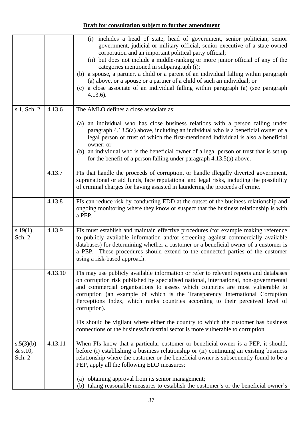|                                  |         | (i) includes a head of state, head of government, senior politician, senior<br>government, judicial or military official, senior executive of a state-owned<br>corporation and an important political party official;<br>(ii) but does not include a middle-ranking or more junior official of any of the<br>categories mentioned in subparagraph (i);<br>(b) a spouse, a partner, a child or a parent of an individual falling within paragraph<br>(a) above, or a spouse or a partner of a child of such an individual; or<br>(c) a close associate of an individual falling within paragraph (a) (see paragraph<br>$4.13.6$ ). |
|----------------------------------|---------|-----------------------------------------------------------------------------------------------------------------------------------------------------------------------------------------------------------------------------------------------------------------------------------------------------------------------------------------------------------------------------------------------------------------------------------------------------------------------------------------------------------------------------------------------------------------------------------------------------------------------------------|
| s.1, Sch. 2                      | 4.13.6  | The AMLO defines a close associate as:                                                                                                                                                                                                                                                                                                                                                                                                                                                                                                                                                                                            |
|                                  |         | an individual who has close business relations with a person falling under<br>(a)<br>paragraph 4.13.5(a) above, including an individual who is a beneficial owner of a<br>legal person or trust of which the first-mentioned individual is also a beneficial<br>owner; or<br>(b) an individual who is the beneficial owner of a legal person or trust that is set up<br>for the benefit of a person falling under paragraph $4.13.5(a)$ above.                                                                                                                                                                                    |
|                                  | 4.13.7  | FIs that handle the proceeds of corruption, or handle illegally diverted government,<br>supranational or aid funds, face reputational and legal risks, including the possibility<br>of criminal charges for having assisted in laundering the proceeds of crime.                                                                                                                                                                                                                                                                                                                                                                  |
|                                  | 4.13.8  | FIs can reduce risk by conducting EDD at the outset of the business relationship and<br>ongoing monitoring where they know or suspect that the business relationship is with<br>a PEP.                                                                                                                                                                                                                                                                                                                                                                                                                                            |
| s.19(1),<br>Sch. 2               | 4.13.9  | FIs must establish and maintain effective procedures (for example making reference<br>to publicly available information and/or screening against commercially available<br>databases) for determining whether a customer or a beneficial owner of a customer is<br>a PEP. These procedures should extend to the connected parties of the customer<br>using a risk-based approach.                                                                                                                                                                                                                                                 |
|                                  | 4.13.10 | FIs may use publicly available information or refer to relevant reports and databases<br>on corruption risk published by specialised national, international, non-governmental<br>and commercial organisations to assess which countries are most vulnerable to<br>corruption (an example of which is the Transparency International Corruption<br>Perceptions Index, which ranks countries according to their perceived level of<br>corruption).                                                                                                                                                                                 |
|                                  |         | FIs should be vigilant where either the country to which the customer has business<br>connections or the business/industrial sector is more vulnerable to corruption.                                                                                                                                                                                                                                                                                                                                                                                                                                                             |
| s.5(3)(b)<br>$&$ s.10,<br>Sch. 2 | 4.13.11 | When FIs know that a particular customer or beneficial owner is a PEP, it should,<br>before (i) establishing a business relationship or (ii) continuing an existing business<br>relationship where the customer or the beneficial owner is subsequently found to be a<br>PEP, apply all the following EDD measures:                                                                                                                                                                                                                                                                                                               |
|                                  |         | (a) obtaining approval from its senior management;<br>(b) taking reasonable measures to establish the customer's or the beneficial owner's                                                                                                                                                                                                                                                                                                                                                                                                                                                                                        |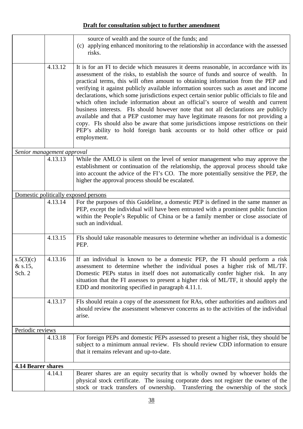|                                  |         | source of wealth and the source of the funds; and<br>(c) applying enhanced monitoring to the relationship in accordance with the assessed<br>risks.                                                                                                                                                                                                                                                                                                                                                                                                                                                                                                                                                                                                                                                                                                                                                      |
|----------------------------------|---------|----------------------------------------------------------------------------------------------------------------------------------------------------------------------------------------------------------------------------------------------------------------------------------------------------------------------------------------------------------------------------------------------------------------------------------------------------------------------------------------------------------------------------------------------------------------------------------------------------------------------------------------------------------------------------------------------------------------------------------------------------------------------------------------------------------------------------------------------------------------------------------------------------------|
|                                  | 4.13.12 | It is for an FI to decide which measures it deems reasonable, in accordance with its<br>assessment of the risks, to establish the source of funds and source of wealth. In<br>practical terms, this will often amount to obtaining information from the PEP and<br>verifying it against publicly available information sources such as asset and income<br>declarations, which some jurisdictions expect certain senior public officials to file and<br>which often include information about an official's source of wealth and current<br>business interests. FIs should however note that not all declarations are publicly<br>available and that a PEP customer may have legitimate reasons for not providing a<br>copy. FIs should also be aware that some jurisdictions impose restrictions on their<br>PEP's ability to hold foreign bank accounts or to hold other office or paid<br>employment. |
| Senior management approval       |         |                                                                                                                                                                                                                                                                                                                                                                                                                                                                                                                                                                                                                                                                                                                                                                                                                                                                                                          |
|                                  | 4.13.13 | While the AMLO is silent on the level of senior management who may approve the<br>establishment or continuation of the relationship, the approval process should take<br>into account the advice of the FI's CO. The more potentially sensitive the PEP, the<br>higher the approval process should be escalated.                                                                                                                                                                                                                                                                                                                                                                                                                                                                                                                                                                                         |
|                                  |         | Domestic politically exposed persons                                                                                                                                                                                                                                                                                                                                                                                                                                                                                                                                                                                                                                                                                                                                                                                                                                                                     |
|                                  | 4.13.14 | For the purposes of this Guideline, a domestic PEP is defined in the same manner as<br>PEP, except the individual will have been entrusted with a prominent public function<br>within the People's Republic of China or be a family member or close associate of<br>such an individual.                                                                                                                                                                                                                                                                                                                                                                                                                                                                                                                                                                                                                  |
|                                  | 4.13.15 | FIs should take reasonable measures to determine whether an individual is a domestic<br>PEP.                                                                                                                                                                                                                                                                                                                                                                                                                                                                                                                                                                                                                                                                                                                                                                                                             |
| s.5(3)(c)<br>$&$ s.15,<br>Sch. 2 | 4.13.16 | If an individual is known to be a domestic PEP, the FI should perform a risk<br>assessment to determine whether the individual poses a higher risk of ML/TF.<br>Domestic PEPs status in itself does not automatically confer higher risk. In any<br>situation that the FI assesses to present a higher risk of ML/TF, it should apply the<br>EDD and monitoring specified in paragraph 4.11.1.                                                                                                                                                                                                                                                                                                                                                                                                                                                                                                           |
|                                  | 4.13.17 | FIs should retain a copy of the assessment for RAs, other authorities and auditors and<br>should review the assessment whenever concerns as to the activities of the individual<br>arise.                                                                                                                                                                                                                                                                                                                                                                                                                                                                                                                                                                                                                                                                                                                |
| Periodic reviews                 |         |                                                                                                                                                                                                                                                                                                                                                                                                                                                                                                                                                                                                                                                                                                                                                                                                                                                                                                          |
|                                  | 4.13.18 | For foreign PEPs and domestic PEPs assessed to present a higher risk, they should be<br>subject to a minimum annual review. FIs should review CDD information to ensure<br>that it remains relevant and up-to-date.                                                                                                                                                                                                                                                                                                                                                                                                                                                                                                                                                                                                                                                                                      |
| <b>4.14 Bearer shares</b>        |         |                                                                                                                                                                                                                                                                                                                                                                                                                                                                                                                                                                                                                                                                                                                                                                                                                                                                                                          |
|                                  | 4.14.1  | Bearer shares are an equity security that is wholly owned by whoever holds the                                                                                                                                                                                                                                                                                                                                                                                                                                                                                                                                                                                                                                                                                                                                                                                                                           |
|                                  |         | physical stock certificate. The issuing corporate does not register the owner of the<br>stock or track transfers of ownership. Transferring the ownership of the stock                                                                                                                                                                                                                                                                                                                                                                                                                                                                                                                                                                                                                                                                                                                                   |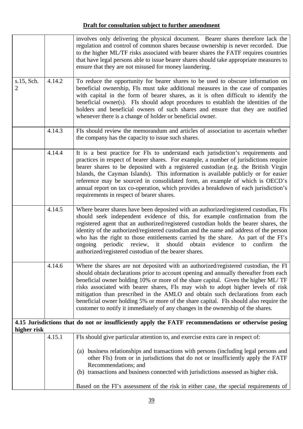|                              |        | involves only delivering the physical document. Bearer shares therefore lack the<br>regulation and control of common shares because ownership is never recorded. Due<br>to the higher ML/TF risks associated with bearer shares the FATF requires countries<br>that have legal persons able to issue bearer shares should take appropriate measures to<br>ensure that they are not misused for money laundering.                                                                                                                                                                                                   |
|------------------------------|--------|--------------------------------------------------------------------------------------------------------------------------------------------------------------------------------------------------------------------------------------------------------------------------------------------------------------------------------------------------------------------------------------------------------------------------------------------------------------------------------------------------------------------------------------------------------------------------------------------------------------------|
| s.15, Sch.<br>$\overline{2}$ | 4.14.2 | To reduce the opportunity for bearer shares to be used to obscure information on<br>beneficial ownership, FIs must take additional measures in the case of companies<br>with capital in the form of bearer shares, as it is often difficult to identify the<br>beneficial owner(s). FIs should adopt procedures to establish the identities of the<br>holders and beneficial owners of such shares and ensure that they are notified<br>whenever there is a change of holder or beneficial owner.                                                                                                                  |
|                              | 4.14.3 | FIs should review the memorandum and articles of association to ascertain whether<br>the company has the capacity to issue such shares.                                                                                                                                                                                                                                                                                                                                                                                                                                                                            |
|                              | 4.14.4 | It is a best practice for FIs to understand each jurisdiction's requirements and<br>practices in respect of bearer shares. For example, a number of jurisdictions require<br>bearer shares to be deposited with a registered custodian (e.g. the British Virgin<br>Islands, the Cayman Islands). This information is available publicly or for easier<br>reference may be sourced in consolidated form, an example of which is OECD's<br>annual report on tax co-operation, which provides a breakdown of each jurisdiction's<br>requirements in respect of bearer shares.                                         |
|                              | 4.14.5 | Where bearer shares have been deposited with an authorized/registered custodian, FIs<br>should seek independent evidence of this, for example confirmation from the<br>registered agent that an authorized/registered custodian holds the bearer shares, the<br>identity of the authorized/registered custodian and the name and address of the person<br>who has the right to those entitlements carried by the share. As part of the FI's<br>ongoing periodic review, it should obtain<br>evidence<br>to confirm<br>the<br>authorized/registered custodian of the bearer shares.                                 |
|                              | 4.14.6 | Where the shares are not deposited with an authorized/registered custodian, the FI<br>should obtain declarations prior to account opening and annually thereafter from each<br>beneficial owner holding 10% or more of the share capital. Given the higher ML/TF<br>risks associated with bearer shares, FIs may wish to adopt higher levels of risk<br>mitigation than prescribed in the AMLO and obtain such declarations from each<br>beneficial owner holding 5% or more of the share capital. FIs should also require the<br>customer to notify it immediately of any changes in the ownership of the shares. |
| higher risk                  |        | 4.15 Jurisdictions that do not or insufficiently apply the FATF recommendations or otherwise posing                                                                                                                                                                                                                                                                                                                                                                                                                                                                                                                |
|                              | 4.15.1 | FIs should give particular attention to, and exercise extra care in respect of:                                                                                                                                                                                                                                                                                                                                                                                                                                                                                                                                    |
|                              |        | (a) business relationships and transactions with persons (including legal persons and<br>other FIs) from or in jurisdictions that do not or insufficiently apply the FATF<br>Recommendations; and<br>(b) transactions and business connected with jurisdictions assessed as higher risk.                                                                                                                                                                                                                                                                                                                           |
|                              |        | Based on the FI's assessment of the risk in either case, the special requirements of                                                                                                                                                                                                                                                                                                                                                                                                                                                                                                                               |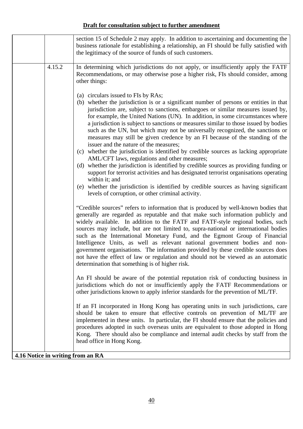|        | section 15 of Schedule 2 may apply. In addition to ascertaining and documenting the<br>business rationale for establishing a relationship, an FI should be fully satisfied with<br>the legitimacy of the source of funds of such customers.                                                                                                                                                                                                                                                                                                                                                                                                                                                                                                                                                                                                                                                                                                                                                                                                                                                        |
|--------|----------------------------------------------------------------------------------------------------------------------------------------------------------------------------------------------------------------------------------------------------------------------------------------------------------------------------------------------------------------------------------------------------------------------------------------------------------------------------------------------------------------------------------------------------------------------------------------------------------------------------------------------------------------------------------------------------------------------------------------------------------------------------------------------------------------------------------------------------------------------------------------------------------------------------------------------------------------------------------------------------------------------------------------------------------------------------------------------------|
| 4.15.2 | In determining which jurisdictions do not apply, or insufficiently apply the FATF<br>Recommendations, or may otherwise pose a higher risk, FIs should consider, among<br>other things:                                                                                                                                                                                                                                                                                                                                                                                                                                                                                                                                                                                                                                                                                                                                                                                                                                                                                                             |
|        | (a) circulars issued to FIs by RAs;<br>(b) whether the jurisdiction is or a significant number of persons or entities in that<br>jurisdiction are, subject to sanctions, embargoes or similar measures issued by,<br>for example, the United Nations (UN). In addition, in some circumstances where<br>a jurisdiction is subject to sanctions or measures similar to those issued by bodies<br>such as the UN, but which may not be universally recognized, the sanctions or<br>measures may still be given credence by an FI because of the standing of the<br>issuer and the nature of the measures;<br>(c) whether the jurisdiction is identified by credible sources as lacking appropriate<br>AML/CFT laws, regulations and other measures;<br>(d) whether the jurisdiction is identified by credible sources as providing funding or<br>support for terrorist activities and has designated terrorist organisations operating<br>within it; and<br>(e) whether the jurisdiction is identified by credible sources as having significant<br>levels of corruption, or other criminal activity. |
|        | "Credible sources" refers to information that is produced by well-known bodies that<br>generally are regarded as reputable and that make such information publicly and<br>widely available. In addition to the FATF and FATF-style regional bodies, such<br>sources may include, but are not limited to, supra-national or international bodies<br>such as the International Monetary Fund, and the Egmont Group of Financial<br>Intelligence Units, as well as relevant national government bodies and non-<br>government organisations. The information provided by these credible sources does<br>not have the effect of law or regulation and should not be viewed as an automatic<br>determination that something is of higher risk.                                                                                                                                                                                                                                                                                                                                                          |
|        | An FI should be aware of the potential reputation risk of conducting business in<br>jurisdictions which do not or insufficiently apply the FATF Recommendations or<br>other jurisdictions known to apply inferior standards for the prevention of ML/TF.                                                                                                                                                                                                                                                                                                                                                                                                                                                                                                                                                                                                                                                                                                                                                                                                                                           |
|        | If an FI incorporated in Hong Kong has operating units in such jurisdictions, care<br>should be taken to ensure that effective controls on prevention of ML/TF are<br>implemented in these units. In particular, the FI should ensure that the policies and<br>procedures adopted in such overseas units are equivalent to those adopted in Hong<br>Kong. There should also be compliance and internal audit checks by staff from the<br>head office in Hong Kong.                                                                                                                                                                                                                                                                                                                                                                                                                                                                                                                                                                                                                                 |
|        | 4.16 Notice in writing from an RA                                                                                                                                                                                                                                                                                                                                                                                                                                                                                                                                                                                                                                                                                                                                                                                                                                                                                                                                                                                                                                                                  |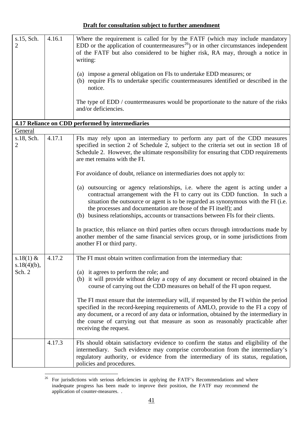| s.15, Sch.<br>$\overline{2}$ | 4.16.1 | Where the requirement is called for by the FATF (which may include mandatory<br>EDD or the application of countermeasures <sup>26</sup> ) or in other circumstances independent<br>of the FATF but also considered to be higher risk, RA may, through a notice in<br>writing:<br>(a) impose a general obligation on FIs to undertake EDD measures; or<br>(b) require FIs to undertake specific countermeasures identified or described in the<br>notice.<br>The type of EDD / countermeasures would be proportionate to the nature of the risks |
|------------------------------|--------|-------------------------------------------------------------------------------------------------------------------------------------------------------------------------------------------------------------------------------------------------------------------------------------------------------------------------------------------------------------------------------------------------------------------------------------------------------------------------------------------------------------------------------------------------|
|                              |        | and/or deficiencies.                                                                                                                                                                                                                                                                                                                                                                                                                                                                                                                            |
|                              |        | 4.17 Reliance on CDD performed by intermediaries                                                                                                                                                                                                                                                                                                                                                                                                                                                                                                |
| General                      |        |                                                                                                                                                                                                                                                                                                                                                                                                                                                                                                                                                 |
| s.18, Sch.<br>2              | 4.17.1 | FIs may rely upon an intermediary to perform any part of the CDD measures<br>specified in section 2 of Schedule 2, subject to the criteria set out in section 18 of<br>Schedule 2. However, the ultimate responsibility for ensuring that CDD requirements<br>are met remains with the FI.                                                                                                                                                                                                                                                      |
|                              |        | For avoidance of doubt, reliance on intermediaries does not apply to:                                                                                                                                                                                                                                                                                                                                                                                                                                                                           |
|                              |        | (a) outsourcing or agency relationships, i.e. where the agent is acting under a<br>contractual arrangement with the FI to carry out its CDD function. In such a<br>situation the outsource or agent is to be regarded as synonymous with the FI (i.e.<br>the processes and documentation are those of the FI itself); and<br>(b) business relationships, accounts or transactions between FIs for their clients.                                                                                                                                |
|                              |        | In practice, this reliance on third parties often occurs through introductions made by<br>another member of the same financial services group, or in some jurisdictions from<br>another FI or third party.                                                                                                                                                                                                                                                                                                                                      |
| s.18(1) $&$                  | 4.17.2 | The FI must obtain written confirmation from the intermediary that:                                                                                                                                                                                                                                                                                                                                                                                                                                                                             |
| $s.18(4)(b)$ ,<br>Sch. 2     |        | (a) it agrees to perform the role; and<br>it will provide without delay a copy of any document or record obtained in the<br>(b)<br>course of carrying out the CDD measures on behalf of the FI upon request.                                                                                                                                                                                                                                                                                                                                    |
|                              |        | The FI must ensure that the intermediary will, if requested by the FI within the period<br>specified in the record-keeping requirements of AMLO, provide to the FI a copy of<br>any document, or a record of any data or information, obtained by the intermediary in<br>the course of carrying out that measure as soon as reasonably practicable after<br>receiving the request.                                                                                                                                                              |
|                              | 4.17.3 | FIs should obtain satisfactory evidence to confirm the status and eligibility of the<br>intermediary. Such evidence may comprise corroboration from the intermediary's<br>regulatory authority, or evidence from the intermediary of its status, regulation,<br>policies and procedures.                                                                                                                                                                                                                                                        |

<span id="page-42-0"></span> $\overline{a}$ <sup>26</sup> For jurisdictions with serious deficiencies in applying the FATF's Recommendations and where inadequate progress has been made to improve their position, the FATF may recommend the application of counter-measures. .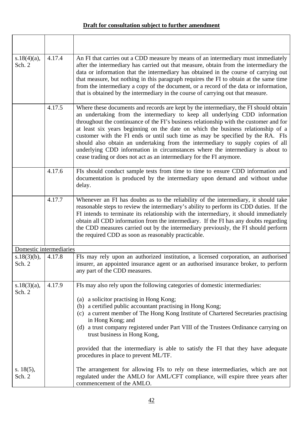| $s.18(4)(a)$ ,<br>Sch. 2 | 4.17.4 | An FI that carries out a CDD measure by means of an intermediary must immediately<br>after the intermediary has carried out that measure, obtain from the intermediary the<br>data or information that the intermediary has obtained in the course of carrying out<br>that measure, but nothing in this paragraph requires the FI to obtain at the same time<br>from the intermediary a copy of the document, or a record of the data or information,<br>that is obtained by the intermediary in the course of carrying out that measure.                                                                                                                                         |
|--------------------------|--------|-----------------------------------------------------------------------------------------------------------------------------------------------------------------------------------------------------------------------------------------------------------------------------------------------------------------------------------------------------------------------------------------------------------------------------------------------------------------------------------------------------------------------------------------------------------------------------------------------------------------------------------------------------------------------------------|
|                          | 4.17.5 | Where these documents and records are kept by the intermediary, the FI should obtain<br>an undertaking from the intermediary to keep all underlying CDD information<br>throughout the continuance of the FI's business relationship with the customer and for<br>at least six years beginning on the date on which the business relationship of a<br>customer with the FI ends or until such time as may be specified by the RA. FIs<br>should also obtain an undertaking from the intermediary to supply copies of all<br>underlying CDD information in circumstances where the intermediary is about to<br>cease trading or does not act as an intermediary for the FI anymore. |
|                          | 4.17.6 | FIs should conduct sample tests from time to time to ensure CDD information and<br>documentation is produced by the intermediary upon demand and without undue<br>delay.                                                                                                                                                                                                                                                                                                                                                                                                                                                                                                          |
|                          | 4.17.7 | Whenever an FI has doubts as to the reliability of the intermediary, it should take<br>reasonable steps to review the intermediary's ability to perform its CDD duties. If the<br>FI intends to terminate its relationship with the intermediary, it should immediately<br>obtain all CDD information from the intermediary. If the FI has any doubts regarding<br>the CDD measures carried out by the intermediary previously, the FI should perform<br>the required CDD as soon as reasonably practicable.                                                                                                                                                                      |
| Domestic intermediaries  |        |                                                                                                                                                                                                                                                                                                                                                                                                                                                                                                                                                                                                                                                                                   |
| $s.18(3)(b)$ ,<br>Sch. 2 | 4.17.8 | FIs may rely upon an authorized institution, a licensed corporation, an authorised<br>insurer, an appointed insurance agent or an authorised insurance broker, to perform<br>any part of the CDD measures.                                                                                                                                                                                                                                                                                                                                                                                                                                                                        |
| $s.18(3)(a)$ ,<br>Sch. 2 | 4.17.9 | FIs may also rely upon the following categories of domestic intermediaries:                                                                                                                                                                                                                                                                                                                                                                                                                                                                                                                                                                                                       |
|                          |        | (a) a solicitor practising in Hong Kong;<br>(b) a certified public accountant practising in Hong Kong;<br>(c) a current member of The Hong Kong Institute of Chartered Secretaries practising<br>in Hong Kong; and<br>(d) a trust company registered under Part VIII of the Trustees Ordinance carrying on<br>trust business in Hong Kong,<br>provided that the intermediary is able to satisfy the FI that they have adequate<br>procedures in place to prevent ML/TF.                                                                                                                                                                                                           |
| s. $18(5)$ ,<br>Sch. 2   |        | The arrangement for allowing FIs to rely on these intermediaries, which are not<br>regulated under the AMLO for AML/CFT compliance, will expire three years after<br>commencement of the AMLO.                                                                                                                                                                                                                                                                                                                                                                                                                                                                                    |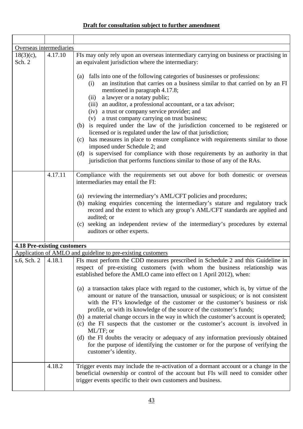| Overseas intermediaries            |         |                                                                                                                                                                                                                                                                                                                                                                                                                                                                                                                                                                                                                                                                                                                                                                                                                                                                                                                                                                   |
|------------------------------------|---------|-------------------------------------------------------------------------------------------------------------------------------------------------------------------------------------------------------------------------------------------------------------------------------------------------------------------------------------------------------------------------------------------------------------------------------------------------------------------------------------------------------------------------------------------------------------------------------------------------------------------------------------------------------------------------------------------------------------------------------------------------------------------------------------------------------------------------------------------------------------------------------------------------------------------------------------------------------------------|
| $18(3)(c)$ ,<br>Sch. 2             | 4.17.10 | FIs may only rely upon an overseas intermediary carrying on business or practising in<br>an equivalent jurisdiction where the intermediary:                                                                                                                                                                                                                                                                                                                                                                                                                                                                                                                                                                                                                                                                                                                                                                                                                       |
|                                    |         | falls into one of the following categories of businesses or professions:<br>(a)<br>an institution that carries on a business similar to that carried on by an FI<br>(i)<br>mentioned in paragraph 4.17.8;<br>a lawyer or a notary public;<br>(ii)<br>(iii) an auditor, a professional accountant, or a tax advisor;<br>(iv) a trust or company service provider; and<br>(v) a trust company carrying on trust business;<br>(b) is required under the law of the jurisdiction concerned to be registered or<br>licensed or is regulated under the law of that jurisdiction;                                                                                                                                                                                                                                                                                                                                                                                        |
|                                    |         | has measures in place to ensure compliance with requirements similar to those<br>(c)<br>imposed under Schedule 2; and<br>is supervised for compliance with those requirements by an authority in that<br>(d)<br>jurisdiction that performs functions similar to those of any of the RAs.                                                                                                                                                                                                                                                                                                                                                                                                                                                                                                                                                                                                                                                                          |
|                                    | 4.17.11 | Compliance with the requirements set out above for both domestic or overseas<br>intermediaries may entail the FI:                                                                                                                                                                                                                                                                                                                                                                                                                                                                                                                                                                                                                                                                                                                                                                                                                                                 |
|                                    |         | (a) reviewing the intermediary's AML/CFT policies and procedures;<br>(b) making enquiries concerning the intermediary's stature and regulatory track<br>record and the extent to which any group's AML/CFT standards are applied and<br>audited; or<br>(c) seeking an independent review of the intermediary's procedures by external<br>auditors or other experts.                                                                                                                                                                                                                                                                                                                                                                                                                                                                                                                                                                                               |
| <b>4.18 Pre-existing customers</b> |         |                                                                                                                                                                                                                                                                                                                                                                                                                                                                                                                                                                                                                                                                                                                                                                                                                                                                                                                                                                   |
|                                    |         | Application of AMLO and guideline to pre-existing customers                                                                                                                                                                                                                                                                                                                                                                                                                                                                                                                                                                                                                                                                                                                                                                                                                                                                                                       |
| s.6, Sch. 2   4.18.1               |         | FIs must perform the CDD measures prescribed in Schedule 2 and this Guideline in<br>respect of pre-existing customers (with whom the business relationship was<br>established before the AMLO came into effect on 1 April 2012), when:<br>(a) a transaction takes place with regard to the customer, which is, by virtue of the<br>amount or nature of the transaction, unusual or suspicious; or is not consistent<br>with the FI's knowledge of the customer or the customer's business or risk<br>profile, or with its knowledge of the source of the customer's funds;<br>(b) a material change occurs in the way in which the customer's account is operated;<br>(c) the FI suspects that the customer or the customer's account is involved in<br>ML/TF; or<br>(d) the FI doubts the veracity or adequacy of any information previously obtained<br>for the purpose of identifying the customer or for the purpose of verifying the<br>customer's identity. |
|                                    | 4.18.2  | Trigger events may include the re-activation of a dormant account or a change in the<br>beneficial ownership or control of the account but FIs will need to consider other<br>trigger events specific to their own customers and business.                                                                                                                                                                                                                                                                                                                                                                                                                                                                                                                                                                                                                                                                                                                        |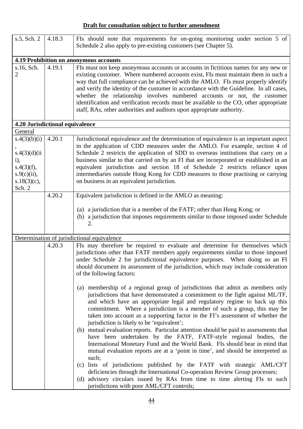| s.5, Sch. 2                     | 4.18.3 | FIs should note that requirements for on-going monitoring under section 5 of                                                                                                                                                                                                                                                                                                                                                                                                                                        |
|---------------------------------|--------|---------------------------------------------------------------------------------------------------------------------------------------------------------------------------------------------------------------------------------------------------------------------------------------------------------------------------------------------------------------------------------------------------------------------------------------------------------------------------------------------------------------------|
|                                 |        | Schedule 2 also apply to pre-existing customers (see Chapter 5).                                                                                                                                                                                                                                                                                                                                                                                                                                                    |
|                                 |        | 4.19 Prohibition on anonymous accounts                                                                                                                                                                                                                                                                                                                                                                                                                                                                              |
| s.16, Sch.                      | 4.19.1 | FIs must not keep anonymous accounts or accounts in fictitious names for any new or                                                                                                                                                                                                                                                                                                                                                                                                                                 |
| 2                               |        | existing customer. Where numbered accounts exist, FIs must maintain them in such a<br>way that full compliance can be achieved with the AMLO. FIs must properly identify<br>and verify the identity of the customer in accordance with the Guideline. In all cases,<br>whether the relationship involves numbered accounts or not, the customer<br>identification and verification records must be available to the CO, other appropriate<br>staff, RAs, other authorities and auditors upon appropriate authority. |
| 4.20 Jurisdictional equivalence |        |                                                                                                                                                                                                                                                                                                                                                                                                                                                                                                                     |
| General                         |        |                                                                                                                                                                                                                                                                                                                                                                                                                                                                                                                     |
| s.4(3)(b)(i)<br>s.4(3)(d)(ii)   | 4.20.1 | Jurisdictional equivalence and the determination of equivalence is an important aspect<br>in the application of CDD measures under the AMLO. For example, section 4 of<br>Schedule 2 restricts the application of SDD to overseas institutions that carry on a                                                                                                                                                                                                                                                      |
| i),                             |        | business similar to that carried on by an FI that are incorporated or established in an                                                                                                                                                                                                                                                                                                                                                                                                                             |
| s.4(3)(f),                      |        | equivalent jurisdiction and section 18 of Schedule 2 restricts reliance upon                                                                                                                                                                                                                                                                                                                                                                                                                                        |
| $s.9(c)(ii)$ ,                  |        | intermediaries outside Hong Kong for CDD measures to those practising or carrying                                                                                                                                                                                                                                                                                                                                                                                                                                   |
| $s.18(3)(c)$ ,<br>Sch. 2        |        | on business in an equivalent jurisdiction.                                                                                                                                                                                                                                                                                                                                                                                                                                                                          |
|                                 | 4.20.2 | Equivalent jurisdiction is defined in the AMLO as meaning:                                                                                                                                                                                                                                                                                                                                                                                                                                                          |
|                                 |        |                                                                                                                                                                                                                                                                                                                                                                                                                                                                                                                     |
|                                 |        | (a) a jurisdiction that is a member of the FATF; other than Hong Kong; or<br>(b) a jurisdiction that imposes requirements similar to those imposed under Schedule<br>2.                                                                                                                                                                                                                                                                                                                                             |
|                                 |        | Determination of jurisdictional equivalence                                                                                                                                                                                                                                                                                                                                                                                                                                                                         |
|                                 | 4.20.3 | FIs may therefore be required to evaluate and determine for themselves which<br>jurisdictions other than FATF members apply requirements similar to those imposed<br>under Schedule 2 for jurisdictional equivalence purposes. When doing so an FI<br>should document its assessment of the jurisdiction, which may include consideration<br>of the following factors:                                                                                                                                              |
|                                 |        | (a) membership of a regional group of jurisdictions that admit as members only<br>jurisdictions that have demonstrated a commitment to the fight against ML/TF,<br>and which have an appropriate legal and regulatory regime to back up this<br>commitment. Where a jurisdiction is a member of such a group, this may be<br>taken into account as a supporting factor in the FI's assessment of whether the<br>jurisdiction is likely to be 'equivalent';                                                          |
|                                 |        | (b) mutual evaluation reports. Particular attention should be paid to assessments that<br>have been undertaken by the FATF, FATF-style regional bodies, the<br>International Monetary Fund and the World Bank. FIs should bear in mind that<br>mutual evaluation reports are at a 'point in time', and should be interpreted as<br>such;                                                                                                                                                                            |
|                                 |        | lists of jurisdictions published by the FATF with strategic AML/CFT<br>(c)<br>deficiencies through the International Co-operation Review Group processes;                                                                                                                                                                                                                                                                                                                                                           |
|                                 |        | (d) advisory circulars issued by RAs from time to time alerting FIs to such<br>jurisdictions with poor AML/CFT controls;                                                                                                                                                                                                                                                                                                                                                                                            |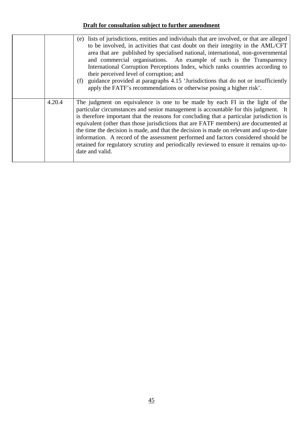|        | lists of jurisdictions, entities and individuals that are involved, or that are alleged<br>(e)<br>to be involved, in activities that cast doubt on their integrity in the AML/CFT<br>area that are published by specialised national, international, non-governmental<br>and commercial organisations. An example of such is the Transparency<br>International Corruption Perceptions Index, which ranks countries according to<br>their perceived level of corruption; and<br>guidance provided at paragraphs 4.15 'Jurisdictions that do not or insufficiently<br>(f)<br>apply the FATF's recommendations or otherwise posing a higher risk'.      |
|--------|------------------------------------------------------------------------------------------------------------------------------------------------------------------------------------------------------------------------------------------------------------------------------------------------------------------------------------------------------------------------------------------------------------------------------------------------------------------------------------------------------------------------------------------------------------------------------------------------------------------------------------------------------|
| 4.20.4 | The judgment on equivalence is one to be made by each FI in the light of the<br>particular circumstances and senior management is accountable for this judgment. It<br>is therefore important that the reasons for concluding that a particular jurisdiction is<br>equivalent (other than those jurisdictions that are FATF members) are documented at<br>the time the decision is made, and that the decision is made on relevant and up-to-date<br>information. A record of the assessment performed and factors considered should be<br>retained for regulatory scrutiny and periodically reviewed to ensure it remains up-to-<br>date and valid. |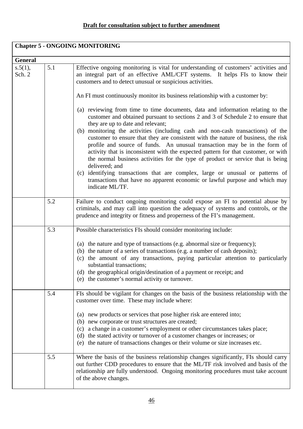| <b>Chapter 5 - ONGOING MONITORING</b> |     |                                                                                                                                                                                                                                                                                                                                                                                                                                                                                                                                                                                                                                                                       |
|---------------------------------------|-----|-----------------------------------------------------------------------------------------------------------------------------------------------------------------------------------------------------------------------------------------------------------------------------------------------------------------------------------------------------------------------------------------------------------------------------------------------------------------------------------------------------------------------------------------------------------------------------------------------------------------------------------------------------------------------|
| <b>General</b>                        |     |                                                                                                                                                                                                                                                                                                                                                                                                                                                                                                                                                                                                                                                                       |
| s.5(1),<br>Sch. 2                     | 5.1 | Effective ongoing monitoring is vital for understanding of customers' activities and<br>an integral part of an effective AML/CFT systems. It helps FIs to know their<br>customers and to detect unusual or suspicious activities.<br>An FI must continuously monitor its business relationship with a customer by:<br>(a) reviewing from time to time documents, data and information relating to the<br>customer and obtained pursuant to sections 2 and 3 of Schedule 2 to ensure that                                                                                                                                                                              |
|                                       |     | they are up to date and relevant;<br>(b) monitoring the activities (including cash and non-cash transactions) of the<br>customer to ensure that they are consistent with the nature of business, the risk<br>profile and source of funds. An unusual transaction may be in the form of<br>activity that is inconsistent with the expected pattern for that customer, or with<br>the normal business activities for the type of product or service that is being<br>delivered; and<br>(c) identifying transactions that are complex, large or unusual or patterns of<br>transactions that have no apparent economic or lawful purpose and which may<br>indicate ML/TF. |
|                                       | 5.2 | Failure to conduct ongoing monitoring could expose an FI to potential abuse by<br>criminals, and may call into question the adequacy of systems and controls, or the<br>prudence and integrity or fitness and properness of the FI's management.                                                                                                                                                                                                                                                                                                                                                                                                                      |
|                                       | 5.3 | Possible characteristics FIs should consider monitoring include:<br>(a) the nature and type of transactions (e.g. abnormal size or frequency);<br>(b) the nature of a series of transactions (e.g. a number of cash deposits);<br>the amount of any transactions, paying particular attention to particularly<br>(c)<br>substantial transactions:<br>(d) the geographical origin/destination of a payment or receipt; and<br>the customer's normal activity or turnover.<br>(e)                                                                                                                                                                                       |
|                                       | 5.4 | FIs should be vigilant for changes on the basis of the business relationship with the<br>customer over time. These may include where:<br>new products or services that pose higher risk are entered into;<br>(a)<br>(b) new corporate or trust structures are created;<br>a change in a customer's employment or other circumstances takes place;<br>(c)<br>(d) the stated activity or turnover of a customer changes or increases; or<br>(e) the nature of transactions changes or their volume or size increases etc.                                                                                                                                               |
|                                       | 5.5 | Where the basis of the business relationship changes significantly, FIs should carry<br>out further CDD procedures to ensure that the ML/TF risk involved and basis of the<br>relationship are fully understood. Ongoing monitoring procedures must take account<br>of the above changes.                                                                                                                                                                                                                                                                                                                                                                             |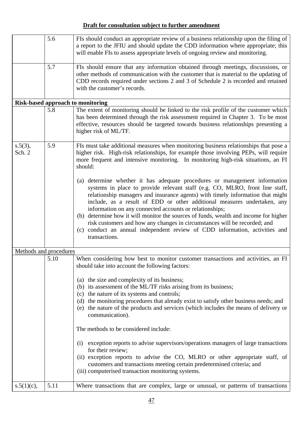|                        | 5.6  | FIs should conduct an appropriate review of a business relationship upon the filing of<br>a report to the JFIU and should update the CDD information where appropriate; this<br>will enable FIs to assess appropriate levels of ongoing review and monitoring.                                                                                                                                                                                                                                                                                                                                                                                           |
|------------------------|------|----------------------------------------------------------------------------------------------------------------------------------------------------------------------------------------------------------------------------------------------------------------------------------------------------------------------------------------------------------------------------------------------------------------------------------------------------------------------------------------------------------------------------------------------------------------------------------------------------------------------------------------------------------|
|                        | 5.7  | FIs should ensure that any information obtained through meetings, discussions, or<br>other methods of communication with the customer that is material to the updating of<br>CDD records required under sections 2 and 3 of Schedule 2 is recorded and retained<br>with the customer's records.                                                                                                                                                                                                                                                                                                                                                          |
|                        |      | <b>Risk-based approach to monitoring</b>                                                                                                                                                                                                                                                                                                                                                                                                                                                                                                                                                                                                                 |
|                        | 5.8  | The extent of monitoring should be linked to the risk profile of the customer which<br>has been determined through the risk assessment required in Chapter 3. To be most<br>effective, resources should be targeted towards business relationships presenting a<br>higher risk of ML/TF.                                                                                                                                                                                                                                                                                                                                                                 |
| $s.5(3)$ ,<br>Sch. 2   | 5.9  | FIs must take additional measures when monitoring business relationships that pose a<br>higher risk. High-risk relationships, for example those involving PEPs, will require<br>more frequent and intensive monitoring. In monitoring high-risk situations, an FI<br>should:                                                                                                                                                                                                                                                                                                                                                                             |
|                        |      | (a) determine whether it has adequate procedures or management information<br>systems in place to provide relevant staff (e.g. CO, MLRO, front line staff,<br>relationship managers and insurance agents) with timely information that might<br>include, as a result of EDD or other additional measures undertaken, any<br>information on any connected accounts or relationships;<br>(b) determine how it will monitor the sources of funds, wealth and income for higher<br>risk customers and how any changes in circumstances will be recorded; and<br>(c) conduct an annual independent review of CDD information, activities and<br>transactions. |
| Methods and procedures |      |                                                                                                                                                                                                                                                                                                                                                                                                                                                                                                                                                                                                                                                          |
|                        | 5.10 | When considering how best to monitor customer transactions and activities, an FI<br>should take into account the following factors:                                                                                                                                                                                                                                                                                                                                                                                                                                                                                                                      |
|                        |      | (a) the size and complexity of its business;<br>(b) its assessment of the ML/TF risks arising from its business;<br>(c) the nature of its systems and controls;<br>(d) the monitoring procedures that already exist to satisfy other business needs; and                                                                                                                                                                                                                                                                                                                                                                                                 |
|                        |      | the nature of the products and services (which includes the means of delivery or<br>(e)<br>communication).                                                                                                                                                                                                                                                                                                                                                                                                                                                                                                                                               |
|                        |      | The methods to be considered include:                                                                                                                                                                                                                                                                                                                                                                                                                                                                                                                                                                                                                    |
|                        |      | exception reports to advise supervisors/operations managers of large transactions<br>(i)<br>for their review;                                                                                                                                                                                                                                                                                                                                                                                                                                                                                                                                            |
|                        |      | (ii) exception reports to advise the CO, MLRO or other appropriate staff, of<br>customers and transactions meeting certain predetermined criteria; and<br>(iii) computerised transaction monitoring systems.                                                                                                                                                                                                                                                                                                                                                                                                                                             |
| $s.5(1)(c)$ ,          | 5.11 | Where transactions that are complex, large or unusual, or patterns of transactions                                                                                                                                                                                                                                                                                                                                                                                                                                                                                                                                                                       |
|                        |      |                                                                                                                                                                                                                                                                                                                                                                                                                                                                                                                                                                                                                                                          |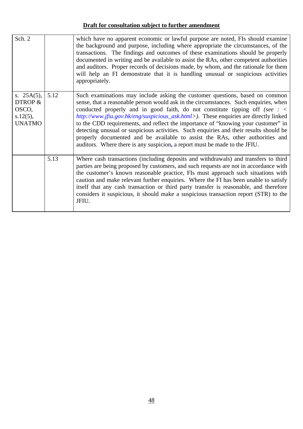| Sch. 2                                                            |      | which have no apparent economic or lawful purpose are noted, FIs should examine<br>the background and purpose, including where appropriate the circumstances, of the<br>transactions. The findings and outcomes of these examinations should be properly<br>documented in writing and be available to assist the RAs, other competent authorities<br>and auditors. Proper records of decisions made, by whom, and the rationale for them<br>will help an FI demonstrate that it is handling unusual or suspicious activities<br>appropriately.                                                                                                                                                   |
|-------------------------------------------------------------------|------|--------------------------------------------------------------------------------------------------------------------------------------------------------------------------------------------------------------------------------------------------------------------------------------------------------------------------------------------------------------------------------------------------------------------------------------------------------------------------------------------------------------------------------------------------------------------------------------------------------------------------------------------------------------------------------------------------|
| s. $25A(5)$ ,<br>DTROP &<br>OSCO,<br>$s.12(5)$ ,<br><b>UNATMO</b> | 5.12 | Such examinations may include asking the customer questions, based on common<br>sense, that a reasonable person would ask in the circumstances. Such enquiries, when<br>conducted properly and in good faith, do not constitute tipping off (see $: \leq$<br>http://www.jfiu.gov.hk/eng/suspicious_ask.html>). These enquiries are directly linked<br>to the CDD requirements, and reflect the importance of "knowing your customer" in<br>detecting unusual or suspicious activities. Such enquiries and their results should be<br>properly documented and be available to assist the RAs, other authorities and<br>auditors. Where there is any suspicion, a report must be made to the JFIU. |
|                                                                   | 5.13 | Where cash transactions (including deposits and withdrawals) and transfers to third<br>parties are being proposed by customers, and such requests are not in accordance with<br>the customer's known reasonable practice, FIs must approach such situations with<br>caution and make relevant further enquiries. Where the FI has been unable to satisfy<br>itself that any cash transaction or third party transfer is reasonable, and therefore<br>considers it suspicious, it should make a suspicious transaction report (STR) to the<br>JFIU.                                                                                                                                               |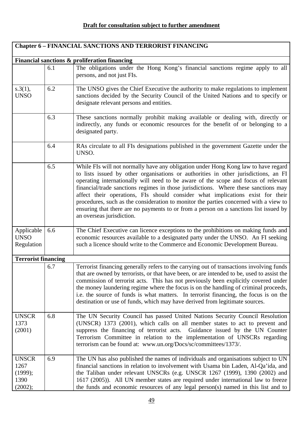٦

| <b>Chapter 6 - FINANCIAL SANCTIONS AND TERRORIST FINANCING</b> |     |                                                                                                                                                                                                                                                                                                                                                                                                                                                                                                                                                                                                                                                         |
|----------------------------------------------------------------|-----|---------------------------------------------------------------------------------------------------------------------------------------------------------------------------------------------------------------------------------------------------------------------------------------------------------------------------------------------------------------------------------------------------------------------------------------------------------------------------------------------------------------------------------------------------------------------------------------------------------------------------------------------------------|
|                                                                |     | Financial sanctions & proliferation financing                                                                                                                                                                                                                                                                                                                                                                                                                                                                                                                                                                                                           |
|                                                                | 6.1 | The obligations under the Hong Kong's financial sanctions regime apply to all<br>persons, and not just FIs.                                                                                                                                                                                                                                                                                                                                                                                                                                                                                                                                             |
| s.3(1),<br><b>UNSO</b>                                         | 6.2 | The UNSO gives the Chief Executive the authority to make regulations to implement<br>sanctions decided by the Security Council of the United Nations and to specify or<br>designate relevant persons and entities.                                                                                                                                                                                                                                                                                                                                                                                                                                      |
|                                                                | 6.3 | These sanctions normally prohibit making available or dealing with, directly or<br>indirectly, any funds or economic resources for the benefit of or belonging to a<br>designated party.                                                                                                                                                                                                                                                                                                                                                                                                                                                                |
|                                                                | 6.4 | RAs circulate to all FIs designations published in the government Gazette under the<br>UNSO.                                                                                                                                                                                                                                                                                                                                                                                                                                                                                                                                                            |
|                                                                | 6.5 | While FIs will not normally have any obligation under Hong Kong law to have regard<br>to lists issued by other organisations or authorities in other jurisdictions, an FI<br>operating internationally will need to be aware of the scope and focus of relevant<br>financial/trade sanctions regimes in those jurisdictions. Where these sanctions may<br>affect their operations, FIs should consider what implications exist for their<br>procedures, such as the consideration to monitor the parties concerned with a view to<br>ensuring that there are no payments to or from a person on a sanctions list issued by<br>an overseas jurisdiction. |
| Applicable<br><b>UNSO</b><br>Regulation                        | 6.6 | The Chief Executive can licence exceptions to the prohibitions on making funds and<br>economic resources available to a designated party under the UNSO. An FI seeking<br>such a licence should write to the Commerce and Economic Development Bureau.                                                                                                                                                                                                                                                                                                                                                                                                  |
| <b>Terrorist financing</b>                                     |     |                                                                                                                                                                                                                                                                                                                                                                                                                                                                                                                                                                                                                                                         |
|                                                                | 6.7 | Terrorist financing generally refers to the carrying out of transactions involving funds<br>that are owned by terrorists, or that have been, or are intended to be, used to assist the<br>commission of terrorist acts. This has not previously been explicitly covered under<br>the money laundering regime where the focus is on the handling of criminal proceeds,<br>i.e. the source of funds is what matters. In terrorist financing, the focus is on the<br>destination or use of funds, which may have derived from legitimate sources.                                                                                                          |
| <b>UNSCR</b><br>1373<br>(2001)                                 | 6.8 | The UN Security Council has passed United Nations Security Council Resolution<br>(UNSCR) 1373 (2001), which calls on all member states to act to prevent and<br>suppress the financing of terrorist acts. Guidance issued by the UN Counter<br>Terrorism Committee in relation to the implementation of UNSCRs regarding<br>terrorism can be found at: www.un.org/Docs/sc/committees/1373/.                                                                                                                                                                                                                                                             |
| <b>UNSCR</b><br>1267<br>(1999);<br>1390<br>(2002);             | 6.9 | The UN has also published the names of individuals and organisations subject to UN<br>financial sanctions in relation to involvement with Usama bin Laden, Al-Qa'ida, and<br>the Taliban under relevant UNSCRs (e.g. UNSCR 1267 (1999), 1390 (2002) and<br>1617 (2005)). All UN member states are required under international law to freeze<br>the funds and economic resources of any legal person(s) named in this list and to                                                                                                                                                                                                                       |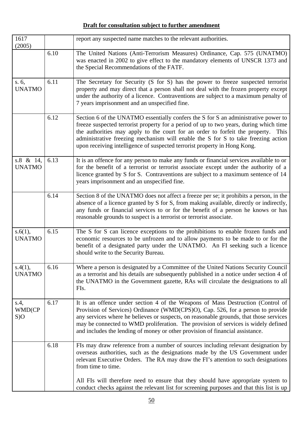| 1617<br>(2005)             |      | report any suspected name matches to the relevant authorities.                                                                                                                                                                                                                                                                                                                                                                         |
|----------------------------|------|----------------------------------------------------------------------------------------------------------------------------------------------------------------------------------------------------------------------------------------------------------------------------------------------------------------------------------------------------------------------------------------------------------------------------------------|
|                            | 6.10 | The United Nations (Anti-Terrorism Measures) Ordinance, Cap. 575 (UNATMO)<br>was enacted in 2002 to give effect to the mandatory elements of UNSCR 1373 and<br>the Special Recommendations of the FATF.                                                                                                                                                                                                                                |
| s. 6,<br><b>UNATMO</b>     | 6.11 | The Secretary for Security (S for S) has the power to freeze suspected terrorist<br>property and may direct that a person shall not deal with the frozen property except<br>under the authority of a licence. Contraventions are subject to a maximum penalty of<br>7 years imprisonment and an unspecified fine.                                                                                                                      |
|                            | 6.12 | Section 6 of the UNATMO essentially confers the S for S an administrative power to<br>freeze suspected terrorist property for a period of up to two years, during which time<br>the authorities may apply to the court for an order to forfeit the property.<br>This<br>administrative freezing mechanism will enable the S for S to take freezing action<br>upon receiving intelligence of suspected terrorist property in Hong Kong. |
| s.8 & 14,<br><b>UNATMO</b> | 6.13 | It is an offence for any person to make any funds or financial services available to or<br>for the benefit of a terrorist or terrorist associate except under the authority of a<br>licence granted by S for S. Contraventions are subject to a maximum sentence of 14<br>years imprisonment and an unspecified fine.                                                                                                                  |
|                            | 6.14 | Section 8 of the UNATMO does not affect a freeze per se; it prohibits a person, in the<br>absence of a licence granted by S for S, from making available, directly or indirectly,<br>any funds or financial services to or for the benefit of a person he knows or has<br>reasonable grounds to suspect is a terrorist or terrorist associate.                                                                                         |
| s.6(1),<br><b>UNATMO</b>   | 6.15 | The S for S can licence exceptions to the prohibitions to enable frozen funds and<br>economic resources to be unfrozen and to allow payments to be made to or for the<br>benefit of a designated party under the UNATMO. An FI seeking such a licence<br>should write to the Security Bureau.                                                                                                                                          |
| s.4(1),<br><b>UNATMO</b>   | 6.16 | Where a person is designated by a Committee of the United Nations Security Council<br>as a terrorist and his details are subsequently published in a notice under section 4 of<br>the UNATMO in the Government gazette, RAs will circulate the designations to all<br>FIs.                                                                                                                                                             |
| s.4,<br>WMD(CP<br>S)O      | 6.17 | It is an offence under section 4 of the Weapons of Mass Destruction (Control of<br>Provision of Services) Ordinance (WMD(CPS)O), Cap. 526, for a person to provide<br>any services where he believes or suspects, on reasonable grounds, that those services<br>may be connected to WMD proliferation. The provision of services is widely defined<br>and includes the lending of money or other provision of financial assistance.    |
|                            | 6.18 | FIs may draw reference from a number of sources including relevant designation by<br>overseas authorities, such as the designations made by the US Government under<br>relevant Executive Orders. The RA may draw the FI's attention to such designations<br>from time to time.                                                                                                                                                        |
|                            |      | All FIs will therefore need to ensure that they should have appropriate system to<br>conduct checks against the relevant list for screening purposes and that this list is up                                                                                                                                                                                                                                                          |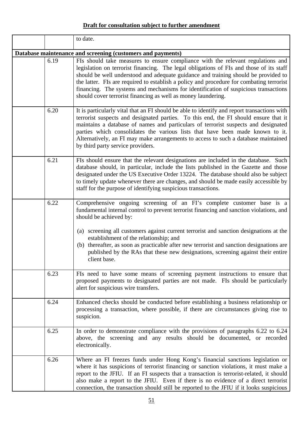|      | to date.                                                                                                                                                                                                                                                                                                                                                                                                                                                                                                                            |
|------|-------------------------------------------------------------------------------------------------------------------------------------------------------------------------------------------------------------------------------------------------------------------------------------------------------------------------------------------------------------------------------------------------------------------------------------------------------------------------------------------------------------------------------------|
|      | Database maintenance and screening (customers and payments)                                                                                                                                                                                                                                                                                                                                                                                                                                                                         |
| 6.19 | FIs should take measures to ensure compliance with the relevant regulations and<br>legislation on terrorist financing. The legal obligations of FIs and those of its staff<br>should be well understood and adequate guidance and training should be provided to<br>the latter. FIs are required to establish a policy and procedure for combating terrorist<br>financing. The systems and mechanisms for identification of suspicious transactions<br>should cover terrorist financing as well as money laundering.                |
| 6.20 | It is particularly vital that an FI should be able to identify and report transactions with<br>terrorist suspects and designated parties. To this end, the FI should ensure that it<br>maintains a database of names and particulars of terrorist suspects and designated<br>parties which consolidates the various lists that have been made known to it.<br>Alternatively, an FI may make arrangements to access to such a database maintained<br>by third party service providers.                                               |
| 6.21 | FIs should ensure that the relevant designations are included in the database. Such<br>database should, in particular, include the lists published in the Gazette and those<br>designated under the US Executive Order 13224. The database should also be subject<br>to timely update whenever there are changes, and should be made easily accessible by<br>staff for the purpose of identifying suspicious transactions.                                                                                                          |
| 6.22 | Comprehensive ongoing screening of an FI's complete customer base is a<br>fundamental internal control to prevent terrorist financing and sanction violations, and<br>should be achieved by:<br>(a) screening all customers against current terrorist and sanction designations at the<br>establishment of the relationship; and<br>thereafter, as soon as practicable after new terrorist and sanction designations are<br>(b)<br>published by the RAs that these new designations, screening against their entire<br>client base. |
| 6.23 | FIs need to have some means of screening payment instructions to ensure that<br>proposed payments to designated parties are not made. FIs should be particularly<br>alert for suspicious wire transfers.                                                                                                                                                                                                                                                                                                                            |
| 6.24 | Enhanced checks should be conducted before establishing a business relationship or<br>processing a transaction, where possible, if there are circumstances giving rise to<br>suspicion.                                                                                                                                                                                                                                                                                                                                             |
| 6.25 | In order to demonstrate compliance with the provisions of paragraphs 6.22 to 6.24<br>above, the screening and any results should be documented, or recorded<br>electronically.                                                                                                                                                                                                                                                                                                                                                      |
| 6.26 | Where an FI freezes funds under Hong Kong's financial sanctions legislation or<br>where it has suspicions of terrorist financing or sanction violations, it must make a<br>report to the JFIU. If an FI suspects that a transaction is terrorist-related, it should<br>also make a report to the JFIU. Even if there is no evidence of a direct terrorist<br>connection, the transaction should still be reported to the JFIU if it looks suspicious                                                                                |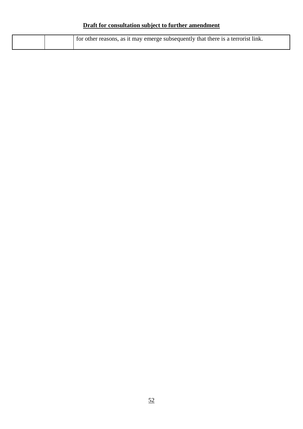| I for other reasons, as it may emerge subsequently that there is a terrorist link. |
|------------------------------------------------------------------------------------|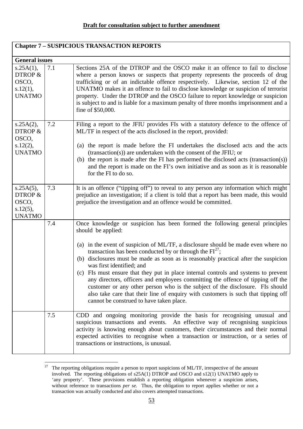| <b>Chapter 7 - SUSPICIOUS TRANSACTION REPORTS</b>             |     |                                                                                                                                                                                                                                                                                                                                                                                                                                                                                                                                                                                                                                                                                                                                                                      |
|---------------------------------------------------------------|-----|----------------------------------------------------------------------------------------------------------------------------------------------------------------------------------------------------------------------------------------------------------------------------------------------------------------------------------------------------------------------------------------------------------------------------------------------------------------------------------------------------------------------------------------------------------------------------------------------------------------------------------------------------------------------------------------------------------------------------------------------------------------------|
| <b>General issues</b>                                         |     |                                                                                                                                                                                                                                                                                                                                                                                                                                                                                                                                                                                                                                                                                                                                                                      |
| s.25A(1),<br>DTROP &<br>OSCO,<br>s.12(1),<br><b>UNATMO</b>    | 7.1 | Sections 25A of the DTROP and the OSCO make it an offence to fail to disclose<br>where a person knows or suspects that property represents the proceeds of drug<br>trafficking or of an indictable offence respectively. Likewise, section 12 of the<br>UNATMO makes it an offence to fail to disclose knowledge or suspicion of terrorist<br>property. Under the DTROP and the OSCO failure to report knowledge or suspicion<br>is subject to and is liable for a maximum penalty of three months imprisonment and a<br>fine of \$50,000.                                                                                                                                                                                                                           |
| s.25A(2),<br>DTROP &<br>OSCO,<br>s.12(2),<br><b>UNATMO</b>    | 7.2 | Filing a report to the JFIU provides FIs with a statutory defence to the offence of<br>ML/TF in respect of the acts disclosed in the report, provided:<br>(a) the report is made before the FI undertakes the disclosed acts and the acts<br>(transaction(s)) are undertaken with the consent of the JFIU; or<br>(b) the report is made after the FI has performed the disclosed acts (transaction(s))<br>and the report is made on the FI's own initiative and as soon as it is reasonable<br>for the FI to do so.                                                                                                                                                                                                                                                  |
| s.25A(5),<br>DTROP &<br>OSCO,<br>$s.12(5)$ ,<br><b>UNATMO</b> | 7.3 | It is an offence ("tipping off") to reveal to any person any information which might<br>prejudice an investigation; if a client is told that a report has been made, this would<br>prejudice the investigation and an offence would be committed.                                                                                                                                                                                                                                                                                                                                                                                                                                                                                                                    |
|                                                               | 7.4 | Once knowledge or suspicion has been formed the following general principles<br>should be applied:<br>(a) in the event of suspicion of ML/TF, a disclosure should be made even where no<br>transaction has been conducted by or through the $FI27$ ;<br>(b) disclosures must be made as soon as is reasonably practical after the suspicion<br>was first identified; and<br>(c) FIs must ensure that they put in place internal controls and systems to prevent<br>any directors, officers and employees committing the offence of tipping off the<br>customer or any other person who is the subject of the disclosure. FIs should<br>also take care that their line of enquiry with customers is such that tipping off<br>cannot be construed to have taken place. |
|                                                               | 7.5 | CDD and ongoing monitoring provide the basis for recognising unusual and<br>suspicious transactions and events. An effective way of recognising suspicious<br>activity is knowing enough about customers, their circumstances and their normal<br>expected activities to recognise when a transaction or instruction, or a series of<br>transactions or instructions, is unusual.                                                                                                                                                                                                                                                                                                                                                                                    |

<span id="page-54-0"></span><sup>27</sup> 27 The reporting obligations require a person to report suspicions of ML/TF, irrespective of the amount involved. The reporting obligations of s25A(1) DTROP and OSCO and s12(1) UNATMO apply to 'any property'. These provisions establish a reporting obligation whenever a suspicion arises, without reference to transactions *per se*. Thus, the obligation to report applies whether or not a transaction was actually conducted and also covers attempted transactions.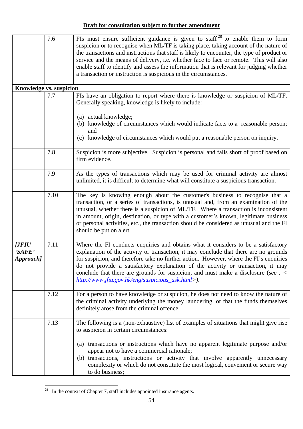|                               | 7.6  | FIs must ensure sufficient guidance is given to staff <sup>28</sup> to enable them to form<br>suspicion or to recognise when ML/TF is taking place, taking account of the nature of<br>the transactions and instructions that staff is likely to encounter, the type of product or<br>service and the means of delivery, i.e. whether face to face or remote. This will also<br>enable staff to identify and assess the information that is relevant for judging whether<br>a transaction or instruction is suspicious in the circumstances. |
|-------------------------------|------|----------------------------------------------------------------------------------------------------------------------------------------------------------------------------------------------------------------------------------------------------------------------------------------------------------------------------------------------------------------------------------------------------------------------------------------------------------------------------------------------------------------------------------------------|
| Knowledge vs. suspicion       |      |                                                                                                                                                                                                                                                                                                                                                                                                                                                                                                                                              |
|                               | 7.7  | FIs have an obligation to report where there is knowledge or suspicion of ML/TF.<br>Generally speaking, knowledge is likely to include:<br>(a) actual knowledge;<br>(b) knowledge of circumstances which would indicate facts to a reasonable person;<br>and<br>knowledge of circumstances which would put a reasonable person on inquiry.<br>(c)                                                                                                                                                                                            |
|                               |      |                                                                                                                                                                                                                                                                                                                                                                                                                                                                                                                                              |
|                               | 7.8  | Suspicion is more subjective. Suspicion is personal and falls short of proof based on<br>firm evidence.                                                                                                                                                                                                                                                                                                                                                                                                                                      |
|                               | 7.9  | As the types of transactions which may be used for criminal activity are almost<br>unlimited, it is difficult to determine what will constitute a suspicious transaction.                                                                                                                                                                                                                                                                                                                                                                    |
|                               | 7.10 | The key is knowing enough about the customer's business to recognise that a<br>transaction, or a series of transactions, is unusual and, from an examination of the<br>unusual, whether there is a suspicion of ML/TF. Where a transaction is inconsistent<br>in amount, origin, destination, or type with a customer's known, legitimate business<br>or personal activities, etc., the transaction should be considered as unusual and the FI<br>should be put on alert.                                                                    |
| [JFIU]<br>'SAFE'<br>Approach] | 7.11 | Where the FI conducts enquiries and obtains what it considers to be a satisfactory<br>explanation of the activity or transaction, it may conclude that there are no grounds<br>for suspicion, and therefore take no further action. However, where the FI's enquiries<br>do not provide a satisfactory explanation of the activity or transaction, it may<br>conclude that there are grounds for suspicion, and must make a disclosure (see $:$ <<br>http://www.jfiu.gov.hk/eng/suspicious_ask.html>).                                       |
|                               | 7.12 | For a person to have knowledge or suspicion, he does not need to know the nature of<br>the criminal activity underlying the money laundering, or that the funds themselves<br>definitely arose from the criminal offence.                                                                                                                                                                                                                                                                                                                    |
|                               | 7.13 | The following is a (non-exhaustive) list of examples of situations that might give rise<br>to suspicion in certain circumstances:<br>(a) transactions or instructions which have no apparent legitimate purpose and/or<br>appear not to have a commercial rationale;<br>(b) transactions, instructions or activity that involve apparently unnecessary<br>complexity or which do not constitute the most logical, convenient or secure way<br>to do business;                                                                                |

<span id="page-55-0"></span> $\overline{a}$  $28$  In the context of Chapter 7, staff includes appointed insurance agents.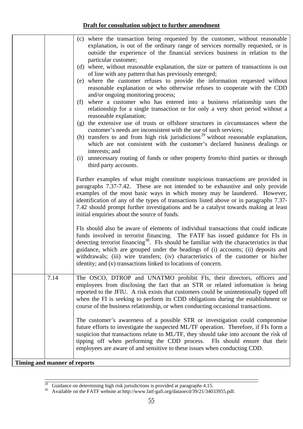|                              |      | (c) where the transaction being requested by the customer, without reasonable                                                                                       |
|------------------------------|------|---------------------------------------------------------------------------------------------------------------------------------------------------------------------|
|                              |      | explanation, is out of the ordinary range of services normally requested, or is                                                                                     |
|                              |      | outside the experience of the financial services business in relation to the                                                                                        |
|                              |      | particular customer;                                                                                                                                                |
|                              |      | (d) where, without reasonable explanation, the size or pattern of transactions is out                                                                               |
|                              |      | of line with any pattern that has previously emerged;                                                                                                               |
|                              |      | (e) where the customer refuses to provide the information requested without                                                                                         |
|                              |      | reasonable explanation or who otherwise refuses to cooperate with the CDD                                                                                           |
|                              |      | and/or ongoing monitoring process;<br>where a customer who has entered into a business relationship uses the<br>(f)                                                 |
|                              |      | relationship for a single transaction or for only a very short period without a                                                                                     |
|                              |      | reasonable explanation;                                                                                                                                             |
|                              |      | (g) the extensive use of trusts or offshore structures in circumstances where the                                                                                   |
|                              |      | customer's needs are inconsistent with the use of such services;                                                                                                    |
|                              |      | (h) transfers to and from high risk jurisdictions <sup>29</sup> without reasonable explanation,                                                                     |
|                              |      | which are not consistent with the customer's declared business dealings or                                                                                          |
|                              |      | interests; and                                                                                                                                                      |
|                              |      | unnecessary routing of funds or other property from/to third parties or through<br>(i)                                                                              |
|                              |      | third party accounts.                                                                                                                                               |
|                              |      |                                                                                                                                                                     |
|                              |      | Further examples of what might constitute suspicious transactions are provided in                                                                                   |
|                              |      | paragraphs 7.37-7.42. These are not intended to be exhaustive and only provide                                                                                      |
|                              |      | examples of the most basic ways in which money may be laundered. However,<br>identification of any of the types of transactions listed above or in paragraphs 7.37- |
|                              |      | 7.42 should prompt further investigations and be a catalyst towards making at least                                                                                 |
|                              |      | initial enquiries about the source of funds.                                                                                                                        |
|                              |      |                                                                                                                                                                     |
|                              |      | FIs should also be aware of elements of individual transactions that could indicate                                                                                 |
|                              |      | funds involved in terrorist financing. The FATF has issued guidance for FIs in                                                                                      |
|                              |      | detecting terrorist financing <sup>30</sup> . FIs should be familiar with the characteristics in that                                                               |
|                              |      | guidance, which are grouped under the headings of (i) accounts; (ii) deposits and                                                                                   |
|                              |      | withdrawals; (iii) wire transfers; (iv) characteristics of the customer or his/her                                                                                  |
|                              |      | identity; and (v) transactions linked to locations of concern.                                                                                                      |
|                              |      |                                                                                                                                                                     |
|                              | 7.14 | The OSCO, DTROP and UNATMO prohibit FIs, their directors, officers and<br>employees from disclosing the fact that an STR or related information is being            |
|                              |      | reported to the JFIU. A risk exists that customers could be unintentionally tipped off                                                                              |
|                              |      | when the FI is seeking to perform its CDD obligations during the establishment or                                                                                   |
|                              |      | course of the business relationship, or when conducting occasional transactions.                                                                                    |
|                              |      |                                                                                                                                                                     |
|                              |      | The customer's awareness of a possible STR or investigation could compromise                                                                                        |
|                              |      | future efforts to investigate the suspected ML/TF operation. Therefore, if FIs form a                                                                               |
|                              |      | suspicion that transactions relate to ML/TF, they should take into account the risk of                                                                              |
|                              |      | tipping off when performing the CDD process. FIs should ensure that their                                                                                           |
|                              |      | employees are aware of and sensitive to these issues when conducting CDD.                                                                                           |
|                              |      |                                                                                                                                                                     |
| Timing and manner of reports |      |                                                                                                                                                                     |

Ξ

<span id="page-56-0"></span><sup>&</sup>lt;sup>29</sup> Guidance on determining high risk jurisdictions is provided at paragraphs 4.15.

<span id="page-56-1"></span><sup>&</sup>lt;sup>30</sup> Available on the FATF website at http://www.fatf-gafi.org/dataoecd/39/21/34033955.pdf.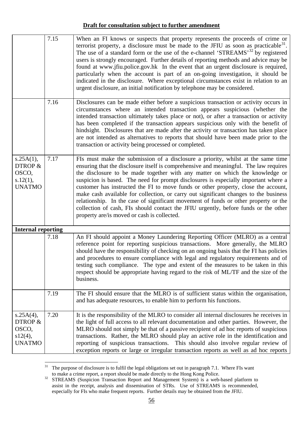|                                                            | 7.15 | When an FI knows or suspects that property represents the proceeds of crime or<br>terrorist property, a disclosure must be made to the JFIU as soon as practicable $31$ .<br>The use of a standard form or the use of the e-channel 'STREAMS' <sup>32</sup> by registered<br>users is strongly encouraged. Further details of reporting methods and advice may be<br>found at www.jfiu.police.gov.hk In the event that an urgent disclosure is required,<br>particularly when the account is part of an on-going investigation, it should be<br>indicated in the disclosure. Where exceptional circumstances exist in relation to an<br>urgent disclosure, an initial notification by telephone may be considered.                                          |
|------------------------------------------------------------|------|-------------------------------------------------------------------------------------------------------------------------------------------------------------------------------------------------------------------------------------------------------------------------------------------------------------------------------------------------------------------------------------------------------------------------------------------------------------------------------------------------------------------------------------------------------------------------------------------------------------------------------------------------------------------------------------------------------------------------------------------------------------|
|                                                            | 7.16 | Disclosures can be made either before a suspicious transaction or activity occurs in<br>circumstances where an intended transaction appears suspicious (whether the<br>intended transaction ultimately takes place or not), or after a transaction or activity<br>has been completed if the transaction appears suspicious only with the benefit of<br>hindsight. Disclosures that are made after the activity or transaction has taken place<br>are not intended as alternatives to reports that should have been made prior to the<br>transaction or activity being processed or completed.                                                                                                                                                               |
| s.25A(1),<br>DTROP &<br>OSCO,<br>s.12(1),<br><b>UNATMO</b> | 7.17 | FIs must make the submission of a disclosure a priority, whilst at the same time<br>ensuring that the disclosure itself is comprehensive and meaningful. The law requires<br>the disclosure to be made together with any matter on which the knowledge or<br>suspicion is based. The need for prompt disclosures is especially important where a<br>customer has instructed the FI to move funds or other property, close the account,<br>make cash available for collection, or carry out significant changes to the business<br>relationship. In the case of significant movement of funds or other property or the<br>collection of cash, FIs should contact the JFIU urgently, before funds or the other<br>property are/is moved or cash is collected. |
| <b>Internal reporting</b>                                  |      |                                                                                                                                                                                                                                                                                                                                                                                                                                                                                                                                                                                                                                                                                                                                                             |
|                                                            | 7.18 | An FI should appoint a Money Laundering Reporting Officer (MLRO) as a central<br>reference point for reporting suspicious transactions. More generally, the MLRO<br>should have the responsibility of checking on an ongoing basis that the FI has policies<br>and procedures to ensure compliance with legal and regulatory requirements and of<br>testing such compliance. The type and extent of the measures to be taken in this<br>respect should be appropriate having regard to the risk of ML/TF and the size of the<br>business.                                                                                                                                                                                                                   |
|                                                            | 7.19 | The FI should ensure that the MLRO is of sufficient status within the organisation,<br>and has adequate resources, to enable him to perform his functions.                                                                                                                                                                                                                                                                                                                                                                                                                                                                                                                                                                                                  |
| s.25A(4),<br>DTROP &<br>OSCO,<br>s12(4),<br><b>UNATMO</b>  | 7.20 | It is the responsibility of the MLRO to consider all internal disclosures he receives in<br>the light of full access to all relevant documentation and other parties. However, the<br>MLRO should not simply be that of a passive recipient of ad hoc reports of suspicious<br>transactions. Rather, the MLRO should play an active role in the identification and<br>reporting of suspicious transactions. This should also involve regular review of<br>exception reports or large or irregular transaction reports as well as ad hoc reports                                                                                                                                                                                                             |

 $31$ The purpose of disclosure is to fulfil the legal obligations set out in paragraph 7.1. Where FIs want

<span id="page-57-1"></span><span id="page-57-0"></span>to make a crime report, a report should be made directly to the Hong Kong Police.<br>
STREAMS (Suspicion Transaction Report and Management System) is a web-based platform to assist in the receipt, analysis and dissemination of STRs. Use of STREAMS is recommended, especially for FIs who make frequent reports. Further details may be obtained from the JFIU.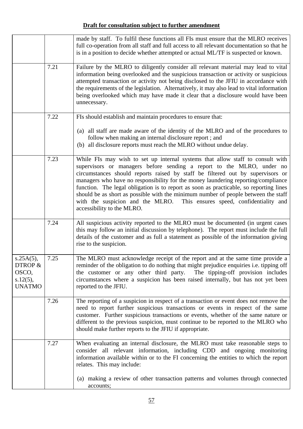|                                                               |      | made by staff. To fulfil these functions all FIs must ensure that the MLRO receives<br>full co-operation from all staff and full access to all relevant documentation so that he<br>is in a position to decide whether attempted or actual ML/TF is suspected or known.                                                                                                                                                                                                                                                                                                                                                     |
|---------------------------------------------------------------|------|-----------------------------------------------------------------------------------------------------------------------------------------------------------------------------------------------------------------------------------------------------------------------------------------------------------------------------------------------------------------------------------------------------------------------------------------------------------------------------------------------------------------------------------------------------------------------------------------------------------------------------|
|                                                               | 7.21 | Failure by the MLRO to diligently consider all relevant material may lead to vital<br>information being overlooked and the suspicious transaction or activity or suspicious<br>attempted transaction or activity not being disclosed to the JFIU in accordance with<br>the requirements of the legislation. Alternatively, it may also lead to vital information<br>being overlooked which may have made it clear that a disclosure would have been<br>unnecessary.                                                                                                                                                         |
|                                                               | 7.22 | FIs should establish and maintain procedures to ensure that:                                                                                                                                                                                                                                                                                                                                                                                                                                                                                                                                                                |
|                                                               |      | (a) all staff are made aware of the identity of the MLRO and of the procedures to<br>follow when making an internal disclosure report; and<br>(b) all disclosure reports must reach the MLRO without undue delay.                                                                                                                                                                                                                                                                                                                                                                                                           |
|                                                               | 7.23 | While FIs may wish to set up internal systems that allow staff to consult with<br>supervisors or managers before sending a report to the MLRO, under no<br>circumstances should reports raised by staff be filtered out by supervisors or<br>managers who have no responsibility for the money laundering reporting/compliance<br>function. The legal obligation is to report as soon as practicable, so reporting lines<br>should be as short as possible with the minimum number of people between the staff<br>with the suspicion and the MLRO.<br>This ensures speed, confidentiality and<br>accessibility to the MLRO. |
|                                                               | 7.24 | All suspicious activity reported to the MLRO must be documented (in urgent cases<br>this may follow an initial discussion by telephone). The report must include the full<br>details of the customer and as full a statement as possible of the information giving<br>rise to the suspicion.                                                                                                                                                                                                                                                                                                                                |
| s.25A(5),<br>DTROP &<br>OSCO,<br>$s.12(5)$ ,<br><b>UNATMO</b> | 7.25 | The MLRO must acknowledge receipt of the report and at the same time provide a<br>reminder of the obligation to do nothing that might prejudice enquiries <i>i.e.</i> tipping off<br>the customer or any other third party.<br>The tipping-off provision includes<br>circumstances where a suspicion has been raised internally, but has not yet been<br>reported to the JFIU.                                                                                                                                                                                                                                              |
|                                                               | 7.26 | The reporting of a suspicion in respect of a transaction or event does not remove the<br>need to report further suspicious transactions or events in respect of the same<br>customer. Further suspicious transactions or events, whether of the same nature or<br>different to the previous suspicion, must continue to be reported to the MLRO who<br>should make further reports to the JFIU if appropriate.                                                                                                                                                                                                              |
|                                                               | 7.27 | When evaluating an internal disclosure, the MLRO must take reasonable steps to<br>consider all relevant information, including CDD and ongoing monitoring<br>information available within or to the FI concerning the entities to which the report<br>relates. This may include:                                                                                                                                                                                                                                                                                                                                            |
|                                                               |      | (a) making a review of other transaction patterns and volumes through connected<br>accounts;                                                                                                                                                                                                                                                                                                                                                                                                                                                                                                                                |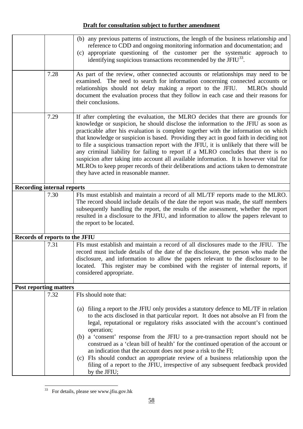|                                   |      | (b) any previous patterns of instructions, the length of the business relationship and<br>reference to CDD and ongoing monitoring information and documentation; and<br>(c) appropriate questioning of the customer per the systematic approach to<br>identifying suspicious transactions recommended by the JFIU <sup>33</sup> .                                                                                                                                                                                                                                                                                                                                                                                                                                 |
|-----------------------------------|------|-------------------------------------------------------------------------------------------------------------------------------------------------------------------------------------------------------------------------------------------------------------------------------------------------------------------------------------------------------------------------------------------------------------------------------------------------------------------------------------------------------------------------------------------------------------------------------------------------------------------------------------------------------------------------------------------------------------------------------------------------------------------|
|                                   | 7.28 | As part of the review, other connected accounts or relationships may need to be<br>examined. The need to search for information concerning connected accounts or<br>relationships should not delay making a report to the JFIU.<br>MLRO <sub>s</sub> should<br>document the evaluation process that they follow in each case and their reasons for<br>their conclusions.                                                                                                                                                                                                                                                                                                                                                                                          |
|                                   | 7.29 | If after completing the evaluation, the MLRO decides that there are grounds for<br>knowledge or suspicion, he should disclose the information to the JFIU as soon as<br>practicable after his evaluation is complete together with the information on which<br>that knowledge or suspicion is based. Providing they act in good faith in deciding not<br>to file a suspicious transaction report with the JFIU, it is unlikely that there will be<br>any criminal liability for failing to report if a MLRO concludes that there is no<br>suspicion after taking into account all available information. It is however vital for<br>MLROs to keep proper records of their deliberations and actions taken to demonstrate<br>they have acted in reasonable manner. |
| <b>Recording internal reports</b> |      |                                                                                                                                                                                                                                                                                                                                                                                                                                                                                                                                                                                                                                                                                                                                                                   |
|                                   | 7.30 | FIs must establish and maintain a record of all ML/TF reports made to the MLRO.<br>The record should include details of the date the report was made, the staff members<br>subsequently handling the report, the results of the assessment, whether the report<br>resulted in a disclosure to the JFIU, and information to allow the papers relevant to<br>the report to be located.                                                                                                                                                                                                                                                                                                                                                                              |
| Records of reports to the JFIU    |      |                                                                                                                                                                                                                                                                                                                                                                                                                                                                                                                                                                                                                                                                                                                                                                   |
|                                   | 7.31 | FIs must establish and maintain a record of all disclosures made to the JFIU. The<br>record must include details of the date of the disclosure, the person who made the<br>disclosure, and information to allow the papers relevant to the disclosure to be<br>located. This register may be combined with the register of internal reports, if<br>considered appropriate.                                                                                                                                                                                                                                                                                                                                                                                        |
| <b>Post reporting matters</b>     |      |                                                                                                                                                                                                                                                                                                                                                                                                                                                                                                                                                                                                                                                                                                                                                                   |
|                                   | 7.32 | FIs should note that:<br>filing a report to the JFIU only provides a statutory defence to ML/TF in relation<br>(a)<br>to the acts disclosed in that particular report. It does not absolve an FI from the<br>legal, reputational or regulatory risks associated with the account's continued<br>operation;<br>(b) a 'consent' response from the JFIU to a pre-transaction report should not be<br>construed as a 'clean bill of health' for the continued operation of the account or<br>an indication that the account does not pose a risk to the FI;<br>FIs should conduct an appropriate review of a business relationship upon the<br>(c)<br>filing of a report to the JFIU, irrespective of any subsequent feedback provided<br>by the JFIU;                |

<span id="page-59-0"></span> $\overline{a}$  $33$  For details, please see www.jfiu.gov.hk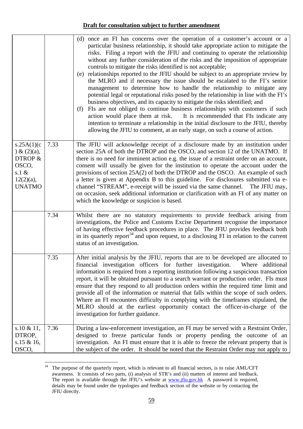|                                                                                              |      | (d) once an FI has concerns over the operation of a customer's account or a<br>particular business relationship, it should take appropriate action to mitigate the<br>risks. Filing a report with the JFIU and continuing to operate the relationship<br>without any further consideration of the risks and the imposition of appropriate<br>controls to mitigate the risks identified is not acceptable;<br>(e) relationships reported to the JFIU should be subject to an appropriate review by<br>the MLRO and if necessary the issue should be escalated to the FI's senior<br>management to determine how to handle the relationship to mitigate any<br>potential legal or reputational risks posed by the relationship in line with the FI's<br>business objectives, and its capacity to mitigate the risks identified; and<br>FIs are not obliged to continue business relationships with customers if such<br>(f)<br>action would place them at risk. It is recommended that FIs indicate any<br>intention to terminate a relationship in the initial disclosure to the JFIU, thereby<br>allowing the JFIU to comment, at an early stage, on such a course of action. |
|----------------------------------------------------------------------------------------------|------|-------------------------------------------------------------------------------------------------------------------------------------------------------------------------------------------------------------------------------------------------------------------------------------------------------------------------------------------------------------------------------------------------------------------------------------------------------------------------------------------------------------------------------------------------------------------------------------------------------------------------------------------------------------------------------------------------------------------------------------------------------------------------------------------------------------------------------------------------------------------------------------------------------------------------------------------------------------------------------------------------------------------------------------------------------------------------------------------------------------------------------------------------------------------------------|
| s.25A(1)(c)<br>$\&$ (2)(a),<br>DTROP &<br>OSCO,<br>s.1 $\&$<br>$12(2)(a)$ ,<br><b>UNATMO</b> | 7.33 | The JFIU will acknowledge receipt of a disclosure made by an institution under<br>section 25A of both the DTROP and the OSCO, and section 12 of the UNATMO. If<br>there is no need for imminent action e.g. the issue of a restraint order on an account,<br>consent will usually be given for the institution to operate the account under the<br>provisions of section 25A(2) of both the DTROP and the OSCO. An example of such<br>a letter is given at Appendix B to this guideline. For disclosures submitted via e-<br>channel "STREAM", e-receipt will be issued via the same channel. The JFIU may,<br>on occasion, seek additional information or clarification with an FI of any matter on<br>which the knowledge or suspicion is based.                                                                                                                                                                                                                                                                                                                                                                                                                            |
|                                                                                              | 7.34 | Whilst there are no statutory requirements to provide feedback arising from<br>investigations, the Police and Customs Excise Department recognise the importance<br>of having effective feedback procedures in place. The JFIU provides feedback both<br>in its quarterly report <sup>34</sup> and upon request, to a disclosing FI in relation to the current<br>status of an investigation.                                                                                                                                                                                                                                                                                                                                                                                                                                                                                                                                                                                                                                                                                                                                                                                 |
|                                                                                              | 7.35 | After initial analysis by the JFIU, reports that are to be developed are allocated to<br>financial investigation officers for further investigation. Where additional<br>information is required from a reporting institution following a suspicious transaction<br>report, it will be obtained pursuant to a search warrant or production order. FIs must<br>ensure that they respond to all production orders within the required time limit and<br>provide all of the information or material that falls within the scope of such orders.<br>Where an FI encounters difficulty in complying with the timeframes stipulated, the<br>MLRO should at the earliest opportunity contact the officer-in-charge of the<br>investigation for further guidance.                                                                                                                                                                                                                                                                                                                                                                                                                     |
| s.10 $& 11, 11$<br>DTROP,<br>s.15 & 16,<br>OSCO,                                             | 7.36 | During a law-enforcement investigation, an FI may be served with a Restraint Order,<br>designed to freeze particular funds or property pending the outcome of an<br>investigation. An FI must ensure that it is able to freeze the relevant property that is<br>the subject of the order. It should be noted that the Restraint Order may not apply to                                                                                                                                                                                                                                                                                                                                                                                                                                                                                                                                                                                                                                                                                                                                                                                                                        |

<span id="page-60-0"></span> $34\,$ The purpose of the quarterly report, which is relevant to all financial sectors, is to raise AML/CFT awareness. It consists of two parts, (i) analysis of STR's and (ii) matters of interest and feedback. The report is available through the JFIU's website at **www.jfiu.gov.hk** A password is required, details may be found under the typologies and feedback section of the website or by contacting the JFIU directly.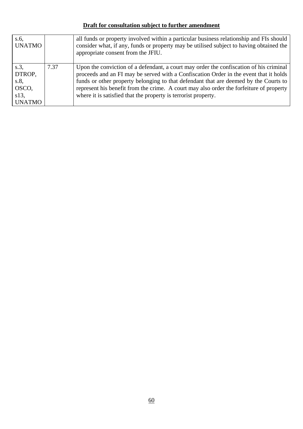| s.6,<br><b>UNATMO</b>                                     |      | all funds or property involved within a particular business relationship and FIs should<br>consider what, if any, funds or property may be utilised subject to having obtained the<br>appropriate consent from the JFIU.                                                                                                                                                                                                             |
|-----------------------------------------------------------|------|--------------------------------------------------------------------------------------------------------------------------------------------------------------------------------------------------------------------------------------------------------------------------------------------------------------------------------------------------------------------------------------------------------------------------------------|
| s.3<br>DTROP,<br>s.8<br>OSCO,<br>$s13$ ,<br><b>UNATMO</b> | 7.37 | Upon the conviction of a defendant, a court may order the confiscation of his criminal<br>proceeds and an FI may be served with a Confiscation Order in the event that it holds<br>funds or other property belonging to that defendant that are deemed by the Courts to<br>represent his benefit from the crime. A court may also order the forfeiture of property<br>where it is satisfied that the property is terrorist property. |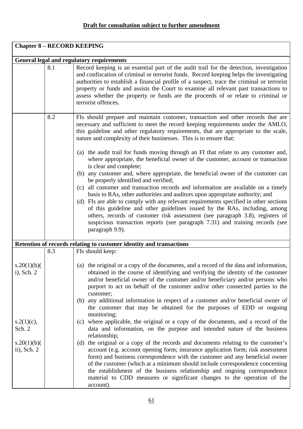|                              |                                                  | <b>Chapter 8 - RECORD KEEPING</b>                                                                                                                                                                                                                                                                                                                                                                                                                                                                                                                                                                                           |  |  |
|------------------------------|--------------------------------------------------|-----------------------------------------------------------------------------------------------------------------------------------------------------------------------------------------------------------------------------------------------------------------------------------------------------------------------------------------------------------------------------------------------------------------------------------------------------------------------------------------------------------------------------------------------------------------------------------------------------------------------------|--|--|
|                              | <b>General legal and regulatory requirements</b> |                                                                                                                                                                                                                                                                                                                                                                                                                                                                                                                                                                                                                             |  |  |
|                              | 8.1                                              | Record keeping is an essential part of the audit trail for the detection, investigation<br>and confiscation of criminal or terrorist funds. Record keeping helps the investigating<br>authorities to establish a financial profile of a suspect, trace the criminal or terrorist<br>property or funds and assists the Court to examine all relevant past transactions to<br>assess whether the property or funds are the proceeds of or relate to criminal or<br>terrorist offences.                                                                                                                                        |  |  |
|                              | 8.2                                              | FIs should prepare and maintain customer, transaction and other records that are<br>necessary and sufficient to meet the record keeping requirements under the AMLO,<br>this guideline and other regulatory requirements, that are appropriate to the scale,<br>nature and complexity of their businesses. This is to ensure that:<br>(a) the audit trail for funds moving through an FI that relate to any customer and,<br>where appropriate, the beneficial owner of the customer, account or transaction<br>is clear and complete;<br>(b) any customer and, where appropriate, the beneficial owner of the customer can |  |  |
|                              |                                                  | be properly identified and verified;<br>(c) all customer and transaction records and information are available on a timely<br>basis to RAs, other authorities and auditors upon appropriate authority; and<br>(d) FIs are able to comply with any relevant requirements specified in other sections<br>of this guideline and other guidelines issued by the RAs, including, among<br>others, records of customer risk assessment (see paragraph 3.8), registers of<br>suspicious transaction reports (see paragraph 7.31) and training records (see<br>paragraph 9.9).                                                      |  |  |
|                              |                                                  | Retention of records relating to customer identity and transactions                                                                                                                                                                                                                                                                                                                                                                                                                                                                                                                                                         |  |  |
|                              | 8.3                                              | FIs should keep:                                                                                                                                                                                                                                                                                                                                                                                                                                                                                                                                                                                                            |  |  |
| s.20(1)(b)<br>$i)$ , Sch. 2  |                                                  | (a) the original or a copy of the documents, and a record of the data and information,<br>obtained in the course of identifying and verifying the identity of the customer<br>and/or beneficial owner of the customer and/or beneficiary and/or persons who<br>purport to act on behalf of the customer and/or other connected parties to the<br>customer;                                                                                                                                                                                                                                                                  |  |  |
|                              |                                                  | (b) any additional information in respect of a customer and/or beneficial owner of<br>the customer that may be obtained for the purposes of EDD or ongoing<br>monitoring;                                                                                                                                                                                                                                                                                                                                                                                                                                                   |  |  |
| $s.2(1)(c)$ ,<br>Sch. 2      |                                                  | (c) where applicable, the original or a copy of the documents, and a record of the<br>data and information, on the purpose and intended nature of the business<br>relationship;                                                                                                                                                                                                                                                                                                                                                                                                                                             |  |  |
| s.20(1)(b)<br>$ii)$ , Sch. 2 |                                                  | the original or a copy of the records and documents relating to the customer's<br>(d)<br>account (e.g. account opening form; insurance application form; risk assessment<br>form) and business correspondence with the customer and any beneficial owner<br>of the customer (which at a minimum should include correspondence concerning<br>the establishment of the business relationship and ongoing correspondence<br>material to CDD measures or significant changes to the operation of the<br>account).                                                                                                               |  |  |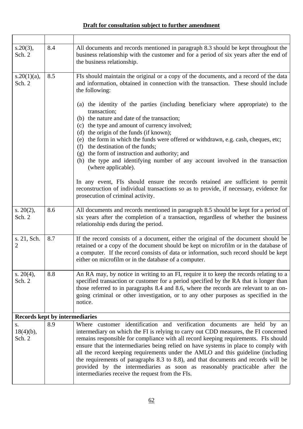| $s.20(3)$ ,<br>Sch. 2                 | 8.4 | All documents and records mentioned in paragraph 8.3 should be kept throughout the<br>business relationship with the customer and for a period of six years after the end of<br>the business relationship.                                                                                                                                                                                                                                                                                                                                                                                                                                                                                                                                                                                                                                                                                                                                             |
|---------------------------------------|-----|--------------------------------------------------------------------------------------------------------------------------------------------------------------------------------------------------------------------------------------------------------------------------------------------------------------------------------------------------------------------------------------------------------------------------------------------------------------------------------------------------------------------------------------------------------------------------------------------------------------------------------------------------------------------------------------------------------------------------------------------------------------------------------------------------------------------------------------------------------------------------------------------------------------------------------------------------------|
| $s.20(1)(a)$ ,<br>Sch. 2              | 8.5 | FIs should maintain the original or a copy of the documents, and a record of the data<br>and information, obtained in connection with the transaction. These should include<br>the following:<br>(a) the identity of the parties (including beneficiary where appropriate) to the<br>transaction;<br>(b) the nature and date of the transaction;<br>(c) the type and amount of currency involved;<br>(d) the origin of the funds (if known);<br>(e) the form in which the funds were offered or withdrawn, e.g. cash, cheques, etc;<br>the destination of the funds;<br>(f)<br>(g) the form of instruction and authority; and<br>(h) the type and identifying number of any account involved in the transaction<br>(where applicable).<br>In any event, FIs should ensure the records retained are sufficient to permit<br>reconstruction of individual transactions so as to provide, if necessary, evidence for<br>prosecution of criminal activity. |
| s. $20(2)$ ,<br>Sch. 2                | 8.6 | All documents and records mentioned in paragraph 8.5 should be kept for a period of<br>six years after the completion of a transaction, regardless of whether the business<br>relationship ends during the period.                                                                                                                                                                                                                                                                                                                                                                                                                                                                                                                                                                                                                                                                                                                                     |
| s. 21, Sch.<br>2                      | 8.7 | If the record consists of a document, either the original of the document should be<br>retained or a copy of the document should be kept on microfilm or in the database of<br>a computer. If the record consists of data or information, such record should be kept<br>either on microfilm or in the database of a computer.                                                                                                                                                                                                                                                                                                                                                                                                                                                                                                                                                                                                                          |
| s. $20(4)$ ,<br>Sch. 2                | 8.8 | An RA may, by notice in writing to an FI, require it to keep the records relating to a<br>specified transaction or customer for a period specified by the RA that is longer than<br>those referred to in paragraphs 8.4 and 8.6, where the records are relevant to an on-<br>going criminal or other investigation, or to any other purposes as specified in the<br>notice.                                                                                                                                                                                                                                                                                                                                                                                                                                                                                                                                                                            |
| <b>Records kept by intermediaries</b> |     |                                                                                                                                                                                                                                                                                                                                                                                                                                                                                                                                                                                                                                                                                                                                                                                                                                                                                                                                                        |
| S.<br>$18(4)(b)$ ,<br>Sch. 2          | 8.9 | Where customer identification and verification documents are held by an<br>intermediary on which the FI is relying to carry out CDD measures, the FI concerned<br>remains responsible for compliance with all record keeping requirements. FIs should<br>ensure that the intermediaries being relied on have systems in place to comply with<br>all the record keeping requirements under the AMLO and this guideline (including<br>the requirements of paragraphs 8.3 to 8.8), and that documents and records will be<br>provided by the intermediaries as soon as reasonably practicable after the<br>intermediaries receive the request from the FIs.                                                                                                                                                                                                                                                                                               |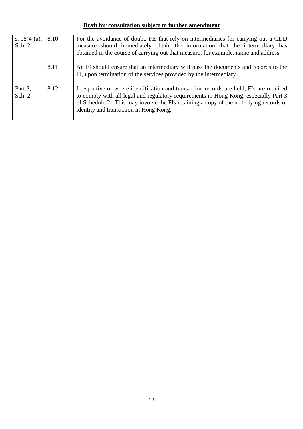| s. $18(4)(a)$ ,<br>Sch. $2$ | 8.10 | For the avoidance of doubt, FIs that rely on intermediaries for carrying out a CDD<br>measure should immediately obtain the information that the intermediary has<br>obtained in the course of carrying out that measure, for example, name and address.                                                           |
|-----------------------------|------|--------------------------------------------------------------------------------------------------------------------------------------------------------------------------------------------------------------------------------------------------------------------------------------------------------------------|
|                             | 8.11 | An FI should ensure that an intermediary will pass the documents and records to the<br>FI, upon termination of the services provided by the intermediary.                                                                                                                                                          |
| Part 3,<br>Sch. $2$         | 8.12 | Irrespective of where identification and transaction records are held, FIs are required<br>to comply with all legal and regulatory requirements in Hong Kong, especially Part 3<br>of Schedule 2. This may involve the FIs retaining a copy of the underlying records of<br>identity and transaction in Hong Kong. |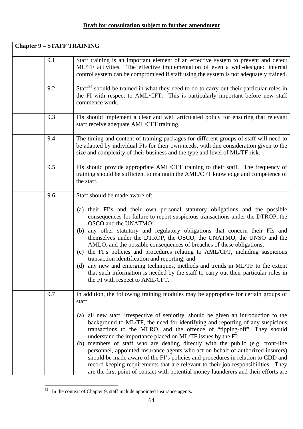| <b>Chapter 9 - STAFF TRAINING</b> |     |                                                                                                                                                                                                                                                                                                                                                                                                                                                                                                                                                                                                                                                                                                                                                                                                                                                        |
|-----------------------------------|-----|--------------------------------------------------------------------------------------------------------------------------------------------------------------------------------------------------------------------------------------------------------------------------------------------------------------------------------------------------------------------------------------------------------------------------------------------------------------------------------------------------------------------------------------------------------------------------------------------------------------------------------------------------------------------------------------------------------------------------------------------------------------------------------------------------------------------------------------------------------|
|                                   | 9.1 | Staff training is an important element of an effective system to prevent and detect<br>ML/TF activities. The effective implementation of even a well-designed internal<br>control system can be compromised if staff using the system is not adequately trained.                                                                                                                                                                                                                                                                                                                                                                                                                                                                                                                                                                                       |
|                                   | 9.2 | Staff <sup>35</sup> should be trained in what they need to do to carry out their particular roles in<br>the FI with respect to AML/CFT. This is particularly important before new staff<br>commence work.                                                                                                                                                                                                                                                                                                                                                                                                                                                                                                                                                                                                                                              |
|                                   | 9.3 | FIs should implement a clear and well articulated policy for ensuring that relevant<br>staff receive adequate AML/CFT training.                                                                                                                                                                                                                                                                                                                                                                                                                                                                                                                                                                                                                                                                                                                        |
|                                   | 9.4 | The timing and content of training packages for different groups of staff will need to<br>be adapted by individual FIs for their own needs, with due consideration given to the<br>size and complexity of their business and the type and level of ML/TF risk.                                                                                                                                                                                                                                                                                                                                                                                                                                                                                                                                                                                         |
|                                   | 9.5 | FIs should provide appropriate AML/CFT training to their staff. The frequency of<br>training should be sufficient to maintain the AML/CFT knowledge and competence of<br>the staff.                                                                                                                                                                                                                                                                                                                                                                                                                                                                                                                                                                                                                                                                    |
|                                   | 9.6 | Staff should be made aware of:<br>(a) their FI's and their own personal statutory obligations and the possible<br>consequences for failure to report suspicious transactions under the DTROP, the<br>OSCO and the UNATMO;<br>(b) any other statutory and regulatory obligations that concern their FIs and<br>themselves under the DTROP, the OSCO, the UNATMO, the UNSO and the<br>AMLO, and the possible consequences of breaches of these obligations;<br>(c) the FI's policies and procedures relating to AML/CFT, including suspicious<br>transaction identification and reporting; and<br>(d) any new and emerging techniques, methods and trends in ML/TF to the extent<br>that such information is needed by the staff to carry out their particular roles in<br>the FI with respect to AML/CFT.                                               |
|                                   | 9.7 | In addition, the following training modules may be appropriate for certain groups of<br>staff:<br>(a) all new staff, irrespective of seniority, should be given an introduction to the<br>background to ML/TF, the need for identifying and reporting of any suspicious<br>transactions to the MLRO, and the offence of "tipping-off". They should<br>understand the importance placed on ML/TF issues by the FI;<br>(b) members of staff who are dealing directly with the public (e.g. front-line<br>personnel, appointed insurance agents who act on behalf of authorized insurers)<br>should be made aware of the FI's policies and procedures in relation to CDD and<br>record keeping requirements that are relevant to their job responsibilities. They<br>are the first point of contact with potential money launderers and their efforts are |

<span id="page-65-0"></span> $35$  In the context of Chapter 9, staff include appointed insurance agents.

 $\overline{a}$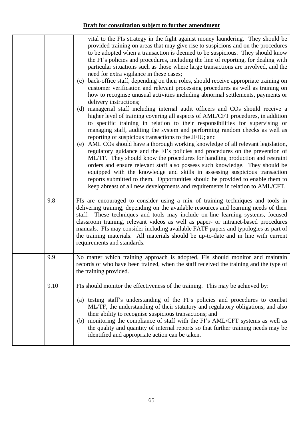|      | vital to the FIs strategy in the fight against money laundering. They should be<br>provided training on areas that may give rise to suspicions and on the procedures<br>to be adopted when a transaction is deemed to be suspicious. They should know<br>the FI's policies and procedures, including the line of reporting, for dealing with<br>particular situations such as those where large transactions are involved, and the<br>need for extra vigilance in these cases;<br>(c) back-office staff, depending on their roles, should receive appropriate training on<br>customer verification and relevant processing procedures as well as training on<br>how to recognise unusual activities including abnormal settlements, payments or                                                                                                                                                                                                                                                              |
|------|--------------------------------------------------------------------------------------------------------------------------------------------------------------------------------------------------------------------------------------------------------------------------------------------------------------------------------------------------------------------------------------------------------------------------------------------------------------------------------------------------------------------------------------------------------------------------------------------------------------------------------------------------------------------------------------------------------------------------------------------------------------------------------------------------------------------------------------------------------------------------------------------------------------------------------------------------------------------------------------------------------------|
|      | delivery instructions;<br>(d) managerial staff including internal audit officers and COs should receive a<br>higher level of training covering all aspects of AML/CFT procedures, in addition<br>to specific training in relation to their responsibilities for supervising or<br>managing staff, auditing the system and performing random checks as well as<br>reporting of suspicious transactions to the JFIU; and<br>(e) AML COs should have a thorough working knowledge of all relevant legislation,<br>regulatory guidance and the FI's policies and procedures on the prevention of<br>ML/TF. They should know the procedures for handling production and restraint<br>orders and ensure relevant staff also possess such knowledge. They should be<br>equipped with the knowledge and skills in assessing suspicious transaction<br>reports submitted to them. Opportunities should be provided to enable them to<br>keep abreast of all new developments and requirements in relation to AML/CFT. |
| 9.8  | FIs are encouraged to consider using a mix of training techniques and tools in<br>delivering training, depending on the available resources and learning needs of their<br>staff. These techniques and tools may include on-line learning systems, focused<br>classroom training, relevant videos as well as paper- or intranet-based procedures<br>manuals. FIs may consider including available FATF papers and typologies as part of<br>the training materials. All materials should be up-to-date and in line with current<br>requirements and standards.                                                                                                                                                                                                                                                                                                                                                                                                                                                |
| 9.9  | No matter which training approach is adopted, FIs should monitor and maintain<br>records of who have been trained, when the staff received the training and the type of<br>the training provided.                                                                                                                                                                                                                                                                                                                                                                                                                                                                                                                                                                                                                                                                                                                                                                                                            |
| 9.10 | FIs should monitor the effectiveness of the training. This may be achieved by:<br>(a) testing staff's understanding of the FI's policies and procedures to combat<br>ML/TF, the understanding of their statutory and regulatory obligations, and also<br>their ability to recognise suspicious transactions; and<br>(b) monitoring the compliance of staff with the FI's AML/CFT systems as well as<br>the quality and quantity of internal reports so that further training needs may be<br>identified and appropriate action can be taken.                                                                                                                                                                                                                                                                                                                                                                                                                                                                 |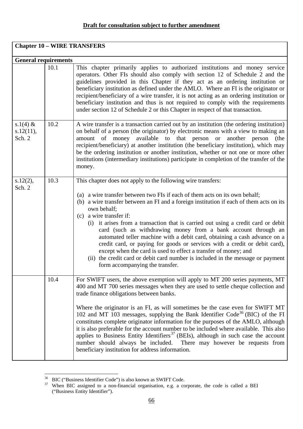| <b>Chapter 10 - WIRE TRANSFERS</b> |      |                                                                                                                                                                                                                                                                                                                                                                                                                                                                                                                                                                                                                                                                                                                                                                                                                |
|------------------------------------|------|----------------------------------------------------------------------------------------------------------------------------------------------------------------------------------------------------------------------------------------------------------------------------------------------------------------------------------------------------------------------------------------------------------------------------------------------------------------------------------------------------------------------------------------------------------------------------------------------------------------------------------------------------------------------------------------------------------------------------------------------------------------------------------------------------------------|
| <b>General requirements</b>        |      |                                                                                                                                                                                                                                                                                                                                                                                                                                                                                                                                                                                                                                                                                                                                                                                                                |
|                                    | 10.1 | This chapter primarily applies to authorized institutions and money service<br>operators. Other FIs should also comply with section 12 of Schedule 2 and the<br>guidelines provided in this Chapter if they act as an ordering institution or<br>beneficiary institution as defined under the AMLO. Where an FI is the originator or<br>recipient/beneficiary of a wire transfer, it is not acting as an ordering institution or<br>beneficiary institution and thus is not required to comply with the requirements<br>under section 12 of Schedule 2 or this Chapter in respect of that transaction.                                                                                                                                                                                                         |
| $s.1(4) \&$<br>s.12(11),<br>Sch. 2 | 10.2 | A wire transfer is a transaction carried out by an institution (the ordering institution)<br>on behalf of a person (the originator) by electronic means with a view to making an<br>amount of money available to that person or<br>another person<br>(the<br>recipient/beneficiary) at another institution (the beneficiary institution), which may<br>be the ordering institution or another institution, whether or not one or more other<br>institutions (intermediary institutions) participate in completion of the transfer of the<br>money.                                                                                                                                                                                                                                                             |
| s.12(2),<br>Sch. 2                 | 10.3 | This chapter does not apply to the following wire transfers:<br>(a) a wire transfer between two FIs if each of them acts on its own behalf;<br>(b) a wire transfer between an FI and a foreign institution if each of them acts on its<br>own behalf;<br>(c) a wire transfer if:<br>(i) it arises from a transaction that is carried out using a credit card or debit<br>card (such as withdrawing money from a bank account through an<br>automated teller machine with a debit card, obtaining a cash advance on a<br>credit card, or paying for goods or services with a credit or debit card),<br>except when the card is used to effect a transfer of money; and<br>(ii) the credit card or debit card number is included in the message or payment<br>form accompanying the transfer.                    |
|                                    | 10.4 | For SWIFT users, the above exemption will apply to MT 200 series payments, MT<br>400 and MT 700 series messages when they are used to settle cheque collection and<br>trade finance obligations between banks.<br>Where the originator is an FI, as will sometimes be the case even for SWIFT MT<br>102 and MT 103 messages, supplying the Bank Identifier Code <sup>36</sup> (BIC) of the FI<br>constitutes complete originator information for the purposes of the AMLO, although<br>it is also preferable for the account number to be included where available. This also<br>applies to Business Entity Identifiers <sup>37</sup> (BEIs), although in such case the account<br>number should always be included.<br>There may however be requests from<br>beneficiary institution for address information. |

 $\overline{a}$ <sup>36</sup> BIC ("Business Identifier Code") is also known as SWIFT Code.

<span id="page-67-1"></span><span id="page-67-0"></span> $37$  When BIC assigned to a non-financial organisation, e.g. a corporate, the code is called a BEI ("Business Entity Identifier").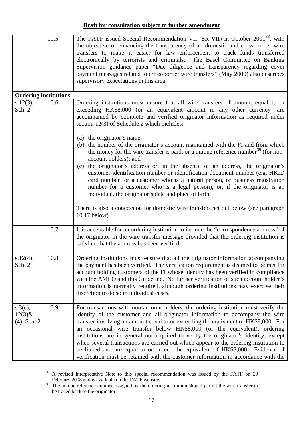|                                        | 10.5 | The FATF issued Special Recommendation VII (SR VII) in October 2001 <sup>38</sup> , with<br>the objective of enhancing the transparency of all domestic and cross-border wire<br>transfers to make it easier for law enforcement to track funds transferred<br>electronically by terrorists and criminals. The Basel Committee on Banking<br>Supervision guidance paper "Due diligence and transparency regarding cover<br>payment messages related to cross-border wire transfers" (May 2009) also describes<br>supervisory expectations in this area.                                                                                                                                          |
|----------------------------------------|------|--------------------------------------------------------------------------------------------------------------------------------------------------------------------------------------------------------------------------------------------------------------------------------------------------------------------------------------------------------------------------------------------------------------------------------------------------------------------------------------------------------------------------------------------------------------------------------------------------------------------------------------------------------------------------------------------------|
| <b>Ordering institutions</b>           |      |                                                                                                                                                                                                                                                                                                                                                                                                                                                                                                                                                                                                                                                                                                  |
| s.12(3),<br>Sch. 2                     | 10.6 | Ordering institutions must ensure that all wire transfers of amount equal to or<br>exceeding HK\$8,000 (or an equivalent amount in any other currency) are<br>accompanied by complete and verified originator information as required under<br>section $12(3)$ of Schedule 2 which includes:<br>(a) the originator's name;<br>(b) the number of the originator's account maintained with the FI and from which<br>the money for the wire transfer is paid, or a unique reference number <sup>39</sup> (for non-<br>account holders); and<br>(c) the originator's address or, in the absence of an address, the originator's                                                                      |
|                                        |      | customer identification number or identification document number (e.g. HKID<br>card number for a customer who is a natural person, or business registration<br>number for a customer who is a legal person), or, if the originator is an<br>individual, the originator's date and place of birth.<br>There is also a concession for domestic wire transfers set out below (see paragraph)<br>10.17 below).                                                                                                                                                                                                                                                                                       |
|                                        | 10.7 | It is acceptable for an ordering institution to include the "correspondence address" of<br>the originator in the wire transfer message provided that the ordering institution is<br>satisfied that the address has been verified.                                                                                                                                                                                                                                                                                                                                                                                                                                                                |
| s.12(4),<br>Sch. 2                     | 10.8 | Ordering institutions must ensure that all the originator information accompanying<br>the payment has been verified. The verification requirement is deemed to be met for<br>account holding customers of the FI whose identity has been verified in compliance<br>with the AMLO and this Guideline. No further verification of such account holder's<br>information is normally required, although ordering institutions may exercise their<br>discretion to do so in individual cases.                                                                                                                                                                                                         |
| s.3(c),<br>$12(3)$ &<br>$(4)$ , Sch. 2 | 10.9 | For transactions with non-account holders, the ordering institution must verify the<br>identity of the customer and all originator information to accompany the wire<br>transfer involving an amount equal to or exceeding the equivalent of HK\$8,000. For<br>an occasional wire transfer below HK\$8,000 (or the equivalent), ordering<br>institutions are in general not required to verify the originator's identity, except<br>when several transactions are carried out which appear to the ordering institution to<br>be linked and are equal to or exceed the equivalent of HK\$8,000. Evidence of<br>verification must be retained with the customer information in accordance with the |

<span id="page-68-0"></span><sup>38</sup> 38 A revised Interpretative Note to this special recommendation was issued by the FATF on 29 February 2008 and is available on the FATF website.

<span id="page-68-1"></span><sup>&</sup>lt;sup>39</sup> The unique reference number assigned by the ordering institution should permit the wire transfer to be traced back to the originator.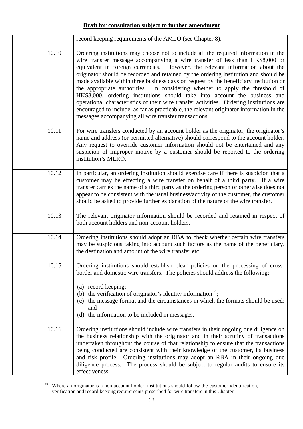|       | record keeping requirements of the AMLO (see Chapter 8).                                                                                                                                                                                                                                                                                                                                                                                                                                                                                                                                                                                                                                                                                                                                                                                               |
|-------|--------------------------------------------------------------------------------------------------------------------------------------------------------------------------------------------------------------------------------------------------------------------------------------------------------------------------------------------------------------------------------------------------------------------------------------------------------------------------------------------------------------------------------------------------------------------------------------------------------------------------------------------------------------------------------------------------------------------------------------------------------------------------------------------------------------------------------------------------------|
| 10.10 | Ordering institutions may choose not to include all the required information in the<br>wire transfer message accompanying a wire transfer of less than HK\$8,000 or<br>equivalent in foreign currencies. However, the relevant information about the<br>originator should be recorded and retained by the ordering institution and should be<br>made available within three business days on request by the beneficiary institution or<br>the appropriate authorities. In considering whether to apply the threshold of<br>HK\$8,000, ordering institutions should take into account the business and<br>operational characteristics of their wire transfer activities. Ordering institutions are<br>encouraged to include, as far as practicable, the relevant originator information in the<br>messages accompanying all wire transfer transactions. |
| 10.11 | For wire transfers conducted by an account holder as the originator, the originator's<br>name and address (or permitted alternative) should correspond to the account holder.<br>Any request to override customer information should not be entertained and any<br>suspicion of improper motive by a customer should be reported to the ordering<br>institution's MLRO.                                                                                                                                                                                                                                                                                                                                                                                                                                                                                |
| 10.12 | In particular, an ordering institution should exercise care if there is suspicion that a<br>customer may be effecting a wire transfer on behalf of a third party. If a wire<br>transfer carries the name of a third party as the ordering person or otherwise does not<br>appear to be consistent with the usual business/activity of the customer, the customer<br>should be asked to provide further explanation of the nature of the wire transfer.                                                                                                                                                                                                                                                                                                                                                                                                 |
| 10.13 | The relevant originator information should be recorded and retained in respect of<br>both account holders and non-account holders.                                                                                                                                                                                                                                                                                                                                                                                                                                                                                                                                                                                                                                                                                                                     |
| 10.14 | Ordering institutions should adopt an RBA to check whether certain wire transfers<br>may be suspicious taking into account such factors as the name of the beneficiary,<br>the destination and amount of the wire transfer etc.                                                                                                                                                                                                                                                                                                                                                                                                                                                                                                                                                                                                                        |
| 10.15 | Ordering institutions should establish clear policies on the processing of cross-<br>border and domestic wire transfers. The policies should address the following:<br>(a) record keeping;<br>(b) the verification of originator's identity information <sup>40</sup> ;<br>(c) the message format and the circumstances in which the formats should be used;<br>and<br>the information to be included in messages.<br>(d)                                                                                                                                                                                                                                                                                                                                                                                                                              |
| 10.16 | Ordering institutions should include wire transfers in their ongoing due diligence on<br>the business relationship with the originator and in their scrutiny of transactions<br>undertaken throughout the course of that relationship to ensure that the transactions<br>being conducted are consistent with their knowledge of the customer, its business<br>and risk profile. Ordering institutions may adopt an RBA in their ongoing due<br>diligence process. The process should be subject to regular audits to ensure its<br>effectiveness.                                                                                                                                                                                                                                                                                                      |

<span id="page-69-0"></span> $\overline{a}$ <sup>40</sup> Where an originator is a non-account holder, institutions should follow the customer identification, verification and record keeping requirements prescribed for wire transfers in this Chapter.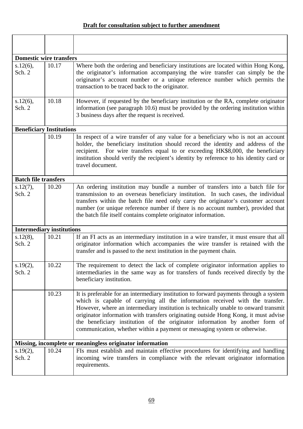| <b>Domestic wire transfers</b>   |       |                                                                                                                                                                                                                                                                                                                                                                                                                                                                                                                  |
|----------------------------------|-------|------------------------------------------------------------------------------------------------------------------------------------------------------------------------------------------------------------------------------------------------------------------------------------------------------------------------------------------------------------------------------------------------------------------------------------------------------------------------------------------------------------------|
| $s.12(6)$ ,<br>Sch. 2            | 10.17 | Where both the ordering and beneficiary institutions are located within Hong Kong,<br>the originator's information accompanying the wire transfer can simply be the<br>originator's account number or a unique reference number which permits the<br>transaction to be traced back to the originator.                                                                                                                                                                                                            |
| s.12(6),<br>Sch. 2               | 10.18 | However, if requested by the beneficiary institution or the RA, complete originator<br>information (see paragraph 10.6) must be provided by the ordering institution within<br>3 business days after the request is received.                                                                                                                                                                                                                                                                                    |
| <b>Beneficiary Institutions</b>  |       |                                                                                                                                                                                                                                                                                                                                                                                                                                                                                                                  |
|                                  | 10.19 | In respect of a wire transfer of any value for a beneficiary who is not an account<br>holder, the beneficiary institution should record the identity and address of the<br>recipient. For wire transfers equal to or exceeding HK\$8,000, the beneficiary<br>institution should verify the recipient's identity by reference to his identity card or<br>travel document.                                                                                                                                         |
| <b>Batch file transfers</b>      |       |                                                                                                                                                                                                                                                                                                                                                                                                                                                                                                                  |
| s.12(7),<br>Sch. 2               | 10.20 | An ordering institution may bundle a number of transfers into a batch file for<br>transmission to an overseas beneficiary institution. In such cases, the individual<br>transfers within the batch file need only carry the originator's customer account<br>number (or unique reference number if there is no account number), provided that<br>the batch file itself contains complete originator information.                                                                                                 |
| <b>Intermediary institutions</b> |       |                                                                                                                                                                                                                                                                                                                                                                                                                                                                                                                  |
| s.12(8),<br>Sch. 2               | 10.21 | If an FI acts as an intermediary institution in a wire transfer, it must ensure that all<br>originator information which accompanies the wire transfer is retained with the<br>transfer and is passed to the next institution in the payment chain.                                                                                                                                                                                                                                                              |
| s.19(2),<br>Sch. 2               | 10.22 | The requirement to detect the lack of complete originator information applies to<br>intermediaries in the same way as for transfers of funds received directly by the<br>beneficiary institution.                                                                                                                                                                                                                                                                                                                |
|                                  | 10.23 | It is preferable for an intermediary institution to forward payments through a system<br>which is capable of carrying all the information received with the transfer.<br>However, where an intermediary institution is technically unable to onward transmit<br>originator information with transfers originating outside Hong Kong, it must advise<br>the beneficiary institution of the originator information by another form of<br>communication, whether within a payment or messaging system or otherwise. |
|                                  |       | Missing, incomplete or meaningless originator information                                                                                                                                                                                                                                                                                                                                                                                                                                                        |
| s.19(2),<br>Sch. 2               | 10.24 | FIs must establish and maintain effective procedures for identifying and handling<br>incoming wire transfers in compliance with the relevant originator information<br>requirements.                                                                                                                                                                                                                                                                                                                             |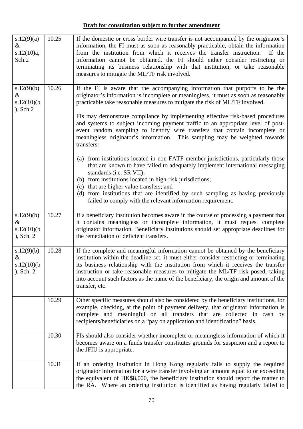| s.12(9)(a)<br>$\&$<br>s.12(10)a,<br>Sch.2            | 10.25 | If the domestic or cross border wire transfer is not accompanied by the originator's<br>information, the FI must as soon as reasonably practicable, obtain the information<br>from the institution from which it receives the transfer instruction.<br>If the<br>information cannot be obtained, the FI should either consider restricting or<br>terminating its business relationship with that institution, or take reasonable<br>measures to mitigate the ML/TF risk involved. |
|------------------------------------------------------|-------|-----------------------------------------------------------------------------------------------------------------------------------------------------------------------------------------------------------------------------------------------------------------------------------------------------------------------------------------------------------------------------------------------------------------------------------------------------------------------------------|
| s.12(9)(b)<br>$\&$<br>$s.12(10)$ (b)<br>, Sch.2      | 10.26 | If the FI is aware that the accompanying information that purports to be the<br>originator's information is incomplete or meaningless, it must as soon as reasonably<br>practicable take reasonable measures to mitigate the risk of ML/TF involved.                                                                                                                                                                                                                              |
|                                                      |       | FIs may demonstrate compliance by implementing effective risk-based procedures<br>and systems to subject incoming payment traffic to an appropriate level of post-<br>event random sampling to identify wire transfers that contain incomplete or<br>meaningless originator's information. This sampling may be weighted towards<br>transfers:                                                                                                                                    |
|                                                      |       | (a) from institutions located in non-FATF member jurisdictions, particularly those<br>that are known to have failed to adequately implement international messaging<br>standards (i.e. SR VII);<br>(b) from institutions located in high-risk jurisdictions;                                                                                                                                                                                                                      |
|                                                      |       | (c) that are higher value transfers; and<br>(d) from institutions that are identified by such sampling as having previously<br>failed to comply with the relevant information requirement.                                                                                                                                                                                                                                                                                        |
| s.12(9)(b)<br>$\&$<br>$s.12(10)$ (b)<br>$)$ , Sch. 2 | 10.27 | If a beneficiary institution becomes aware in the course of processing a payment that<br>it contains meaningless or incomplete information, it must request complete<br>originator information. Beneficiary institutions should set appropriate deadlines for<br>the remediation of deficient transfers.                                                                                                                                                                          |
| s.12(9)(b)<br>&<br>$s.12(10)$ (b)<br>, Sch. 2        | 10.28 | If the complete and meaningful information cannot be obtained by the beneficiary<br>institution within the deadline set, it must either consider restricting or terminating<br>its business relationship with the institution from which it receives the transfer<br>instruction or take reasonable measures to mitigate the ML/TF risk posed, taking<br>into account such factors as the name of the beneficiary, the origin and amount of the<br>transfer, etc.                 |
|                                                      | 10.29 | Other specific measures should also be considered by the beneficiary institutions, for<br>example, checking, at the point of payment delivery, that originator information is<br>complete and meaningful on all transfers that are collected in cash by<br>recipients/beneficiaries on a "pay on application and identification" basis.                                                                                                                                           |
|                                                      | 10.30 | FIs should also consider whether incomplete or meaningless information of which it<br>becomes aware on a funds transfer constitutes grounds for suspicion and a report to<br>the JFIU is appropriate.                                                                                                                                                                                                                                                                             |
|                                                      | 10.31 | If an ordering institution in Hong Kong regularly fails to supply the required<br>originator information for a wire transfer involving an amount equal to or exceeding<br>the equivalent of HK\$8,000, the beneficiary institution should report the matter to<br>the RA. Where an ordering institution is identified as having regularly failed to                                                                                                                               |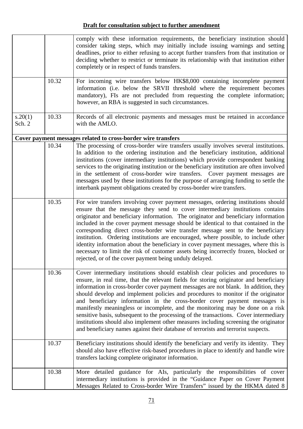|                   | 10.32 | comply with these information requirements, the beneficiary institution should<br>consider taking steps, which may initially include issuing warnings and setting<br>deadlines, prior to either refusing to accept further transfers from that institution or<br>deciding whether to restrict or terminate its relationship with that institution either<br>completely or in respect of funds transfers.<br>For incoming wire transfers below HK\$8,000 containing incomplete payment<br>information (i.e. below the SRVII threshold where the requirement becomes<br>mandatory), FIs are not precluded from requesting the complete information;<br>however, an RBA is suggested in such circumstances.                                                                                     |
|-------------------|-------|----------------------------------------------------------------------------------------------------------------------------------------------------------------------------------------------------------------------------------------------------------------------------------------------------------------------------------------------------------------------------------------------------------------------------------------------------------------------------------------------------------------------------------------------------------------------------------------------------------------------------------------------------------------------------------------------------------------------------------------------------------------------------------------------|
| s.20(1)<br>Sch. 2 | 10.33 | Records of all electronic payments and messages must be retained in accordance<br>with the AMLO.                                                                                                                                                                                                                                                                                                                                                                                                                                                                                                                                                                                                                                                                                             |
|                   |       | Cover payment messages related to cross-border wire transfers                                                                                                                                                                                                                                                                                                                                                                                                                                                                                                                                                                                                                                                                                                                                |
|                   | 10.34 | The processing of cross-border wire transfers usually involves several institutions.<br>In addition to the ordering institution and the beneficiary institution, additional<br>institutions (cover intermediary institutions) which provide correspondent banking<br>services to the originating institution or the beneficiary institution are often involved<br>in the settlement of cross-border wire transfers. Cover payment messages are<br>messages used by these institutions for the purpose of arranging funding to settle the<br>interbank payment obligations created by cross-border wire transfers.                                                                                                                                                                            |
|                   | 10.35 | For wire transfers involving cover payment messages, ordering institutions should<br>ensure that the message they send to cover intermediary institutions contains<br>originator and beneficiary information. The originator and beneficiary information<br>included in the cover payment message should be identical to that contained in the<br>corresponding direct cross-border wire transfer message sent to the beneficiary<br>institution. Ordering institutions are encouraged, where possible, to include other<br>identity information about the beneficiary in cover payment messages, where this is<br>necessary to limit the risk of customer assets being incorrectly frozen, blocked or<br>rejected, or of the cover payment being unduly delayed.                            |
|                   | 10.36 | Cover intermediary institutions should establish clear policies and procedures to<br>ensure, in real time, that the relevant fields for storing originator and beneficiary<br>information in cross-border cover payment messages are not blank. In addition, they<br>should develop and implement policies and procedures to monitor if the originator<br>and beneficiary information in the cross-border cover payment messages is<br>manifestly meaningless or incomplete, and the monitoring may be done on a risk<br>sensitive basis, subsequent to the processing of the transactions. Cover intermediary<br>institutions should also implement other measures including screening the originator<br>and beneficiary names against their database of terrorists and terrorist suspects. |
|                   | 10.37 | Beneficiary institutions should identify the beneficiary and verify its identity. They<br>should also have effective risk-based procedures in place to identify and handle wire<br>transfers lacking complete originator information.                                                                                                                                                                                                                                                                                                                                                                                                                                                                                                                                                        |
|                   | 10.38 | More detailed guidance for AIs, particularly the responsibilities of cover<br>intermediary institutions is provided in the "Guidance Paper on Cover Payment<br>Messages Related to Cross-border Wire Transfers" issued by the HKMA dated 8                                                                                                                                                                                                                                                                                                                                                                                                                                                                                                                                                   |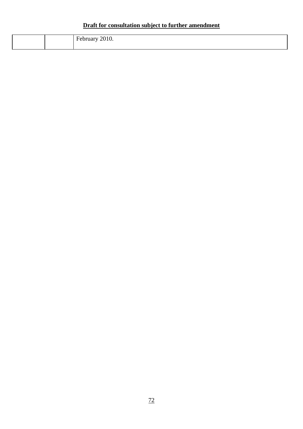|  | T. |
|--|----|
|  |    |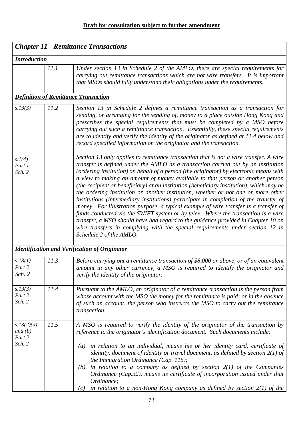| <b>Chapter 11 - Remittance Transactions</b>  |      |                                                                                                                                                                                                                                                                                                                                                                                                                                                                                                                                                                                                                                                                                                                                                                                                                                                                                                                                                                                                               |  |  |
|----------------------------------------------|------|---------------------------------------------------------------------------------------------------------------------------------------------------------------------------------------------------------------------------------------------------------------------------------------------------------------------------------------------------------------------------------------------------------------------------------------------------------------------------------------------------------------------------------------------------------------------------------------------------------------------------------------------------------------------------------------------------------------------------------------------------------------------------------------------------------------------------------------------------------------------------------------------------------------------------------------------------------------------------------------------------------------|--|--|
| <b>Introduction</b>                          |      |                                                                                                                                                                                                                                                                                                                                                                                                                                                                                                                                                                                                                                                                                                                                                                                                                                                                                                                                                                                                               |  |  |
|                                              | 11.1 | Under section 13 in Schedule 2 of the AMLO, there are special requirements for<br>carrying out remittance transactions which are not wire transfers. It is important<br>that MSOs should fully understand their obligations under the requirements.                                                                                                                                                                                                                                                                                                                                                                                                                                                                                                                                                                                                                                                                                                                                                           |  |  |
|                                              |      | <b>Definition of Remittance Transaction</b>                                                                                                                                                                                                                                                                                                                                                                                                                                                                                                                                                                                                                                                                                                                                                                                                                                                                                                                                                                   |  |  |
| s.13(3)                                      | 11.2 | Section 13 in Schedule 2 defines a remittance transaction as a transaction for<br>sending, or arranging for the sending of, money to a place outside Hong Kong and<br>prescribes the special requirements that must be completed by a MSO before<br>carrying out such a remittance transaction. Essentially, these special requirements<br>are to identify and verify the identity of the originator as defined at 11.4 below and<br>record specified information on the originator and the transaction.                                                                                                                                                                                                                                                                                                                                                                                                                                                                                                      |  |  |
| s.1(4)<br>Part 1,<br>Sch. 2                  |      | Section 13 only applies to remittance transaction that is not a wire transfer. A wire<br>transfer is defined under the AMLO as a transaction carried out by an institution<br>(ordering institution) on behalf of a person (the originator) by electronic means with<br>a view to making an amount of money available to that person or another person<br>(the recipient or beneficiary) at an institution (beneficiary institution), which may be<br>the ordering institution or another institution, whether or not one or more other<br>institutions (intermediary institutions) participate in completion of the transfer of<br>money. For illustration purpose, a typical example of wire transfer is a transfer of<br>funds conducted via the SWIFT system or by telex. Where the transaction is a wire<br>transfer, a MSO should have had regard to the guidance provided in Chapter 10 on<br>wire transfers in complying with the special requirements under section 12 in<br>Schedule 2 of the AMLO. |  |  |
|                                              |      | <b>Identification and Verification of Originator</b>                                                                                                                                                                                                                                                                                                                                                                                                                                                                                                                                                                                                                                                                                                                                                                                                                                                                                                                                                          |  |  |
| s.13(1)<br>Part 2,<br>Sch. 2                 | 11.3 | Before carrying out a remittance transaction of \$8,000 or above, or of an equivalent<br>amount in any other currency, a MSO is required to identify the originator and<br>verify the identity of the originator.                                                                                                                                                                                                                                                                                                                                                                                                                                                                                                                                                                                                                                                                                                                                                                                             |  |  |
| s.13(3)<br>Part 2,<br>Sch. 2                 | 11.4 | Pursuant to the AMLO, an originator of a remittance transaction is the person from<br>whose account with the MSO the money for the remittance is paid; or in the absence<br>of such an account, the person who instructs the MSO to carry out the remittance<br>transaction.                                                                                                                                                                                                                                                                                                                                                                                                                                                                                                                                                                                                                                                                                                                                  |  |  |
| s.13(2)(a)<br>and $(b)$<br>Part 2,<br>Sch. 2 | 11.5 | A MSO is required to verify the identity of the originator of the transaction by<br>reference to the originator's identification document. Such documents include:<br>in relation to an individual, means his or her identity card, certificate of<br>$\left( a\right)$<br>identity, document of identity or travel document, as defined by section $2(1)$ of<br>the Immigration Ordinance (Cap. 115);<br>in relation to a company as defined by section $2(1)$ of the Companies<br>(b)<br>Ordinance (Cap.32), means its certificate of incorporation issued under that                                                                                                                                                                                                                                                                                                                                                                                                                                       |  |  |
|                                              |      | Ordinance;<br>in relation to a non-Hong Kong company as defined by section $2(1)$ of the<br>(c)                                                                                                                                                                                                                                                                                                                                                                                                                                                                                                                                                                                                                                                                                                                                                                                                                                                                                                               |  |  |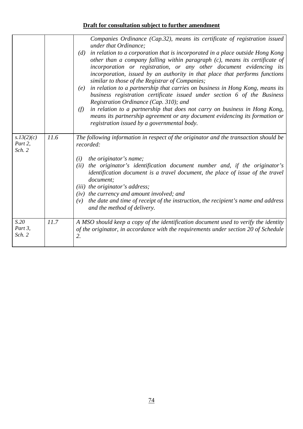|                                 |      | Companies Ordinance (Cap.32), means its certificate of registration issued<br>under that Ordinance;<br>$(d)$ in relation to a corporation that is incorporated in a place outside Hong Kong<br>other than a company falling within paragraph $(c)$ , means its certificate of<br>incorporation or registration, or any other document evidencing its<br>incorporation, issued by an authority in that place that performs functions<br>similar to those of the Registrar of Companies;<br>in relation to a partnership that carries on business in Hong Kong, means its<br>(e)<br>business registration certificate issued under section 6 of the Business<br>Registration Ordinance (Cap. 310); and<br>in relation to a partnership that does not carry on business in Hong Kong,<br>(f)<br>means its partnership agreement or any document evidencing its formation or<br>registration issued by a governmental body. |  |
|---------------------------------|------|-------------------------------------------------------------------------------------------------------------------------------------------------------------------------------------------------------------------------------------------------------------------------------------------------------------------------------------------------------------------------------------------------------------------------------------------------------------------------------------------------------------------------------------------------------------------------------------------------------------------------------------------------------------------------------------------------------------------------------------------------------------------------------------------------------------------------------------------------------------------------------------------------------------------------|--|
| s.13(2)(c)<br>Part 2,<br>Sch. 2 | 11.6 | The following information in respect of the originator and the transaction should be<br>recorded:                                                                                                                                                                                                                                                                                                                                                                                                                                                                                                                                                                                                                                                                                                                                                                                                                       |  |
|                                 |      | the originator's name;<br>(i)<br>the originator's identification document number and, if the originator's<br>(ii)<br>identification document is a travel document, the place of issue of the travel<br>document;<br>(iii) the originator's address;<br>$(iv)$ the currency and amount involved; and<br>the date and time of receipt of the instruction, the recipient's name and address<br>(v)<br>and the method of delivery.                                                                                                                                                                                                                                                                                                                                                                                                                                                                                          |  |
| S.20<br>Part $3$ ,<br>Sch. 2    | 11.7 | A MSO should keep a copy of the identification document used to verify the identity<br>of the originator, in accordance with the requirements under section 20 of Schedule<br>2.                                                                                                                                                                                                                                                                                                                                                                                                                                                                                                                                                                                                                                                                                                                                        |  |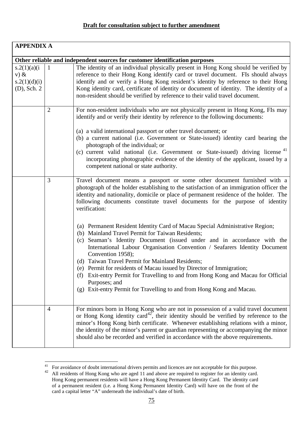| <b>APPENDIX A</b>                                        |                                                                                                                                                                                                                                                                                                                                                                                                                                        |                                                                                                                                                                                                                                                                                                                                                                                                                                                                                                                                                                                                                                                                                                                                                                                                                                                                                                                                                                                              |
|----------------------------------------------------------|----------------------------------------------------------------------------------------------------------------------------------------------------------------------------------------------------------------------------------------------------------------------------------------------------------------------------------------------------------------------------------------------------------------------------------------|----------------------------------------------------------------------------------------------------------------------------------------------------------------------------------------------------------------------------------------------------------------------------------------------------------------------------------------------------------------------------------------------------------------------------------------------------------------------------------------------------------------------------------------------------------------------------------------------------------------------------------------------------------------------------------------------------------------------------------------------------------------------------------------------------------------------------------------------------------------------------------------------------------------------------------------------------------------------------------------------|
|                                                          |                                                                                                                                                                                                                                                                                                                                                                                                                                        | Other reliable and independent sources for customer identification purposes                                                                                                                                                                                                                                                                                                                                                                                                                                                                                                                                                                                                                                                                                                                                                                                                                                                                                                                  |
| s.2(1)(a)(i)<br>$V)$ &<br>s.2(1)(d)(i)<br>$(D)$ , Sch. 2 | The identity of an individual physically present in Hong Kong should be verified by<br>reference to their Hong Kong identify card or travel document. FIs should always<br>identify and or verify a Hong Kong resident's identity by reference to their Hong<br>Kong identity card, certificate of identity or document of identity. The identity of a<br>non-resident should be verified by reference to their valid travel document. |                                                                                                                                                                                                                                                                                                                                                                                                                                                                                                                                                                                                                                                                                                                                                                                                                                                                                                                                                                                              |
|                                                          | $\overline{2}$                                                                                                                                                                                                                                                                                                                                                                                                                         | For non-resident individuals who are not physically present in Hong Kong, FIs may<br>identify and or verify their identity by reference to the following documents:<br>(a) a valid international passport or other travel document; or<br>(b) a current national (i.e. Government or State-issued) identity card bearing the<br>photograph of the individual; or<br>(c) current valid national (i.e. Government or State-issued) driving license <sup>41</sup><br>incorporating photographic evidence of the identity of the applicant, issued by a<br>competent national or state authority.                                                                                                                                                                                                                                                                                                                                                                                                |
|                                                          | 3                                                                                                                                                                                                                                                                                                                                                                                                                                      | Travel document means a passport or some other document furnished with a<br>photograph of the holder establishing to the satisfaction of an immigration officer the<br>identity and nationality, domicile or place of permanent residence of the holder. The<br>following documents constitute travel documents for the purpose of identity<br>verification:<br>(a) Permanent Resident Identity Card of Macau Special Administrative Region;<br>(b) Mainland Travel Permit for Taiwan Residents;<br>(c) Seaman's Identity Document (issued under and in accordance with the<br>International Labour Organisation Convention / Seafarers Identity Document<br>Convention 1958);<br>(d) Taiwan Travel Permit for Mainland Residents;<br>(e) Permit for residents of Macau issued by Director of Immigration;<br>Exit-entry Permit for Travelling to and from Hong Kong and Macau for Official<br>(f)<br>Purposes; and<br>(g) Exit-entry Permit for Travelling to and from Hong Kong and Macau. |
|                                                          | $\overline{4}$                                                                                                                                                                                                                                                                                                                                                                                                                         | For minors born in Hong Kong who are not in possession of a valid travel document<br>or Hong Kong identity card <sup>42</sup> , their identity should be verified by reference to the<br>minor's Hong Kong birth certificate. Whenever establishing relations with a minor,<br>the identity of the minor's parent or guardian representing or accompanying the minor<br>should also be recorded and verified in accordance with the above requirements.                                                                                                                                                                                                                                                                                                                                                                                                                                                                                                                                      |

<span id="page-76-0"></span> $\overline{a}$  $41$  For avoidance of doubt international drivers permits and licences are not acceptable for this purpose.

<span id="page-76-1"></span><sup>&</sup>lt;sup>42</sup> All residents of Hong Kong who are aged 11 and above are required to register for an identity card. Hong Kong permanent residents will have a Hong Kong Permanent Identity Card. The identity card of a permanent resident (i.e. a Hong Kong Permanent Identity Card) will have on the front of the card a capital letter "A" underneath the individual's date of birth.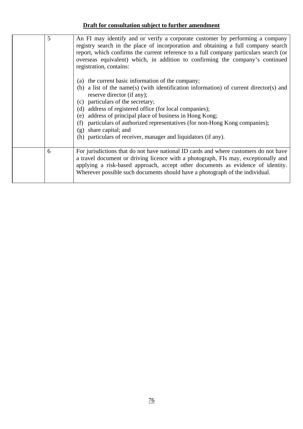| 5 | An FI may identify and or verify a corporate customer by performing a company<br>registry search in the place of incorporation and obtaining a full company search<br>report, which confirms the current reference to a full company particulars search (or<br>overseas equivalent) which, in addition to confirming the company's continued<br>registration, contains:<br>(a) the current basic information of the company;<br>(b) a list of the name(s) (with identification information) of current director(s) and<br>reserve director (if any);<br>particulars of the secretary;<br>(c)<br>address of registered office (for local companies);<br>(d)<br>address of principal place of business in Hong Kong;<br>(e)<br>particulars of authorized representatives (for non-Hong Kong companies);<br>(f)<br>share capital; and<br>(g)<br>(h) particulars of receiver, manager and liquidators (if any). |
|---|-------------------------------------------------------------------------------------------------------------------------------------------------------------------------------------------------------------------------------------------------------------------------------------------------------------------------------------------------------------------------------------------------------------------------------------------------------------------------------------------------------------------------------------------------------------------------------------------------------------------------------------------------------------------------------------------------------------------------------------------------------------------------------------------------------------------------------------------------------------------------------------------------------------|
|   |                                                                                                                                                                                                                                                                                                                                                                                                                                                                                                                                                                                                                                                                                                                                                                                                                                                                                                             |
| 6 | For jurisdictions that do not have national ID cards and where customers do not have<br>a travel document or driving licence with a photograph, FIs may, exceptionally and<br>applying a risk-based approach, accept other documents as evidence of identity.<br>Wherever possible such documents should have a photograph of the individual.                                                                                                                                                                                                                                                                                                                                                                                                                                                                                                                                                               |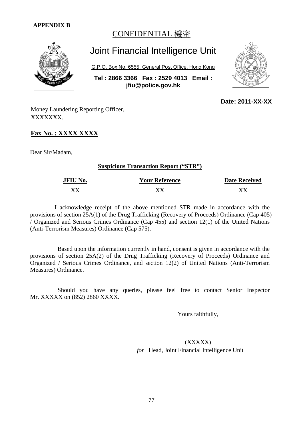#### **APPENDIX B**

### CONFIDENTIAL 機密



# Joint Financial Intelligence Unit

G.P.O. Box No. 6555, General Post Office, Hong Kong

**Tel : 2866 3366 Fax : 2529 4013 Email : jfiu@police.gov.hk**



 **Date: 2011-XX-XX**

Money Laundering Reporting Officer, XXXXXXX.

#### **Fax No. : XXXX XXXX**

Dear Sir/Madam,

#### **Suspicious Transaction Report ("STR")**

| <b>JFIU No.</b> | <b>Your Reference</b> | <b>Date Received</b> |
|-----------------|-----------------------|----------------------|
| vv              |                       |                      |

 I acknowledge receipt of the above mentioned STR made in accordance with the provisions of section 25A(1) of the Drug Trafficking (Recovery of Proceeds) Ordinance (Cap 405) / Organized and Serious Crimes Ordinance (Cap 455) and section 12(1) of the United Nations (Anti-Terrorism Measures) Ordinance (Cap 575).

 Based upon the information currently in hand, consent is given in accordance with the provisions of section 25A(2) of the Drug Trafficking (Recovery of Proceeds) Ordinance and Organized / Serious Crimes Ordinance, and section 12(2) of United Nations (Anti-Terrorism Measures) Ordinance.

 Should you have any queries, please feel free to contact Senior Inspector Mr. XXXXX on (852) 2860 XXXX.

Yours faithfully,

 (XXXXX) *for* Head, Joint Financial Intelligence Unit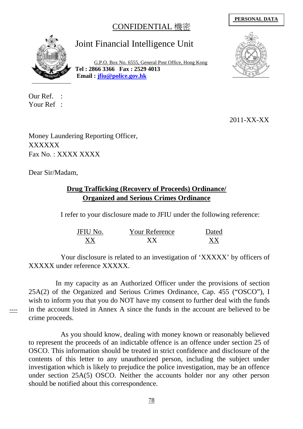## CONFIDENTIAL 機密

#### **PERSONAL DATA**



# Joint Financial Intelligence Unit

G.P.O. Box No. 6555, General Post Office, Hong Kong **Tel : 2866 3366 Fax : 2529 4013 Email : [jfiu@police.gov.hk](mailto:jfiu@police.gov.hk)**

Our Ref. : Your Ref :



2011-XX-XX

Money Laundering Reporting Officer, XXXXXX Fax No. : XXXX XXXX

Dear Sir/Madam,

### **Drug Trafficking (Recovery of Proceeds) Ordinance/ Organized and Serious Crimes Ordinance**

I refer to your disclosure made to JFIU under the following reference:

| <b>JFIU No.</b> | <b>Your Reference</b> | Dated |
|-----------------|-----------------------|-------|
| XX.             | ${\bf X}{\bf X}$      |       |

Your disclosure is related to an investigation of 'XXXXX' by officers of XXXXX under reference XXXXX.

 In my capacity as an Authorized Officer under the provisions of section 25A(2) of the Organized and Serious Crimes Ordinance, Cap. 455 ("OSCO"), I wish to inform you that you do NOT have my consent to further deal with the funds in the account listed in Annex A since the funds in the account are believed to be crime proceeds.

----

As you should know, dealing with money known or reasonably believed to represent the proceeds of an indictable offence is an offence under section 25 of OSCO. This information should be treated in strict confidence and disclosure of the contents of this letter to any unauthorized person, including the subject under investigation which is likely to prejudice the police investigation, may be an offence under section 25A(5) OSCO. Neither the accounts holder nor any other person should be notified about this correspondence.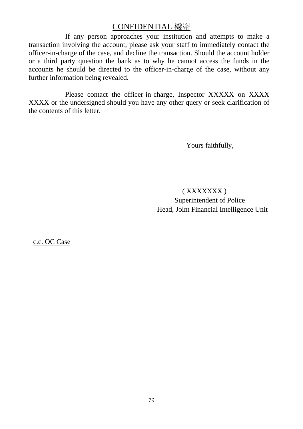### CONFIDENTIAL 機密

If any person approaches your institution and attempts to make a transaction involving the account, please ask your staff to immediately contact the officer-in-charge of the case, and decline the transaction. Should the account holder or a third party question the bank as to why he cannot access the funds in the accounts he should be directed to the officer-in-charge of the case, without any further information being revealed.

Please contact the officer-in-charge, Inspector XXXXX on XXXX XXXX or the undersigned should you have any other query or seek clarification of the contents of this letter.

Yours faithfully,

 ( XXXXXXX ) Superintendent of Police Head, Joint Financial Intelligence Unit

c.c. OC Case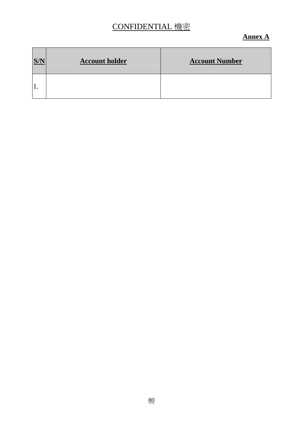## CONFIDENTIAL 機密

#### **Annex A**

| S/N | <b>Account holder</b> | <b>Account Number</b> |
|-----|-----------------------|-----------------------|
|     |                       |                       |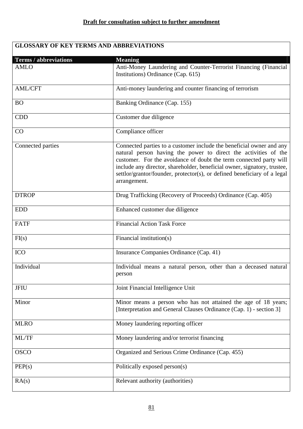## **GLOSSARY OF KEY TERMS AND ABBREVIATIONS**

| <b>Terms / abbreviations</b><br><b>AMLO</b> | <b>Meaning</b><br>Anti-Money Laundering and Counter-Terrorist Financing (Financial<br>Institutions) Ordinance (Cap. 615)                                                                                                                                                                                                                                                              |
|---------------------------------------------|---------------------------------------------------------------------------------------------------------------------------------------------------------------------------------------------------------------------------------------------------------------------------------------------------------------------------------------------------------------------------------------|
| <b>AML/CFT</b>                              | Anti-money laundering and counter financing of terrorism                                                                                                                                                                                                                                                                                                                              |
| <b>BO</b>                                   | Banking Ordinance (Cap. 155)                                                                                                                                                                                                                                                                                                                                                          |
| <b>CDD</b>                                  | Customer due diligence                                                                                                                                                                                                                                                                                                                                                                |
| CO                                          | Compliance officer                                                                                                                                                                                                                                                                                                                                                                    |
| Connected parties                           | Connected parties to a customer include the beneficial owner and any<br>natural person having the power to direct the activities of the<br>customer. For the avoidance of doubt the term connected party will<br>include any director, shareholder, beneficial owner, signatory, trustee,<br>settlor/grantor/founder, protector(s), or defined beneficiary of a legal<br>arrangement. |
| <b>DTROP</b>                                | Drug Trafficking (Recovery of Proceeds) Ordinance (Cap. 405)                                                                                                                                                                                                                                                                                                                          |
| <b>EDD</b>                                  | Enhanced customer due diligence                                                                                                                                                                                                                                                                                                                                                       |
| <b>FATF</b>                                 | Financial Action Task Force                                                                                                                                                                                                                                                                                                                                                           |
| FI(s)                                       | Financial institution(s)                                                                                                                                                                                                                                                                                                                                                              |
| <b>ICO</b>                                  | Insurance Companies Ordinance (Cap. 41)                                                                                                                                                                                                                                                                                                                                               |
| Individual                                  | Individual means a natural person, other than a deceased natural<br>person                                                                                                                                                                                                                                                                                                            |
| <b>JFIU</b>                                 | Joint Financial Intelligence Unit                                                                                                                                                                                                                                                                                                                                                     |
| Minor                                       | Minor means a person who has not attained the age of 18 years;<br>[Interpretation and General Clauses Ordinance (Cap. 1) - section 3]                                                                                                                                                                                                                                                 |
| <b>MLRO</b>                                 | Money laundering reporting officer                                                                                                                                                                                                                                                                                                                                                    |
| ML/TF                                       | Money laundering and/or terrorist financing                                                                                                                                                                                                                                                                                                                                           |
| <b>OSCO</b>                                 | Organized and Serious Crime Ordinance (Cap. 455)                                                                                                                                                                                                                                                                                                                                      |
| PEP(s)                                      | Politically exposed person(s)                                                                                                                                                                                                                                                                                                                                                         |
| RA(s)                                       | Relevant authority (authorities)                                                                                                                                                                                                                                                                                                                                                      |